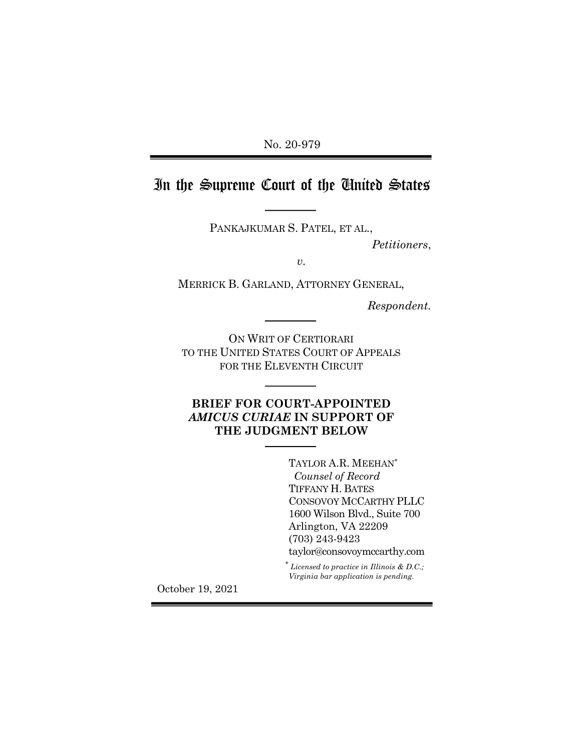No. 20-979 Ξ

# In the Supreme Court of the United States

PANKAJKUMAR S. PATEL, ET AL.,

*Petitioners*,

*v.*

MERRICK B. GARLAND, ATTORNEY GENERAL,

*Respondent.*

ON WRIT OF CERTIORARI TO THE UNITED STATES COURT OF APPEALS FOR THE ELEVENTH CIRCUIT

## **BRIEF FOR COURT-APPOINTED**  *AMICUS CURIAE* **IN SUPPORT OF THE JUDGMENT BELOW**

TAYLOR A.R. MEEHAN\*  *Counsel of Record* TIFFANY H. BATES CONSOVOY MCCARTHY PLLC 1600 Wilson Blvd., Suite 700 Arlington, VA 22209 (703) 243-9423 taylor@consovoymccarthy.com

\* *Licensed to practice in Illinois & D.C.; Virginia bar application is pending.*

October 19, 2021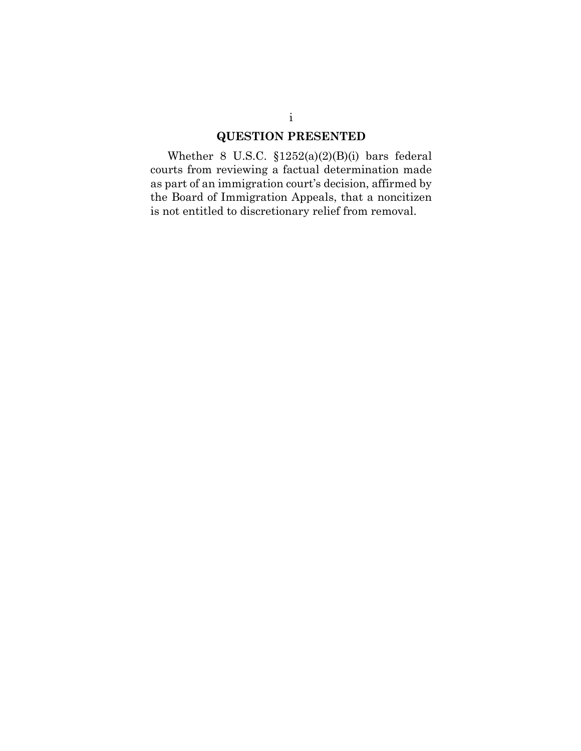### **QUESTION PRESENTED**

Whether 8 U.S.C. §1252(a)(2)(B)(i) bars federal courts from reviewing a factual determination made as part of an immigration court's decision, affirmed by the Board of Immigration Appeals, that a noncitizen is not entitled to discretionary relief from removal.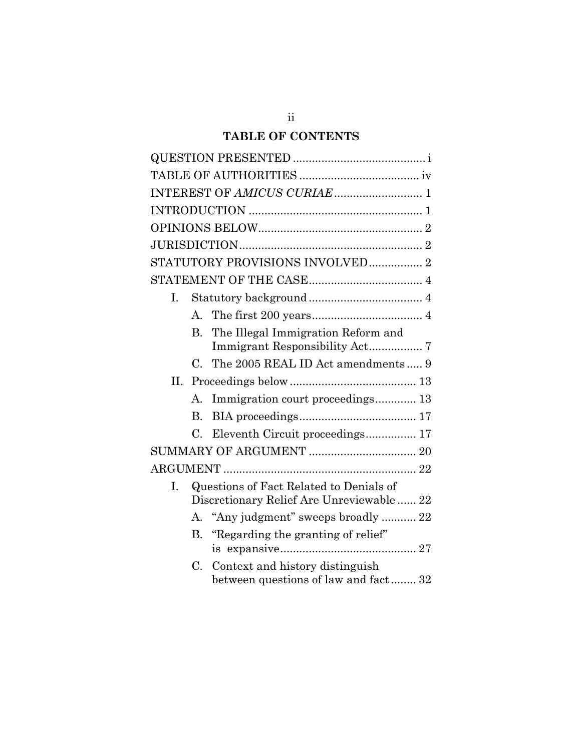# **TABLE OF CONTENTS**

|    |             | STATUTORY PROVISIONS INVOLVED 2                                                     |
|----|-------------|-------------------------------------------------------------------------------------|
|    |             |                                                                                     |
| L. |             |                                                                                     |
|    |             |                                                                                     |
|    | $B_{\cdot}$ | The Illegal Immigration Reform and                                                  |
|    |             | C. The 2005 REAL ID Act amendments  9                                               |
| Н. |             | $\label{eq:proceeding} {\bf Proceedings~below~}$                                    |
|    | А.          | Immigration court proceedings 13                                                    |
|    | $B_{\cdot}$ |                                                                                     |
|    | $C_{\cdot}$ | Eleventh Circuit proceedings 17                                                     |
|    |             |                                                                                     |
|    |             |                                                                                     |
| L. |             | Questions of Fact Related to Denials of<br>Discretionary Relief Are Unreviewable 22 |
|    |             | A. "Any judgment" sweeps broadly  22                                                |
|    |             | B. "Regarding the granting of relief"                                               |
|    | $C_{\cdot}$ | Context and history distinguish<br>between questions of law and fact 32             |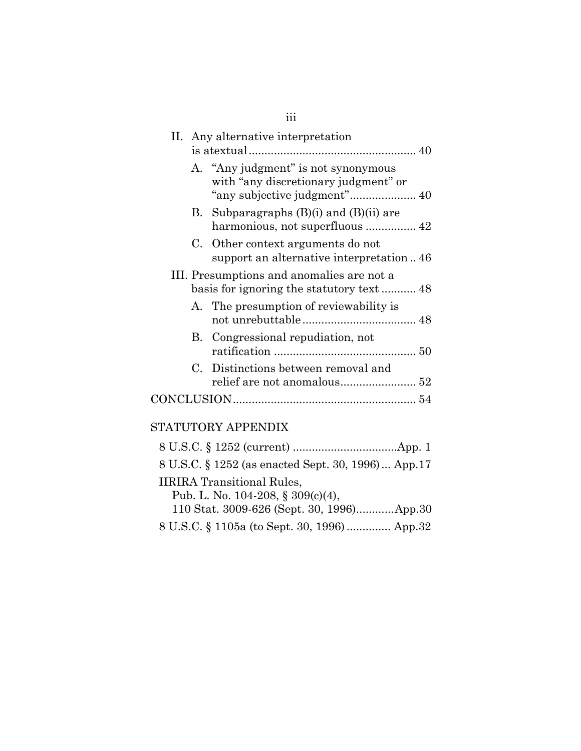|  | II. Any alternative interpretation                                           |  |
|--|------------------------------------------------------------------------------|--|
|  | A. "Any judgment" is not synonymous<br>with "any discretionary judgment" or  |  |
|  | B. Subparagraphs (B)(i) and (B)(ii) are                                      |  |
|  | C. Other context arguments do not<br>support an alternative interpretation46 |  |
|  | III. Presumptions and anomalies are not a                                    |  |
|  | A. The presumption of reviewability is                                       |  |
|  | B. Congressional repudiation, not                                            |  |
|  | C. Distinctions between removal and                                          |  |
|  |                                                                              |  |

# STATUTORY APPENDIX

| 8 U.S.C. § 1252 (as enacted Sept. 30, 1996) App.17 |  |
|----------------------------------------------------|--|
| <b>IIRIRA</b> Transitional Rules,                  |  |
| Pub. L. No. 104-208, § 309(c)(4),                  |  |
| 110 Stat. 3009-626 (Sept. 30, 1996)App.30          |  |
| 8 U.S.C. § 1105a (to Sept. 30, 1996)  App.32       |  |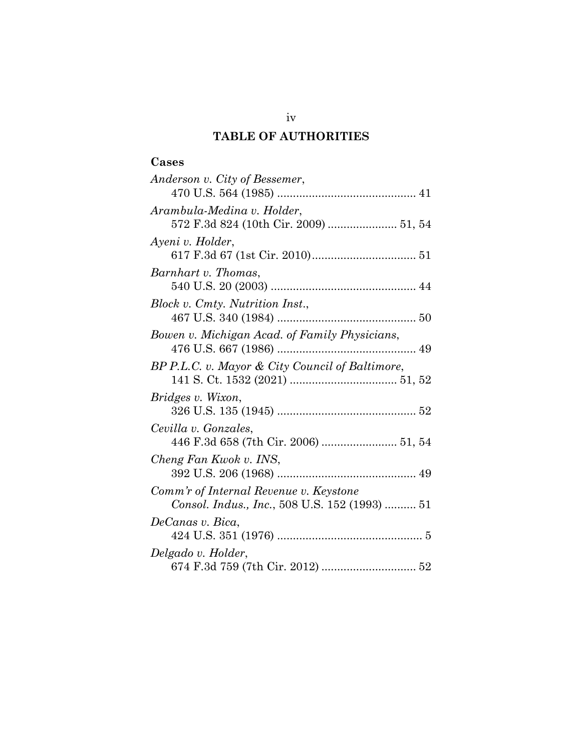# **TABLE OF AUTHORITIES**

| Anderson v. City of Bessemer,                   |
|-------------------------------------------------|
|                                                 |
| Arambula-Medina v. Holder,                      |
|                                                 |
| Ayeni v. Holder,                                |
|                                                 |
| Barnhart v. Thomas,                             |
|                                                 |
| Block v. Cmty. Nutrition Inst.,                 |
|                                                 |
| Bowen v. Michigan Acad. of Family Physicians,   |
|                                                 |
| BP P.L.C. v. Mayor & City Council of Baltimore, |
|                                                 |
| Bridges v. Wixon,                               |
|                                                 |
| Cevilla v. Gonzales,                            |
| 446 F.3d 658 (7th Cir. 2006)  51, 54            |
| Cheng Fan Kwok v. INS,                          |
|                                                 |
| Comm'r of Internal Revenue v. Keystone          |
| Consol. Indus., Inc., 508 U.S. 152 (1993)  51   |
| DeCanas v. Bica,                                |
|                                                 |
| Delgado v. Holder,                              |
|                                                 |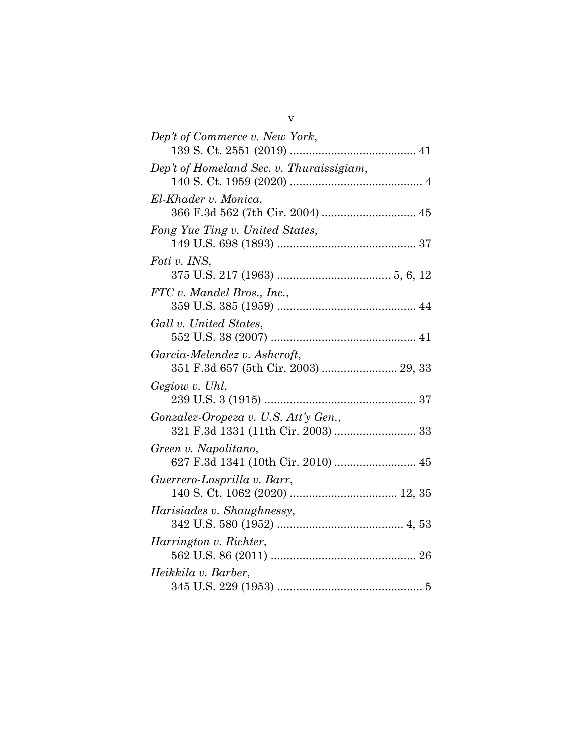| Dep't of Commerce v. New York,                                             |
|----------------------------------------------------------------------------|
| Dep't of Homeland Sec. v. Thuraissigiam,                                   |
| El-Khader v. Monica,<br>366 F.3d 562 (7th Cir. 2004)  45                   |
| Fong Yue Ting v. United States,                                            |
| Foti v. INS,                                                               |
| FTC v. Mandel Bros., Inc.,                                                 |
| Gall v. United States,                                                     |
| Garcia-Melendez v. Ashcroft,<br>351 F.3d 657 (5th Cir. 2003)  29, 33       |
| Gegiow v. Uhl,                                                             |
| Gonzalez-Oropeza v. U.S. Att'y Gen.,<br>321 F.3d 1331 (11th Cir. 2003)  33 |
| Green v. Napolitano,<br>627 F.3d 1341 (10th Cir. 2010)  45                 |
| Guerrero-Lasprilla v. Barr,                                                |
| Harisiades v. Shaughnessy,                                                 |
| Harrington v. Richter,                                                     |
| Heikkila v. Barber,                                                        |
|                                                                            |

v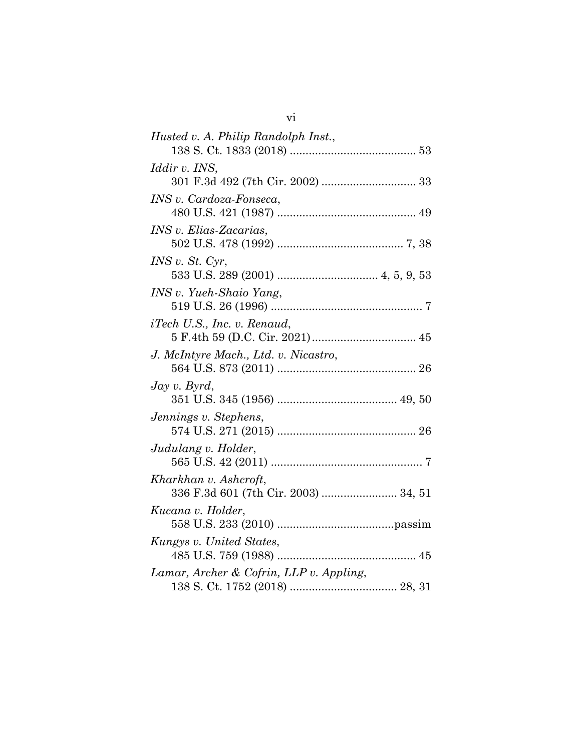| Husted v. A. Philip Randolph Inst.,                           |  |
|---------------------------------------------------------------|--|
|                                                               |  |
| <i>Iddir v. INS,</i>                                          |  |
|                                                               |  |
| INS v. Cardoza-Fonseca,                                       |  |
|                                                               |  |
| <i>INS v. Elias-Zacarias,</i>                                 |  |
|                                                               |  |
| INS v. St. Cyr,                                               |  |
|                                                               |  |
| INS v. Yueh-Shaio Yang,                                       |  |
|                                                               |  |
| <i>iTech U.S., Inc. v. Renaud,</i>                            |  |
|                                                               |  |
| J. McIntyre Mach., Ltd. v. Nicastro,                          |  |
|                                                               |  |
| $\log v$ . Byrd,                                              |  |
|                                                               |  |
| Jennings v. Stephens,                                         |  |
|                                                               |  |
| Judulang v. Holder,                                           |  |
|                                                               |  |
| Kharkhan v. Ashcroft,<br>336 F.3d 601 (7th Cir. 2003)  34, 51 |  |
|                                                               |  |
| Kucana v. Holder,                                             |  |
|                                                               |  |
| Kungys v. United States,                                      |  |
| Lamar, Archer & Cofrin, LLP v. Appling,                       |  |
|                                                               |  |
|                                                               |  |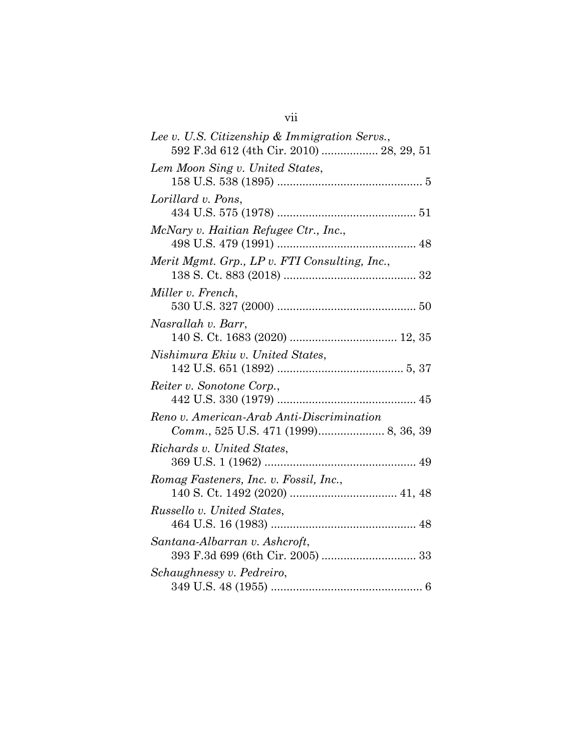| Lee v. U.S. Citizenship & Immigration Servs., |
|-----------------------------------------------|
| 592 F.3d 612 (4th Cir. 2010)  28, 29, 51      |
| Lem Moon Sing v. United States,               |
|                                               |
| Lorillard v. Pons,                            |
|                                               |
| McNary v. Haitian Refugee Ctr., Inc.,         |
|                                               |
| Merit Mgmt. Grp., LP v. FTI Consulting, Inc., |
|                                               |
| Miller v. French,                             |
|                                               |
| Nasrallah v. Barr,                            |
|                                               |
| Nishimura Ekiu v. United States,              |
|                                               |
| Reiter v. Sonotone Corp.,                     |
|                                               |
| Reno v. American-Arab Anti-Discrimination     |
|                                               |
| Richards v. United States,                    |
|                                               |
| Romag Fasteners, Inc. v. Fossil, Inc.,        |
|                                               |
| Russello v. United States,                    |
|                                               |
| Santana-Albarran v. Ashcroft,                 |
|                                               |
| Schaughnessy v. Pedreiro,                     |
|                                               |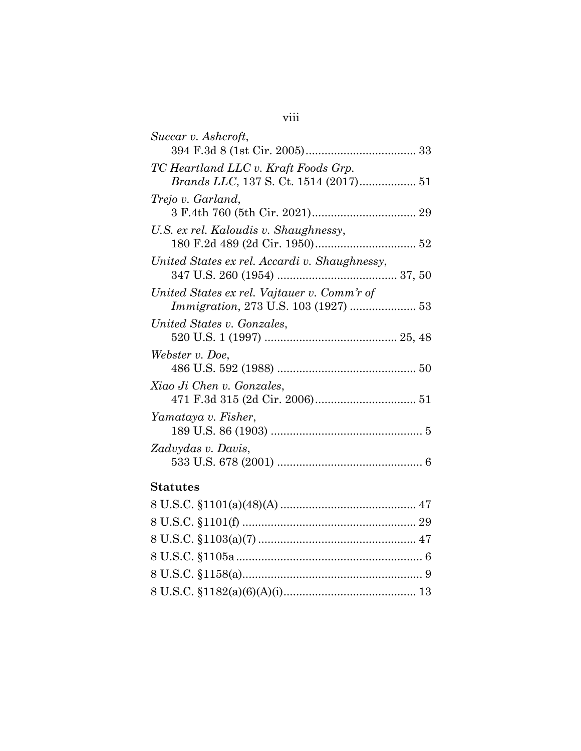| Succar v. Ashcroft,                                                                 |  |
|-------------------------------------------------------------------------------------|--|
|                                                                                     |  |
| TC Heartland LLC v. Kraft Foods Grp.                                                |  |
| Brands LLC, 137 S. Ct. 1514 (2017) 51                                               |  |
| Trejo v. Garland,                                                                   |  |
|                                                                                     |  |
| U.S. ex rel. Kaloudis v. Shaughnessy,                                               |  |
|                                                                                     |  |
| United States ex rel. Accardi v. Shaughnessy,                                       |  |
| United States ex rel. Vajtauer v. Comm'r of<br>Immigration, 273 U.S. 103 (1927)  53 |  |
| United States v. Gonzales,                                                          |  |
|                                                                                     |  |
| Webster v. Doe,                                                                     |  |
| Xiao Ji Chen v. Gonzales,                                                           |  |
|                                                                                     |  |
| Yamataya v. Fisher,                                                                 |  |
|                                                                                     |  |
| Zadvydas v. Davis,                                                                  |  |
|                                                                                     |  |
|                                                                                     |  |

# **Statutes**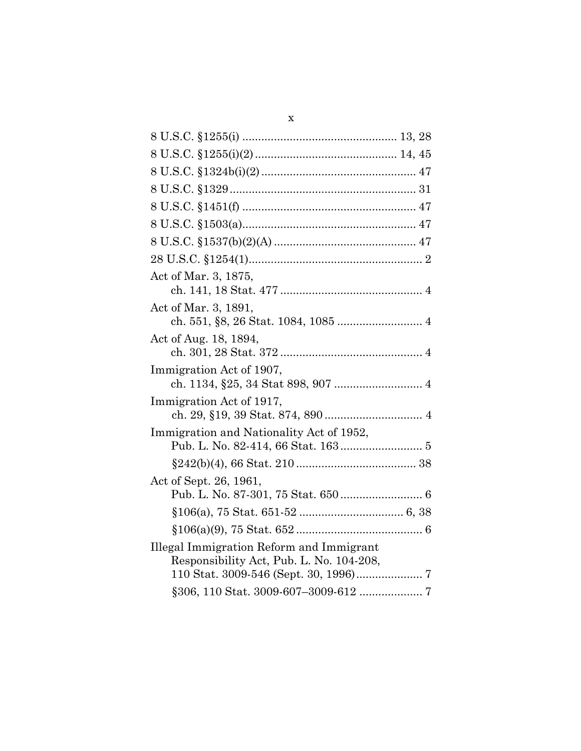| Act of Mar. 3, 1875,                        |
|---------------------------------------------|
|                                             |
| Act of Mar. 3, 1891,                        |
|                                             |
| Act of Aug. 18, 1894,                       |
| Immigration Act of 1907,                    |
| Immigration Act of 1917,                    |
| Immigration and Nationality Act of 1952,    |
|                                             |
|                                             |
| Act of Sept. 26, 1961,                      |
|                                             |
|                                             |
| $§106(a)(9), 75 \text{ Stat. } 652 \dots 6$ |
| Illegal Immigration Reform and Immigrant    |
| Responsibility Act, Pub. L. No. 104-208,    |
|                                             |
|                                             |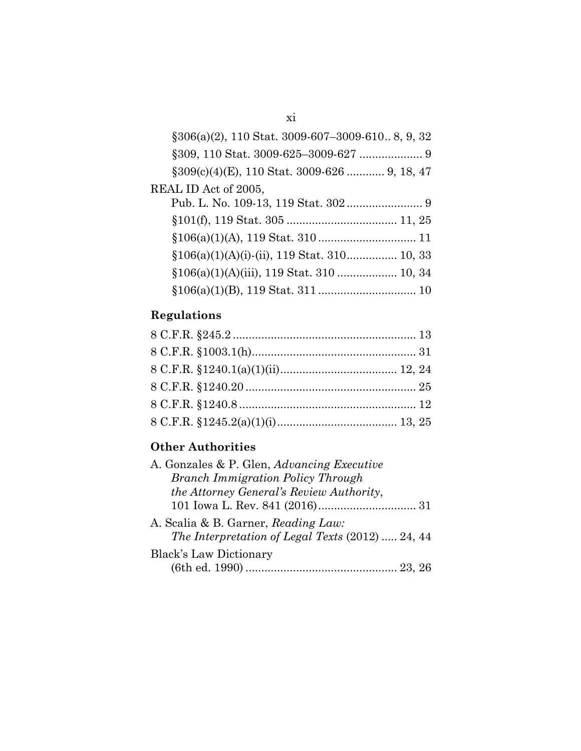| $\S 306(a)(2)$ , 110 Stat. 3009-607-3009-610. 8, 9, 32 |  |
|--------------------------------------------------------|--|
|                                                        |  |
| $\S 309(c)(4)$ (E), 110 Stat. 3009-626  9, 18, 47      |  |
| REAL ID Act of 2005,                                   |  |
|                                                        |  |
|                                                        |  |
|                                                        |  |
|                                                        |  |
|                                                        |  |
|                                                        |  |
|                                                        |  |

# **Regulations**

# **Other Authorities**

| A. Gonzales & P. Glen, Advancing Executive       |  |
|--------------------------------------------------|--|
| <b>Branch Immigration Policy Through</b>         |  |
| the Attorney General's Review Authority,         |  |
|                                                  |  |
| A. Scalia & B. Garner, Reading Law:              |  |
| The Interpretation of Legal Texts (2012)  24, 44 |  |
| <b>Black's Law Dictionary</b>                    |  |
|                                                  |  |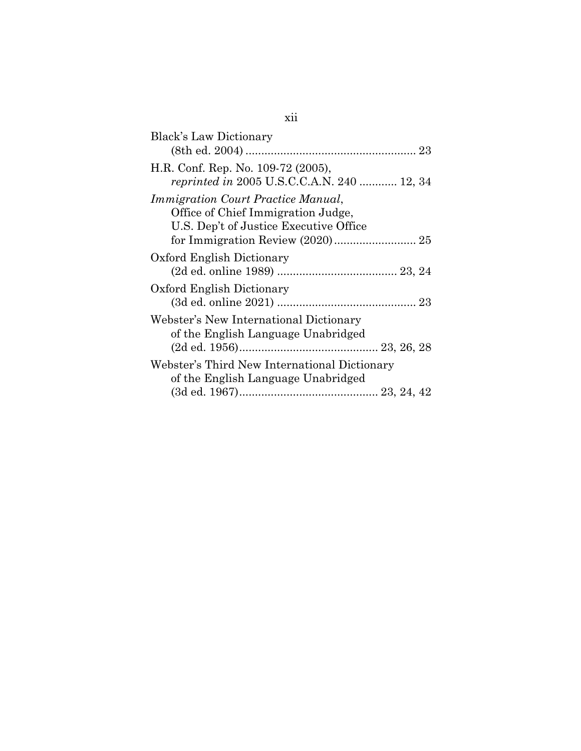| <b>Black's Law Dictionary</b>                                                                                             |
|---------------------------------------------------------------------------------------------------------------------------|
|                                                                                                                           |
| H.R. Conf. Rep. No. 109-72 (2005),<br><i>reprinted in</i> 2005 U.S.C.C.A.N. 240  12, 34                                   |
| <i>Immigration Court Practice Manual,</i><br>Office of Chief Immigration Judge,<br>U.S. Dep't of Justice Executive Office |
|                                                                                                                           |
| Oxford English Dictionary                                                                                                 |
| Oxford English Dictionary                                                                                                 |
| Webster's New International Dictionary<br>of the English Language Unabridged                                              |
| Webster's Third New International Dictionary<br>of the English Language Unabridged                                        |

## xii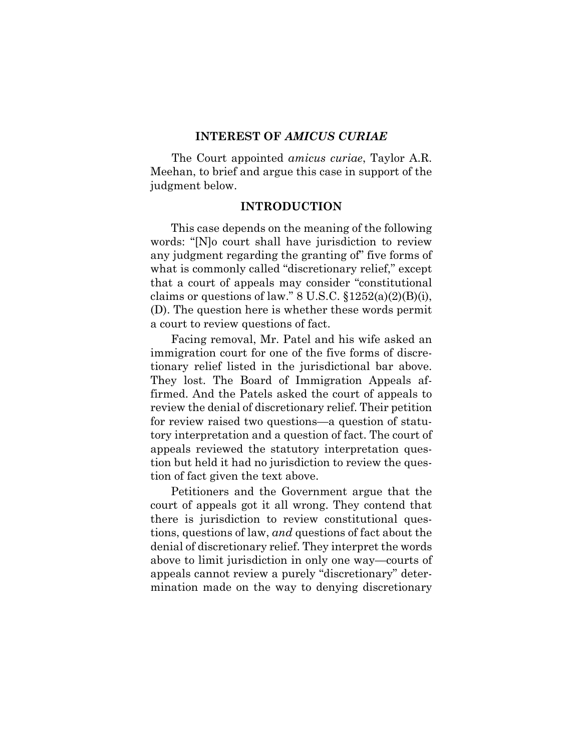#### **INTEREST OF** *AMICUS CURIAE*

The Court appointed *amicus curiae*, Taylor A.R. Meehan, to brief and argue this case in support of the judgment below.

#### **INTRODUCTION**

This case depends on the meaning of the following words: "[N]o court shall have jurisdiction to review any judgment regarding the granting of" five forms of what is commonly called "discretionary relief," except that a court of appeals may consider "constitutional claims or questions of law."  $8 \text{ U.S.C. } \S 1252(a)(2)(B)(i)$ , (D). The question here is whether these words permit a court to review questions of fact.

Facing removal, Mr. Patel and his wife asked an immigration court for one of the five forms of discretionary relief listed in the jurisdictional bar above. They lost. The Board of Immigration Appeals affirmed. And the Patels asked the court of appeals to review the denial of discretionary relief. Their petition for review raised two questions—a question of statutory interpretation and a question of fact. The court of appeals reviewed the statutory interpretation question but held it had no jurisdiction to review the question of fact given the text above.

Petitioners and the Government argue that the court of appeals got it all wrong. They contend that there is jurisdiction to review constitutional questions, questions of law, *and* questions of fact about the denial of discretionary relief. They interpret the words above to limit jurisdiction in only one way—courts of appeals cannot review a purely "discretionary" determination made on the way to denying discretionary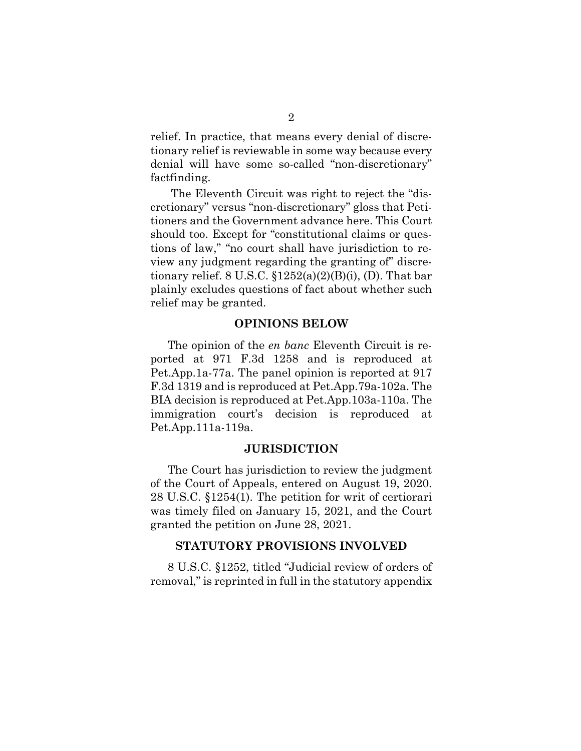relief. In practice, that means every denial of discretionary relief is reviewable in some way because every denial will have some so-called "non-discretionary" factfinding.

The Eleventh Circuit was right to reject the "discretionary" versus "non-discretionary" gloss that Petitioners and the Government advance here. This Court should too. Except for "constitutional claims or questions of law," "no court shall have jurisdiction to review any judgment regarding the granting of" discretionary relief.  $8 \text{ U.S.C. } \S 1252(a)(2)(B)(i)$ , (D). That bar plainly excludes questions of fact about whether such relief may be granted.

#### **OPINIONS BELOW**

The opinion of the *en banc* Eleventh Circuit is reported at 971 F.3d 1258 and is reproduced at Pet.App.1a-77a. The panel opinion is reported at 917 F.3d 1319 and is reproduced at Pet.App.79a-102a. The BIA decision is reproduced at Pet.App.103a-110a. The immigration court's decision is reproduced at Pet.App.111a-119a.

#### **JURISDICTION**

The Court has jurisdiction to review the judgment of the Court of Appeals, entered on August 19, 2020. 28 U.S.C. §1254(1). The petition for writ of certiorari was timely filed on January 15, 2021, and the Court granted the petition on June 28, 2021.

#### **STATUTORY PROVISIONS INVOLVED**

8 U.S.C. §1252, titled "Judicial review of orders of removal," is reprinted in full in the statutory appendix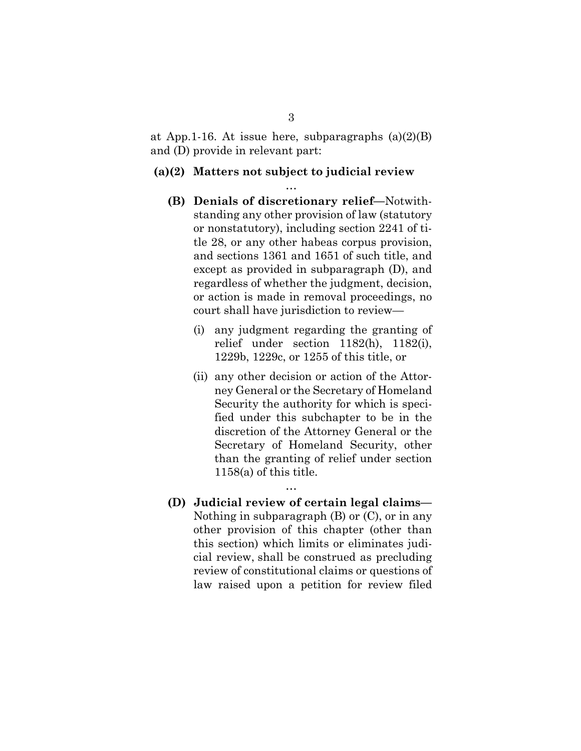at App. 1-16. At issue here, subparagraphs  $(a)(2)(B)$ and (D) provide in relevant part:

#### **(a)(2) Matters not subject to judicial review**

…

- **(B) Denials of discretionary relief—**Notwithstanding any other provision of law (statutory or nonstatutory), including section 2241 of title 28, or any other habeas corpus provision, and sections 1361 and 1651 of such title, and except as provided in subparagraph (D), and regardless of whether the judgment, decision, or action is made in removal proceedings, no court shall have jurisdiction to review—
	- (i) any judgment regarding the granting of relief under section 1182(h), 1182(i), 1229b, 1229c, or 1255 of this title, or
	- (ii) any other decision or action of the Attorney General or the Secretary of Homeland Security the authority for which is specified under this subchapter to be in the discretion of the Attorney General or the Secretary of Homeland Security, other than the granting of relief under section 1158(a) of this title.
- **(D) Judicial review of certain legal claims—** Nothing in subparagraph (B) or (C), or in any other provision of this chapter (other than this section) which limits or eliminates judicial review, shall be construed as precluding review of constitutional claims or questions of law raised upon a petition for review filed

…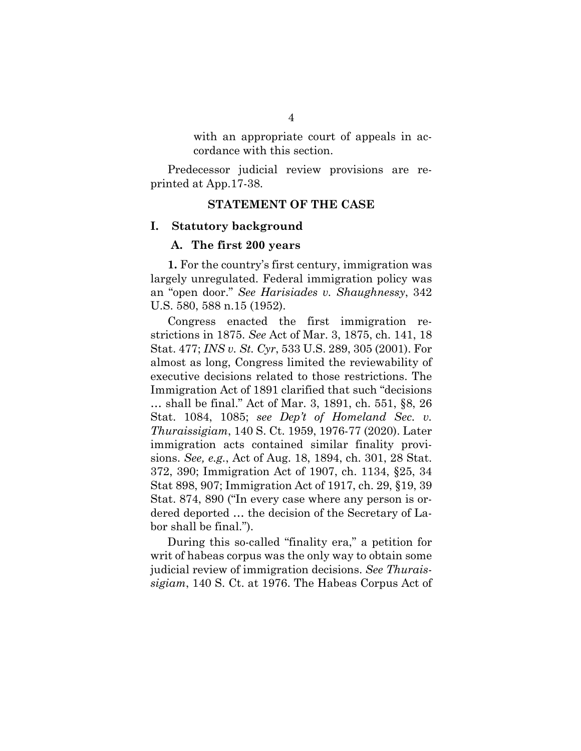with an appropriate court of appeals in accordance with this section.

Predecessor judicial review provisions are reprinted at App.17-38.

#### **STATEMENT OF THE CASE**

#### **I. Statutory background**

#### **A. The first 200 years**

**1.** For the country's first century, immigration was largely unregulated. Federal immigration policy was an "open door." *See Harisiades v. Shaughnessy*, 342 U.S. 580, 588 n.15 (1952).

Congress enacted the first immigration restrictions in 1875. *See* Act of Mar. 3, 1875, ch. 141, 18 Stat. 477; *INS v. St. Cyr*, 533 U.S. 289, 305 (2001). For almost as long, Congress limited the reviewability of executive decisions related to those restrictions. The Immigration Act of 1891 clarified that such "decisions … shall be final." Act of Mar. 3, 1891, ch. 551, §8, 26 Stat. 1084, 1085; *see Dep't of Homeland Sec. v. Thuraissigiam*, 140 S. Ct. 1959, 1976-77 (2020). Later immigration acts contained similar finality provisions. *See, e.g.*, Act of Aug. 18, 1894, ch. 301, 28 Stat. 372, 390; Immigration Act of 1907, ch. 1134, §25, 34 Stat 898, 907; Immigration Act of 1917, ch. 29, §19, 39 Stat. 874, 890 ("In every case where any person is ordered deported … the decision of the Secretary of Labor shall be final.").

During this so-called "finality era," a petition for writ of habeas corpus was the only way to obtain some judicial review of immigration decisions. *See Thuraissigiam*, 140 S. Ct. at 1976. The Habeas Corpus Act of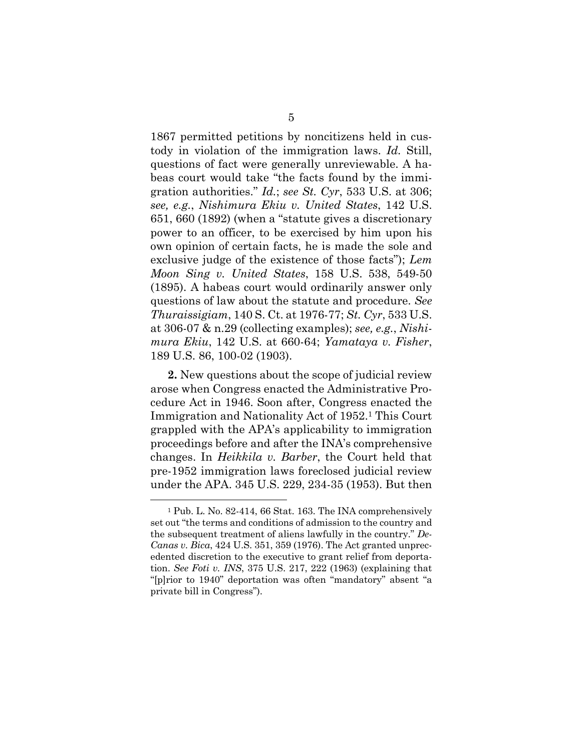1867 permitted petitions by noncitizens held in custody in violation of the immigration laws. *Id.* Still, questions of fact were generally unreviewable. A habeas court would take "the facts found by the immigration authorities." *Id.*; *see St. Cyr*, 533 U.S. at 306; *see, e.g.*, *Nishimura Ekiu v. United States*, 142 U.S. 651, 660 (1892) (when a "statute gives a discretionary power to an officer, to be exercised by him upon his own opinion of certain facts, he is made the sole and exclusive judge of the existence of those facts"); *Lem Moon Sing v. United States*, 158 U.S. 538, 549-50 (1895). A habeas court would ordinarily answer only questions of law about the statute and procedure. *See Thuraissigiam*, 140 S. Ct. at 1976-77; *St. Cyr*, 533 U.S. at 306-07 & n.29 (collecting examples); *see, e.g.*, *Nishimura Ekiu*, 142 U.S. at 660-64; *Yamataya v. Fisher*, 189 U.S. 86, 100-02 (1903).

**2.** New questions about the scope of judicial review arose when Congress enacted the Administrative Procedure Act in 1946. Soon after, Congress enacted the Immigration and Nationality Act of 1952.<sup>1</sup> This Court grappled with the APA's applicability to immigration proceedings before and after the INA's comprehensive changes. In *Heikkila v. Barber*, the Court held that pre-1952 immigration laws foreclosed judicial review under the APA. 345 U.S. 229, 234-35 (1953). But then

<sup>1</sup> Pub. L. No. 82-414, 66 Stat. 163. The INA comprehensively set out "the terms and conditions of admission to the country and the subsequent treatment of aliens lawfully in the country." *De-Canas v. Bica*, 424 U.S. 351, 359 (1976). The Act granted unprecedented discretion to the executive to grant relief from deportation. *See Foti v. INS*, 375 U.S. 217, 222 (1963) (explaining that "[p]rior to 1940" deportation was often "mandatory" absent "a private bill in Congress").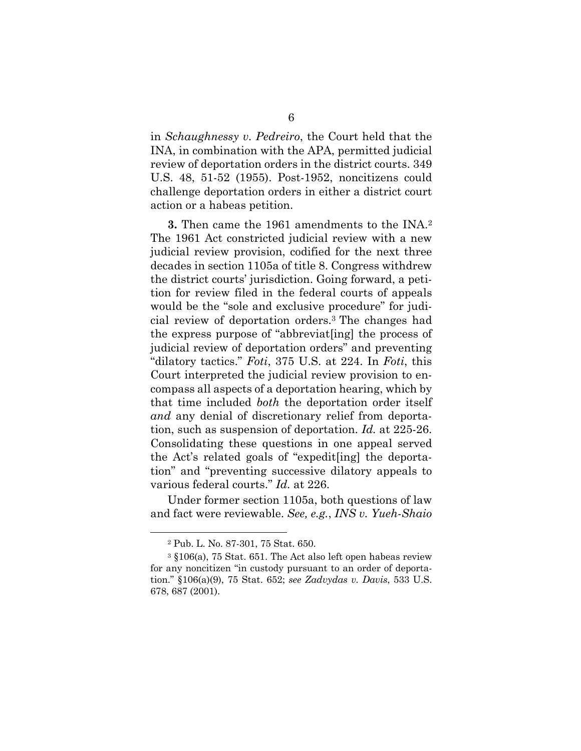in *Schaughnessy v. Pedreiro*, the Court held that the INA, in combination with the APA, permitted judicial review of deportation orders in the district courts. 349 U.S. 48, 51-52 (1955). Post-1952, noncitizens could challenge deportation orders in either a district court action or a habeas petition.

**3.** Then came the 1961 amendments to the INA.<sup>2</sup> The 1961 Act constricted judicial review with a new judicial review provision, codified for the next three decades in section 1105a of title 8. Congress withdrew the district courts' jurisdiction. Going forward, a petition for review filed in the federal courts of appeals would be the "sole and exclusive procedure" for judicial review of deportation orders.<sup>3</sup> The changes had the express purpose of "abbreviat[ing] the process of judicial review of deportation orders" and preventing "dilatory tactics." *Foti*, 375 U.S. at 224. In *Foti*, this Court interpreted the judicial review provision to encompass all aspects of a deportation hearing, which by that time included *both* the deportation order itself *and* any denial of discretionary relief from deportation, such as suspension of deportation. *Id.* at 225-26. Consolidating these questions in one appeal served the Act's related goals of "expedit[ing] the deportation" and "preventing successive dilatory appeals to various federal courts." *Id.* at 226.

Under former section 1105a, both questions of law and fact were reviewable. *See, e.g.*, *INS v. Yueh-Shaio* 

<sup>2</sup> Pub. L. No. 87-301, 75 Stat. 650.

<sup>3</sup> §106(a), 75 Stat. 651. The Act also left open habeas review for any noncitizen "in custody pursuant to an order of deportation." §106(a)(9), 75 Stat. 652; *see Zadvydas v. Davis*, 533 U.S. 678, 687 (2001).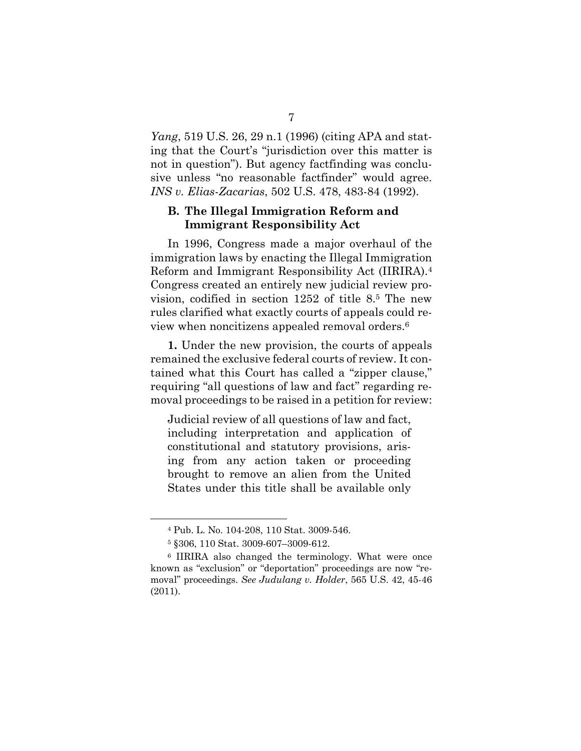*Yang*, 519 U.S. 26, 29 n.1 (1996) (citing APA and stating that the Court's "jurisdiction over this matter is not in question"). But agency factfinding was conclusive unless "no reasonable factfinder" would agree. *INS v. Elias-Zacarias*, 502 U.S. 478, 483-84 (1992).

### **B. The Illegal Immigration Reform and Immigrant Responsibility Act**

In 1996, Congress made a major overhaul of the immigration laws by enacting the Illegal Immigration Reform and Immigrant Responsibility Act (IIRIRA).<sup>4</sup> Congress created an entirely new judicial review provision, codified in section 1252 of title 8.<sup>5</sup> The new rules clarified what exactly courts of appeals could review when noncitizens appealed removal orders.<sup>6</sup>

**1.** Under the new provision, the courts of appeals remained the exclusive federal courts of review. It contained what this Court has called a "zipper clause," requiring "all questions of law and fact" regarding removal proceedings to be raised in a petition for review:

Judicial review of all questions of law and fact, including interpretation and application of constitutional and statutory provisions, arising from any action taken or proceeding brought to remove an alien from the United States under this title shall be available only

<sup>4</sup> Pub. L. No. 104-208, 110 Stat. 3009-546.

<sup>5</sup> §306, 110 Stat. 3009-607–3009-612.

<sup>6</sup> IIRIRA also changed the terminology. What were once known as "exclusion" or "deportation" proceedings are now "removal" proceedings. *See Judulang v. Holder*, 565 U.S. 42, 45-46 (2011).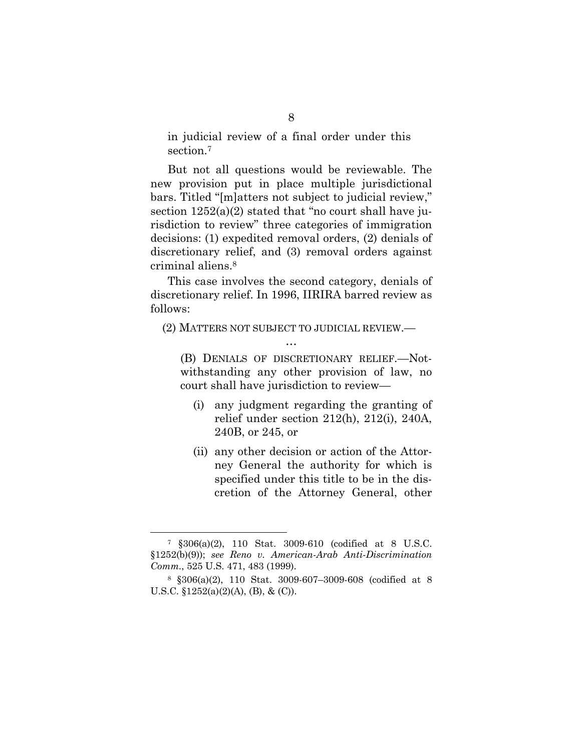in judicial review of a final order under this section.<sup>7</sup>

But not all questions would be reviewable. The new provision put in place multiple jurisdictional bars. Titled "[m]atters not subject to judicial review," section  $1252(a)(2)$  stated that "no court shall have jurisdiction to review" three categories of immigration decisions: (1) expedited removal orders, (2) denials of discretionary relief, and (3) removal orders against criminal aliens.<sup>8</sup>

This case involves the second category, denials of discretionary relief. In 1996, IIRIRA barred review as follows:

(2) MATTERS NOT SUBJECT TO JUDICIAL REVIEW.— …

(B) DENIALS OF DISCRETIONARY RELIEF.—Notwithstanding any other provision of law, no court shall have jurisdiction to review—

- (i) any judgment regarding the granting of relief under section 212(h), 212(i), 240A, 240B, or 245, or
- (ii) any other decision or action of the Attorney General the authority for which is specified under this title to be in the discretion of the Attorney General, other

<sup>7</sup> §306(a)(2), 110 Stat. 3009-610 (codified at 8 U.S.C. §1252(b)(9)); *see Reno v. American-Arab Anti-Discrimination Comm.*, 525 U.S. 471, 483 (1999).

<sup>8</sup> §306(a)(2), 110 Stat. 3009-607–3009-608 (codified at 8 U.S.C.  $$1252(a)(2)(A), (B), & (C)$ .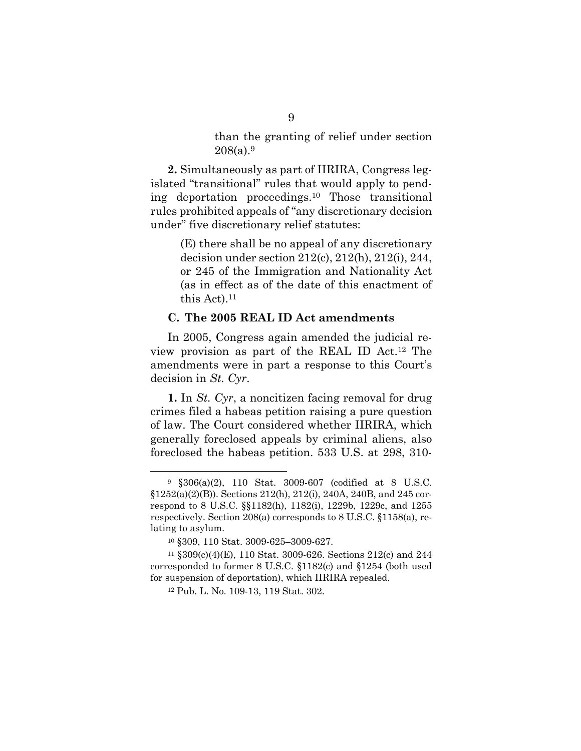than the granting of relief under section  $208(a).9$ 

**2.** Simultaneously as part of IIRIRA, Congress legislated "transitional" rules that would apply to pending deportation proceedings.<sup>10</sup> Those transitional rules prohibited appeals of "any discretionary decision under" five discretionary relief statutes:

> (E) there shall be no appeal of any discretionary decision under section 212(c), 212(h), 212(i), 244, or 245 of the Immigration and Nationality Act (as in effect as of the date of this enactment of this Act). $11$

#### **C. The 2005 REAL ID Act amendments**

In 2005, Congress again amended the judicial review provision as part of the REAL ID Act.<sup>12</sup> The amendments were in part a response to this Court's decision in *St. Cyr*.

**1.** In *St. Cyr*, a noncitizen facing removal for drug crimes filed a habeas petition raising a pure question of law. The Court considered whether IIRIRA, which generally foreclosed appeals by criminal aliens, also foreclosed the habeas petition. 533 U.S. at 298, 310-

<sup>9</sup> §306(a)(2), 110 Stat. 3009-607 (codified at 8 U.S.C. §1252(a)(2)(B)). Sections 212(h), 212(i), 240A, 240B, and 245 correspond to 8 U.S.C. §§1182(h), 1182(i), 1229b, 1229c, and 1255 respectively. Section 208(a) corresponds to 8 U.S.C. §1158(a), relating to asylum.

<sup>10</sup> §309, 110 Stat. 3009-625–3009-627.

<sup>11</sup> §309(c)(4)(E), 110 Stat. 3009-626. Sections 212(c) and 244 corresponded to former 8 U.S.C. §1182(c) and §1254 (both used for suspension of deportation), which IIRIRA repealed.

<sup>12</sup> Pub. L. No. 109-13, 119 Stat. 302.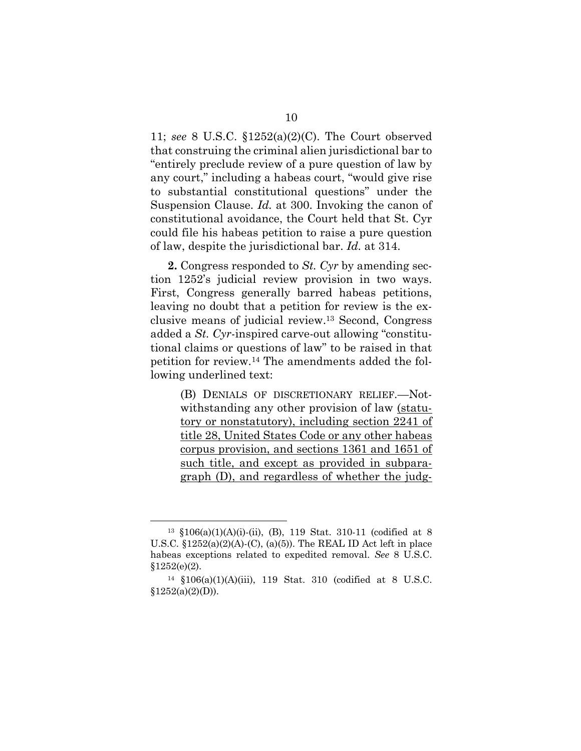11; *see* 8 U.S.C. §1252(a)(2)(C). The Court observed that construing the criminal alien jurisdictional bar to "entirely preclude review of a pure question of law by any court," including a habeas court, "would give rise to substantial constitutional questions" under the Suspension Clause. *Id.* at 300. Invoking the canon of constitutional avoidance, the Court held that St. Cyr could file his habeas petition to raise a pure question of law, despite the jurisdictional bar. *Id.* at 314.

**2.** Congress responded to *St. Cyr* by amending section 1252's judicial review provision in two ways. First, Congress generally barred habeas petitions, leaving no doubt that a petition for review is the exclusive means of judicial review.<sup>13</sup> Second, Congress added a *St. Cyr-*inspired carve-out allowing "constitutional claims or questions of law" to be raised in that petition for review.<sup>14</sup> The amendments added the following underlined text:

> (B) DENIALS OF DISCRETIONARY RELIEF.—Notwithstanding any other provision of law (statutory or nonstatutory), including section 2241 of title 28, United States Code or any other habeas corpus provision, and sections 1361 and 1651 of such title, and except as provided in subparagraph (D), and regardless of whether the judg-

<sup>13</sup> §106(a)(1)(A)(i)-(ii), (B), 119 Stat. 310-11 (codified at 8 U.S.C.  $$1252(a)(2)(A)-(C), (a)(5))$ . The REAL ID Act left in place habeas exceptions related to expedited removal. *See* 8 U.S.C.  $$1252(e)(2).$ 

<sup>14</sup> §106(a)(1)(A)(iii), 119 Stat. 310 (codified at 8 U.S.C.  $§1252(a)(2)(D)).$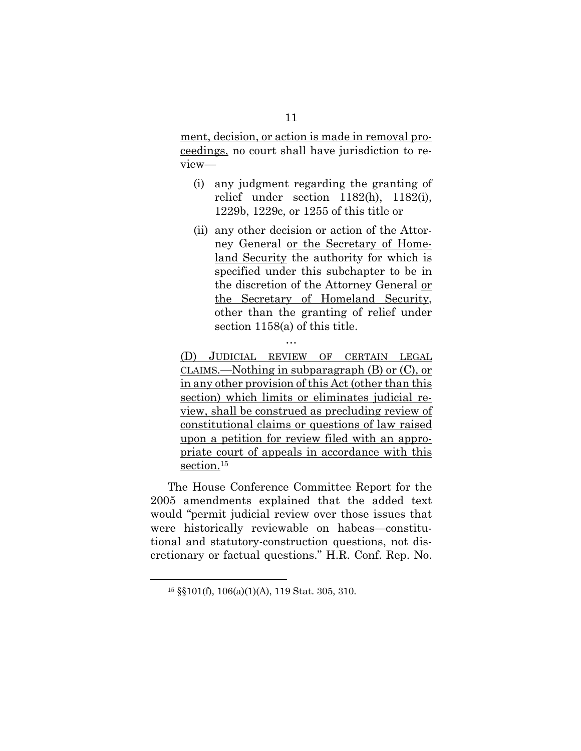ment, decision, or action is made in removal proceedings, no court shall have jurisdiction to review—

- (i) any judgment regarding the granting of relief under section 1182(h), 1182(i), 1229b, 1229c, or 1255 of this title or
- (ii) any other decision or action of the Attorney General or the Secretary of Homeland Security the authority for which is specified under this subchapter to be in the discretion of the Attorney General or the Secretary of Homeland Security, other than the granting of relief under section 1158(a) of this title.

(D) JUDICIAL REVIEW OF CERTAIN LEGAL CLAIMS.—Nothing in subparagraph (B) or (C), or in any other provision of this Act (other than this section) which limits or eliminates judicial review, shall be construed as precluding review of constitutional claims or questions of law raised upon a petition for review filed with an appropriate court of appeals in accordance with this section.<sup>15</sup>

…

The House Conference Committee Report for the 2005 amendments explained that the added text would "permit judicial review over those issues that were historically reviewable on habeas—constitutional and statutory-construction questions, not discretionary or factual questions." H.R. Conf. Rep. No.

<sup>15</sup> §§101(f), 106(a)(1)(A), 119 Stat. 305, 310.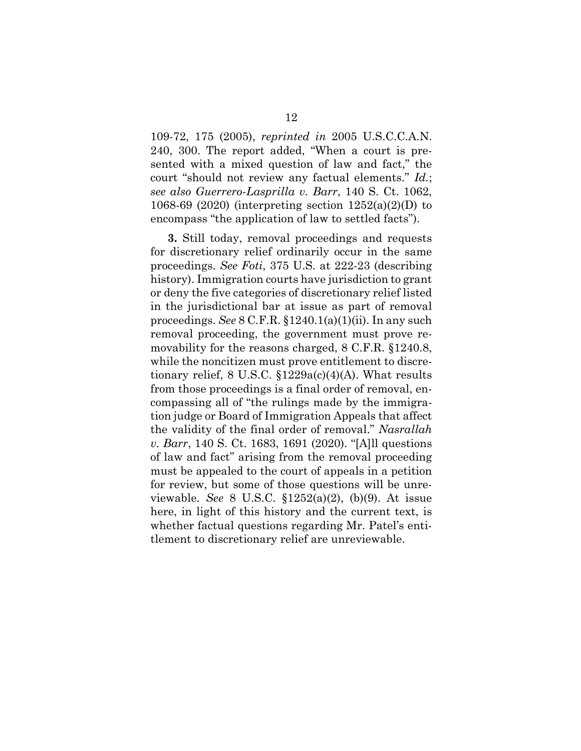109-72, 175 (2005), *reprinted in* 2005 U.S.C.C.A.N. 240, 300. The report added, "When a court is presented with a mixed question of law and fact," the court "should not review any factual elements." *Id.*; *see also Guerrero-Lasprilla v. Barr*, 140 S. Ct. 1062, 1068-69 (2020) (interpreting section 1252(a)(2)(D) to encompass "the application of law to settled facts").

**3.** Still today, removal proceedings and requests for discretionary relief ordinarily occur in the same proceedings. *See Foti*, 375 U.S. at 222-23 (describing history). Immigration courts have jurisdiction to grant or deny the five categories of discretionary relief listed in the jurisdictional bar at issue as part of removal proceedings. *See* 8 C.F.R. §1240.1(a)(1)(ii). In any such removal proceeding, the government must prove removability for the reasons charged, 8 C.F.R. §1240.8, while the noncitizen must prove entitlement to discretionary relief, 8 U.S.C.  $$1229a(c)(4)(A)$ . What results from those proceedings is a final order of removal, encompassing all of "the rulings made by the immigration judge or Board of Immigration Appeals that affect the validity of the final order of removal." *Nasrallah v. Barr*, 140 S. Ct. 1683, 1691 (2020). "[A]ll questions of law and fact" arising from the removal proceeding must be appealed to the court of appeals in a petition for review, but some of those questions will be unreviewable. *See* 8 U.S.C. §1252(a)(2), (b)(9). At issue here, in light of this history and the current text, is whether factual questions regarding Mr. Patel's entitlement to discretionary relief are unreviewable.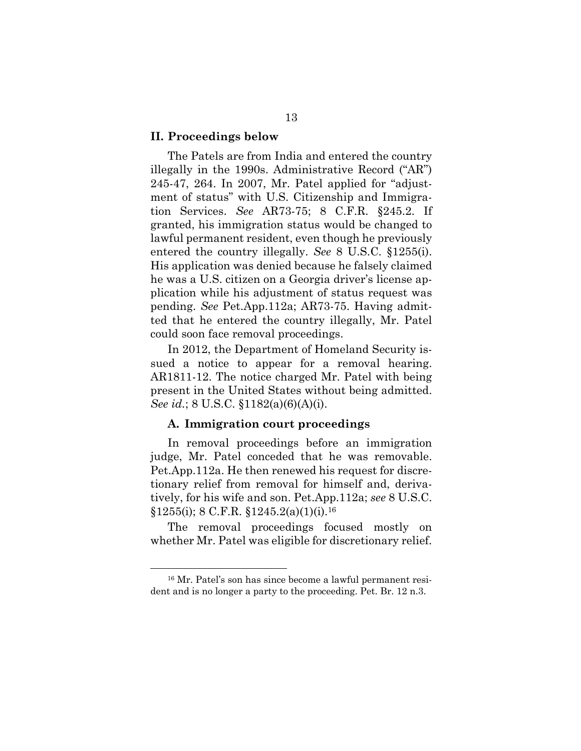#### **II. Proceedings below**

The Patels are from India and entered the country illegally in the 1990s. Administrative Record ("AR") 245-47, 264. In 2007, Mr. Patel applied for "adjustment of status" with U.S. Citizenship and Immigration Services. *See* AR73-75; 8 C.F.R. §245.2. If granted, his immigration status would be changed to lawful permanent resident, even though he previously entered the country illegally. *See* 8 U.S.C. §1255(i). His application was denied because he falsely claimed he was a U.S. citizen on a Georgia driver's license application while his adjustment of status request was pending. *See* Pet.App.112a; AR73-75. Having admitted that he entered the country illegally, Mr. Patel could soon face removal proceedings.

In 2012, the Department of Homeland Security issued a notice to appear for a removal hearing. AR1811-12. The notice charged Mr. Patel with being present in the United States without being admitted. *See id.*; 8 U.S.C.  $$1182(a)(6)(A)(i)$ .

#### **A. Immigration court proceedings**

In removal proceedings before an immigration judge, Mr. Patel conceded that he was removable. Pet.App.112a. He then renewed his request for discretionary relief from removal for himself and, derivatively, for his wife and son. Pet.App.112a; *see* 8 U.S.C.  $§1255(i);$  8 C.F.R.  $§1245.2(a)(1)(i).$ <sup>16</sup>

The removal proceedings focused mostly on whether Mr. Patel was eligible for discretionary relief.

<sup>16</sup> Mr. Patel's son has since become a lawful permanent resident and is no longer a party to the proceeding. Pet. Br. 12 n.3.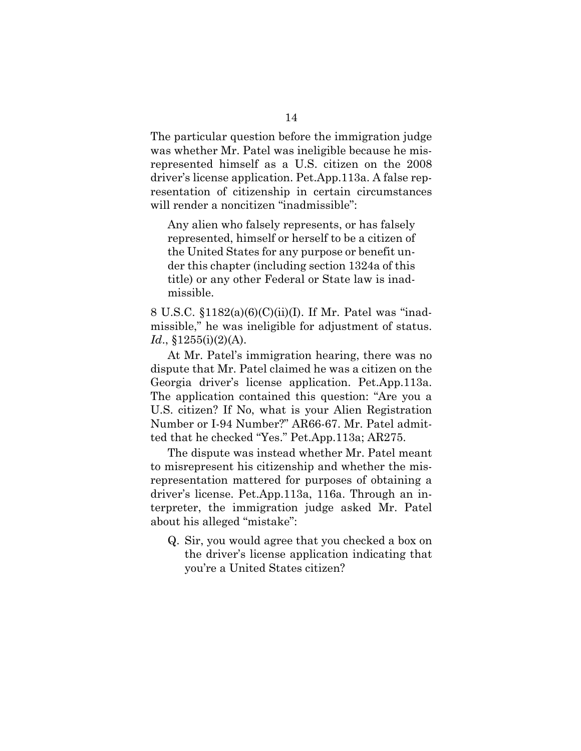The particular question before the immigration judge was whether Mr. Patel was ineligible because he misrepresented himself as a U.S. citizen on the 2008 driver's license application. Pet.App.113a. A false representation of citizenship in certain circumstances will render a noncitizen "inadmissible":

Any alien who falsely represents, or has falsely represented, himself or herself to be a citizen of the United States for any purpose or benefit under this chapter (including section 1324a of this title) or any other Federal or State law is inadmissible.

8 U.S.C. §1182(a)(6)(C)(ii)(I). If Mr. Patel was "inadmissible," he was ineligible for adjustment of status. *Id*., §1255(i)(2)(A).

At Mr. Patel's immigration hearing, there was no dispute that Mr. Patel claimed he was a citizen on the Georgia driver's license application. Pet.App.113a. The application contained this question: "Are you a U.S. citizen? If No, what is your Alien Registration Number or I-94 Number?" AR66-67. Mr. Patel admitted that he checked "Yes." Pet.App.113a; AR275.

The dispute was instead whether Mr. Patel meant to misrepresent his citizenship and whether the misrepresentation mattered for purposes of obtaining a driver's license. Pet.App.113a, 116a. Through an interpreter, the immigration judge asked Mr. Patel about his alleged "mistake":

Q. Sir, you would agree that you checked a box on the driver's license application indicating that you're a United States citizen?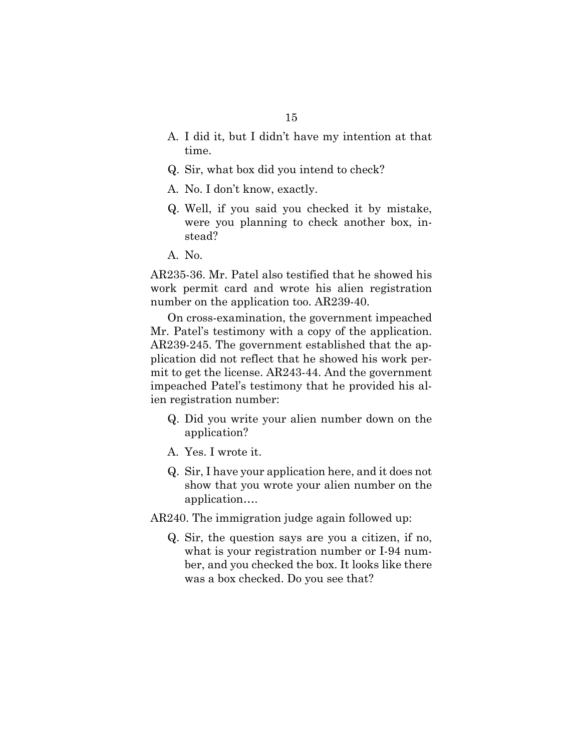- A. I did it, but I didn't have my intention at that time.
- Q. Sir, what box did you intend to check?
- A. No. I don't know, exactly.
- Q. Well, if you said you checked it by mistake, were you planning to check another box, instead?
- A. No.

AR235-36. Mr. Patel also testified that he showed his work permit card and wrote his alien registration number on the application too. AR239-40.

On cross-examination, the government impeached Mr. Patel's testimony with a copy of the application. AR239-245. The government established that the application did not reflect that he showed his work permit to get the license. AR243-44. And the government impeached Patel's testimony that he provided his alien registration number:

- Q. Did you write your alien number down on the application?
- A. Yes. I wrote it.
- Q. Sir, I have your application here, and it does not show that you wrote your alien number on the application….

AR240. The immigration judge again followed up:

Q. Sir, the question says are you a citizen, if no, what is your registration number or I-94 number, and you checked the box. It looks like there was a box checked. Do you see that?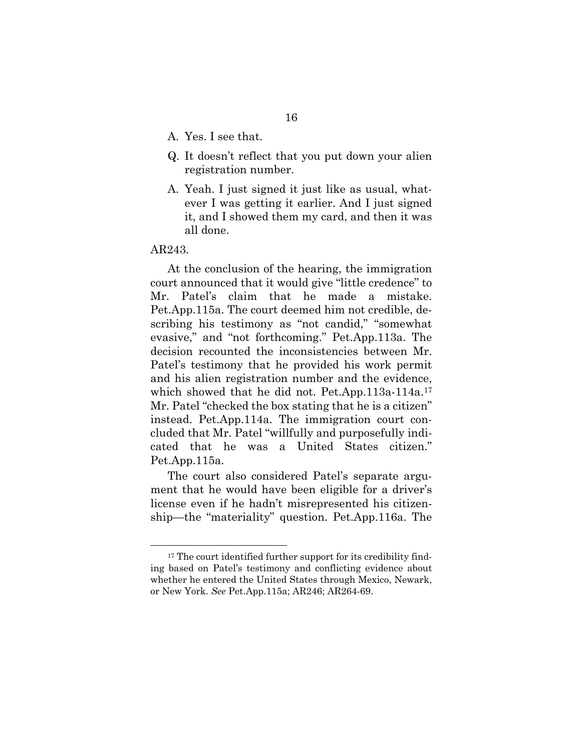- A. Yes. I see that.
- Q. It doesn't reflect that you put down your alien registration number.
- A. Yeah. I just signed it just like as usual, whatever I was getting it earlier. And I just signed it, and I showed them my card, and then it was all done.

#### AR243.

At the conclusion of the hearing, the immigration court announced that it would give "little credence" to Mr. Patel's claim that he made a mistake. Pet.App.115a. The court deemed him not credible, describing his testimony as "not candid," "somewhat evasive," and "not forthcoming." Pet.App.113a. The decision recounted the inconsistencies between Mr. Patel's testimony that he provided his work permit and his alien registration number and the evidence, which showed that he did not. Pet.App.113a-114a.<sup>17</sup> Mr. Patel "checked the box stating that he is a citizen" instead. Pet.App.114a. The immigration court concluded that Mr. Patel "willfully and purposefully indicated that he was a United States citizen." Pet.App.115a.

The court also considered Patel's separate argument that he would have been eligible for a driver's license even if he hadn't misrepresented his citizenship—the "materiality" question. Pet.App.116a. The

<sup>&</sup>lt;sup>17</sup> The court identified further support for its credibility finding based on Patel's testimony and conflicting evidence about whether he entered the United States through Mexico, Newark, or New York. *See* Pet.App.115a; AR246; AR264-69.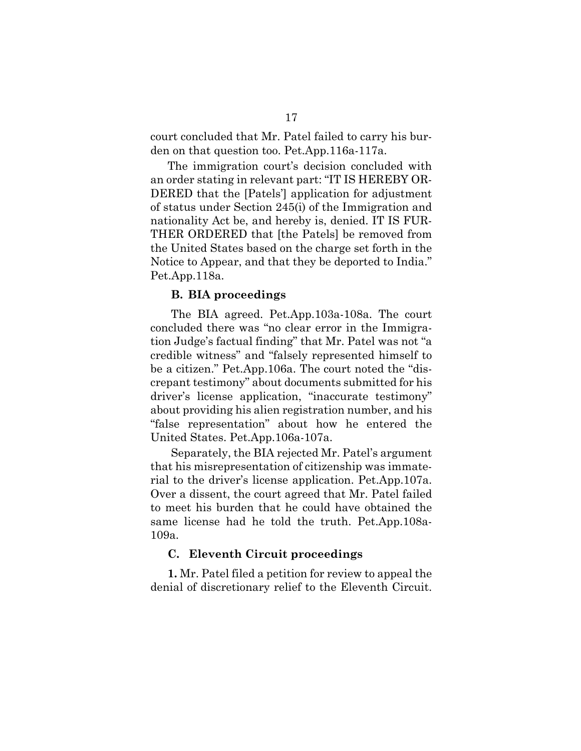court concluded that Mr. Patel failed to carry his burden on that question too. Pet.App.116a-117a.

The immigration court's decision concluded with an order stating in relevant part: "IT IS HEREBY OR-DERED that the [Patels'] application for adjustment of status under Section 245(i) of the Immigration and nationality Act be, and hereby is, denied. IT IS FUR-THER ORDERED that [the Patels] be removed from the United States based on the charge set forth in the Notice to Appear, and that they be deported to India." Pet.App.118a.

#### **B. BIA proceedings**

The BIA agreed. Pet.App.103a-108a. The court concluded there was "no clear error in the Immigration Judge's factual finding" that Mr. Patel was not "a credible witness" and "falsely represented himself to be a citizen." Pet.App.106a. The court noted the "discrepant testimony" about documents submitted for his driver's license application, "inaccurate testimony" about providing his alien registration number, and his "false representation" about how he entered the United States. Pet.App.106a-107a.

Separately, the BIA rejected Mr. Patel's argument that his misrepresentation of citizenship was immaterial to the driver's license application. Pet.App.107a. Over a dissent, the court agreed that Mr. Patel failed to meet his burden that he could have obtained the same license had he told the truth. Pet.App.108a-109a.

#### **C. Eleventh Circuit proceedings**

**1.** Mr. Patel filed a petition for review to appeal the denial of discretionary relief to the Eleventh Circuit.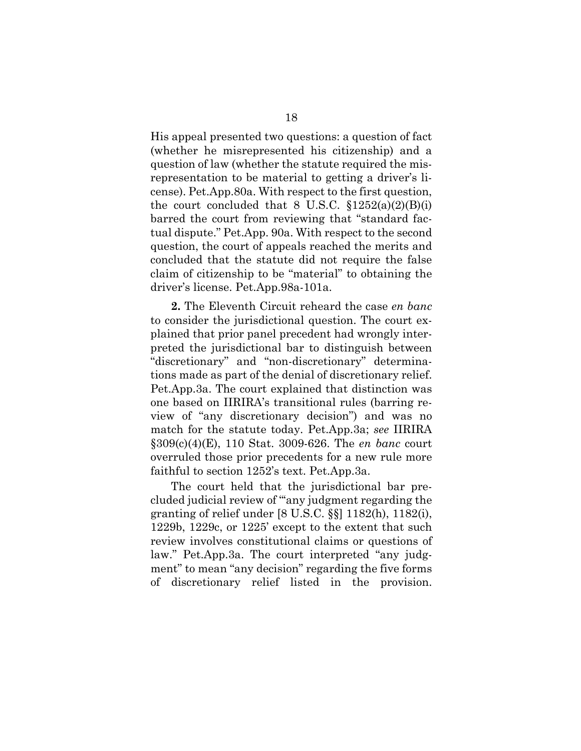His appeal presented two questions: a question of fact (whether he misrepresented his citizenship) and a question of law (whether the statute required the misrepresentation to be material to getting a driver's license). Pet.App.80a. With respect to the first question, the court concluded that 8 U.S.C.  $$1252(a)(2)(B)(i)$ barred the court from reviewing that "standard factual dispute." Pet.App. 90a. With respect to the second question, the court of appeals reached the merits and concluded that the statute did not require the false claim of citizenship to be "material" to obtaining the driver's license. Pet.App.98a-101a.

**2.** The Eleventh Circuit reheard the case *en banc*  to consider the jurisdictional question. The court explained that prior panel precedent had wrongly interpreted the jurisdictional bar to distinguish between "discretionary" and "non-discretionary" determinations made as part of the denial of discretionary relief. Pet.App.3a. The court explained that distinction was one based on IIRIRA's transitional rules (barring review of "any discretionary decision") and was no match for the statute today. Pet.App.3a; *see* IIRIRA §309(c)(4)(E), 110 Stat. 3009-626. The *en banc* court overruled those prior precedents for a new rule more faithful to section 1252's text. Pet.App.3a.

The court held that the jurisdictional bar precluded judicial review of "'any judgment regarding the granting of relief under [8 U.S.C. §§] 1182(h), 1182(i), 1229b, 1229c, or 1225' except to the extent that such review involves constitutional claims or questions of law." Pet.App.3a. The court interpreted "any judgment" to mean "any decision" regarding the five forms of discretionary relief listed in the provision.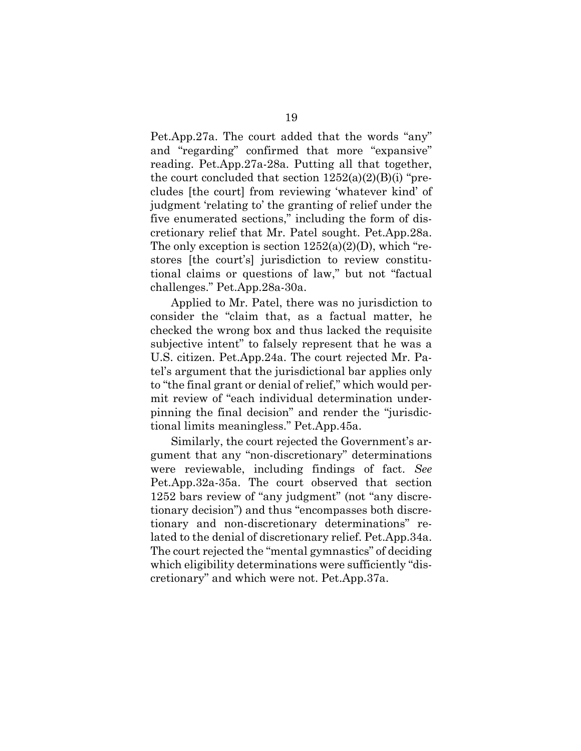Pet.App.27a. The court added that the words "any" and "regarding" confirmed that more "expansive" reading. Pet.App.27a-28a. Putting all that together, the court concluded that section  $1252(a)(2)(B)(i)$  "precludes [the court] from reviewing 'whatever kind' of judgment 'relating to' the granting of relief under the five enumerated sections," including the form of discretionary relief that Mr. Patel sought. Pet.App.28a. The only exception is section  $1252(a)(2)(D)$ , which "restores [the court's] jurisdiction to review constitutional claims or questions of law," but not "factual challenges." Pet.App.28a-30a.

Applied to Mr. Patel, there was no jurisdiction to consider the "claim that, as a factual matter, he checked the wrong box and thus lacked the requisite subjective intent" to falsely represent that he was a U.S. citizen. Pet.App.24a. The court rejected Mr. Patel's argument that the jurisdictional bar applies only to "the final grant or denial of relief," which would permit review of "each individual determination underpinning the final decision" and render the "jurisdictional limits meaningless." Pet.App.45a.

Similarly, the court rejected the Government's argument that any "non-discretionary" determinations were reviewable, including findings of fact. *See*  Pet.App.32a-35a. The court observed that section 1252 bars review of "any judgment" (not "any discretionary decision") and thus "encompasses both discretionary and non-discretionary determinations" related to the denial of discretionary relief. Pet.App.34a. The court rejected the "mental gymnastics" of deciding which eligibility determinations were sufficiently "discretionary" and which were not. Pet.App.37a.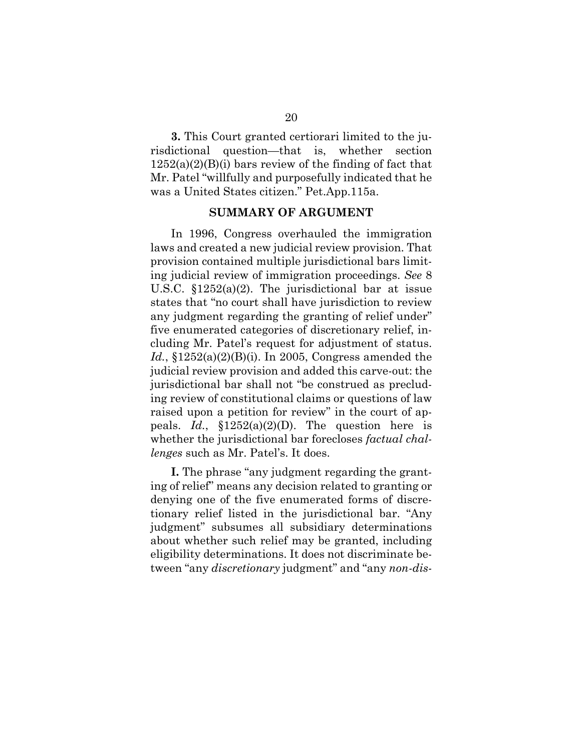**3.** This Court granted certiorari limited to the jurisdictional question—that is, whether section  $1252(a)(2)(B)(i)$  bars review of the finding of fact that Mr. Patel "willfully and purposefully indicated that he was a United States citizen." Pet.App.115a.

#### **SUMMARY OF ARGUMENT**

In 1996, Congress overhauled the immigration laws and created a new judicial review provision. That provision contained multiple jurisdictional bars limiting judicial review of immigration proceedings. *See* 8 U.S.C. §1252(a)(2). The jurisdictional bar at issue states that "no court shall have jurisdiction to review any judgment regarding the granting of relief under" five enumerated categories of discretionary relief, including Mr. Patel's request for adjustment of status. *Id.*, §1252(a)(2)(B)(i). In 2005, Congress amended the judicial review provision and added this carve-out: the jurisdictional bar shall not "be construed as precluding review of constitutional claims or questions of law raised upon a petition for review" in the court of appeals. *Id.*, §1252(a)(2)(D). The question here is whether the jurisdictional bar forecloses *factual challenges* such as Mr. Patel's. It does.

**I.** The phrase "any judgment regarding the granting of relief" means any decision related to granting or denying one of the five enumerated forms of discretionary relief listed in the jurisdictional bar. "Any judgment" subsumes all subsidiary determinations about whether such relief may be granted, including eligibility determinations. It does not discriminate between "any *discretionary* judgment" and "any *non-dis-*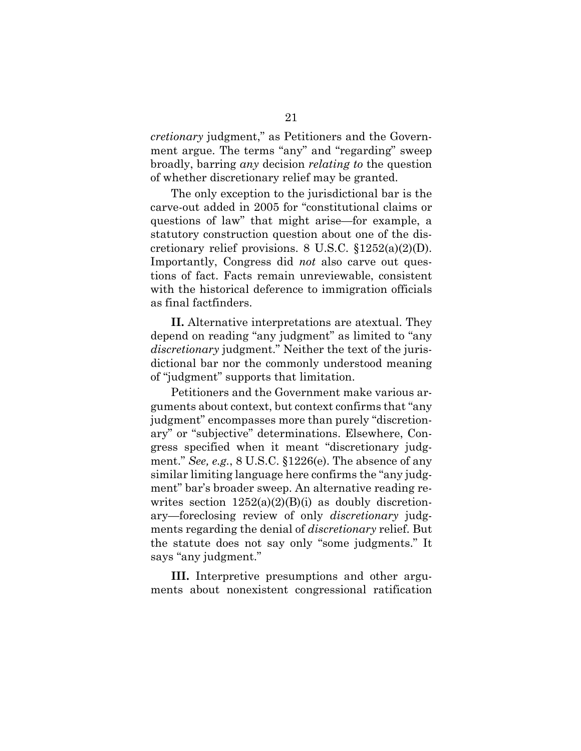*cretionary* judgment," as Petitioners and the Government argue. The terms "any" and "regarding" sweep broadly, barring *any* decision *relating to* the question of whether discretionary relief may be granted.

The only exception to the jurisdictional bar is the carve-out added in 2005 for "constitutional claims or questions of law" that might arise—for example, a statutory construction question about one of the discretionary relief provisions. 8 U.S.C.  $$1252(a)(2)(D)$ . Importantly, Congress did *not* also carve out questions of fact. Facts remain unreviewable, consistent with the historical deference to immigration officials as final factfinders.

**II.** Alternative interpretations are atextual. They depend on reading "any judgment" as limited to "any *discretionary* judgment." Neither the text of the jurisdictional bar nor the commonly understood meaning of "judgment" supports that limitation.

Petitioners and the Government make various arguments about context, but context confirms that "any judgment" encompasses more than purely "discretionary" or "subjective" determinations. Elsewhere, Congress specified when it meant "discretionary judgment." *See, e.g.*, 8 U.S.C. §1226(e). The absence of any similar limiting language here confirms the "any judgment" bar's broader sweep. An alternative reading rewrites section  $1252(a)(2)(B)(i)$  as doubly discretionary—foreclosing review of only *discretionary* judgments regarding the denial of *discretionary* relief. But the statute does not say only "some judgments." It says "any judgment."

**III.** Interpretive presumptions and other arguments about nonexistent congressional ratification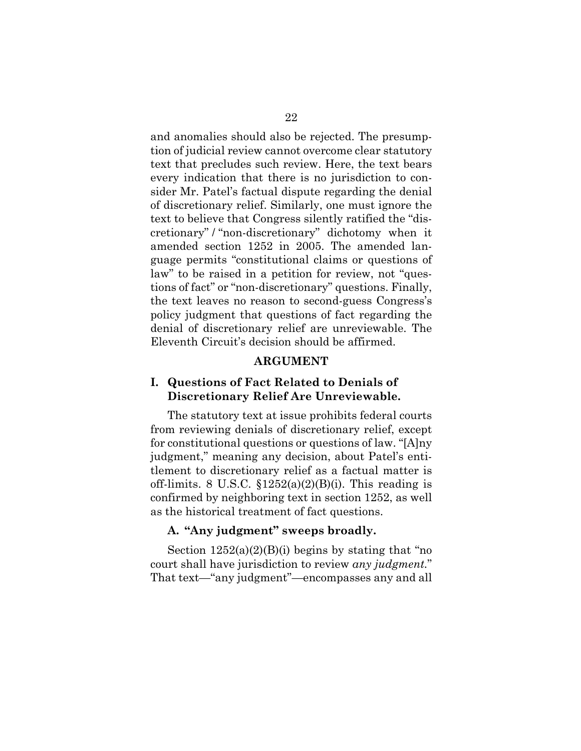and anomalies should also be rejected. The presumption of judicial review cannot overcome clear statutory text that precludes such review. Here, the text bears every indication that there is no jurisdiction to consider Mr. Patel's factual dispute regarding the denial of discretionary relief. Similarly, one must ignore the text to believe that Congress silently ratified the "discretionary" / "non-discretionary" dichotomy when it amended section 1252 in 2005. The amended language permits "constitutional claims or questions of law" to be raised in a petition for review, not "questions of fact" or "non-discretionary" questions. Finally, the text leaves no reason to second-guess Congress's policy judgment that questions of fact regarding the denial of discretionary relief are unreviewable. The Eleventh Circuit's decision should be affirmed.

### **ARGUMENT**

### **I. Questions of Fact Related to Denials of Discretionary Relief Are Unreviewable.**

The statutory text at issue prohibits federal courts from reviewing denials of discretionary relief, except for constitutional questions or questions of law. "[A]ny judgment," meaning any decision, about Patel's entitlement to discretionary relief as a factual matter is off-limits. 8 U.S.C.  $$1252(a)(2)(B)(i)$ . This reading is confirmed by neighboring text in section 1252, as well as the historical treatment of fact questions.

### **A. "Any judgment" sweeps broadly.**

Section  $1252(a)(2)(B)(i)$  begins by stating that "no court shall have jurisdiction to review *any judgment.*" That text—"any judgment"—encompasses any and all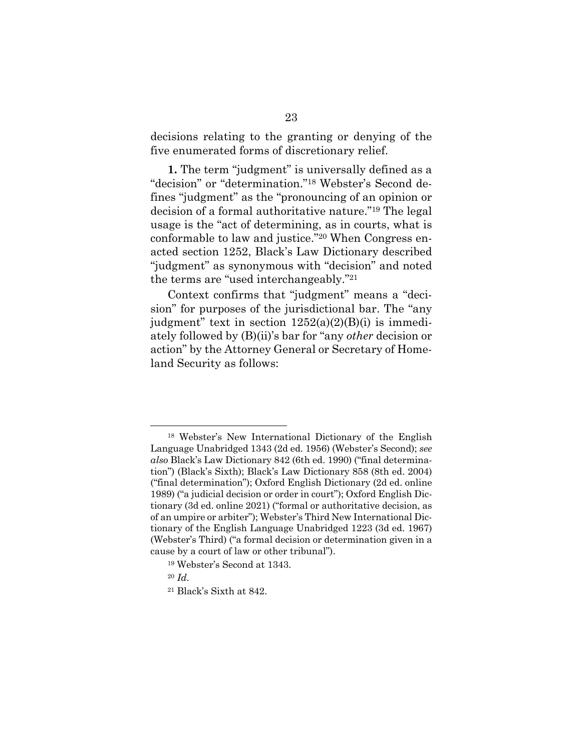decisions relating to the granting or denying of the five enumerated forms of discretionary relief.

**1.** The term "judgment" is universally defined as a "decision" or "determination."<sup>18</sup> Webster's Second defines "judgment" as the "pronouncing of an opinion or decision of a formal authoritative nature."<sup>19</sup> The legal usage is the "act of determining, as in courts, what is conformable to law and justice."<sup>20</sup> When Congress enacted section 1252, Black's Law Dictionary described "judgment" as synonymous with "decision" and noted the terms are "used interchangeably."<sup>21</sup>

Context confirms that "judgment" means a "decision" for purposes of the jurisdictional bar. The "any judgment" text in section  $1252(a)(2)(B)(i)$  is immediately followed by (B)(ii)'s bar for "any *other* decision or action" by the Attorney General or Secretary of Homeland Security as follows:

<sup>18</sup> Webster's New International Dictionary of the English Language Unabridged 1343 (2d ed. 1956) (Webster's Second); *see also* Black's Law Dictionary 842 (6th ed. 1990) ("final determination") (Black's Sixth); Black's Law Dictionary 858 (8th ed. 2004) ("final determination"); Oxford English Dictionary (2d ed. online 1989) ("a judicial decision or order in court"); Oxford English Dictionary (3d ed. online 2021) ("formal or authoritative decision, as of an umpire or arbiter"); Webster's Third New International Dictionary of the English Language Unabridged 1223 (3d ed. 1967) (Webster's Third) ("a formal decision or determination given in a cause by a court of law or other tribunal").

<sup>19</sup> Webster's Second at 1343.

<sup>20</sup> *Id*.

<sup>21</sup> Black's Sixth at 842.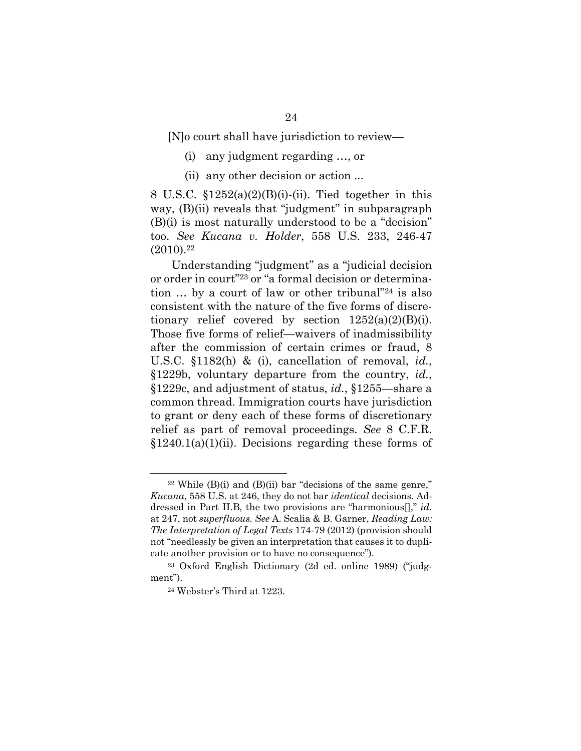[N]o court shall have jurisdiction to review—

- (i) any judgment regarding …, or
- (ii) any other decision or action ...

8 U.S.C.  $$1252(a)(2)(B)(i)$ -(ii). Tied together in this way, (B)(ii) reveals that "judgment" in subparagraph (B)(i) is most naturally understood to be a "decision" too. *See Kucana v. Holder*, 558 U.S. 233, 246-47  $(2010).<sup>22</sup>$ 

Understanding "judgment" as a "judicial decision or order in court"<sup>23</sup> or "a formal decision or determination … by a court of law or other tribunal"<sup>24</sup> is also consistent with the nature of the five forms of discretionary relief covered by section  $1252(a)(2)(B)(i)$ . Those five forms of relief—waivers of inadmissibility after the commission of certain crimes or fraud, 8 U.S.C. §1182(h) & (i), cancellation of removal, *id.*, §1229b, voluntary departure from the country, *id.*, §1229c, and adjustment of status, *id.*, §1255—share a common thread. Immigration courts have jurisdiction to grant or deny each of these forms of discretionary relief as part of removal proceedings. *See* 8 C.F.R. §1240.1(a)(1)(ii). Decisions regarding these forms of

 $22$  While (B)(i) and (B)(ii) bar "decisions of the same genre," *Kucana*, 558 U.S. at 246, they do not bar *identical* decisions. Addressed in Part II.B, the two provisions are "harmonious[]," *id.* at 247, not *superfluous. See* A. Scalia & B. Garner, *Reading Law: The Interpretation of Legal Texts* 174-79 (2012) (provision should not "needlessly be given an interpretation that causes it to duplicate another provision or to have no consequence").

<sup>23</sup> Oxford English Dictionary (2d ed. online 1989) ("judgment").

<sup>24</sup> Webster's Third at 1223.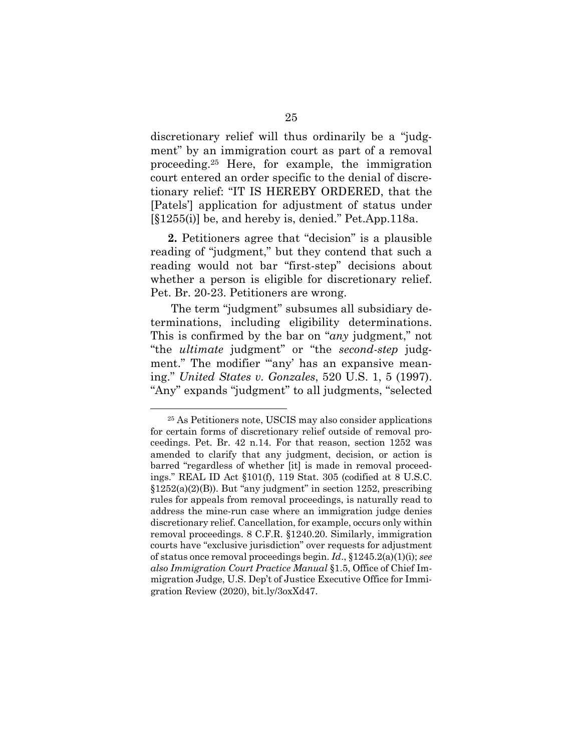discretionary relief will thus ordinarily be a "judgment" by an immigration court as part of a removal proceeding.<sup>25</sup> Here, for example, the immigration court entered an order specific to the denial of discretionary relief: "IT IS HEREBY ORDERED, that the [Patels'] application for adjustment of status under [§1255(i)] be, and hereby is, denied." Pet.App.118a.

**2.** Petitioners agree that "decision" is a plausible reading of "judgment," but they contend that such a reading would not bar "first-step" decisions about whether a person is eligible for discretionary relief. Pet. Br. 20-23. Petitioners are wrong.

The term "judgment" subsumes all subsidiary determinations, including eligibility determinations. This is confirmed by the bar on "*any* judgment," not "the *ultimate* judgment" or "the *second-step* judgment." The modifier ""any' has an expansive meaning." *United States v. Gonzales*, 520 U.S. 1, 5 (1997). "Any" expands "judgment" to all judgments, "selected

<sup>25</sup> As Petitioners note, USCIS may also consider applications for certain forms of discretionary relief outside of removal proceedings. Pet. Br. 42 n.14. For that reason, section 1252 was amended to clarify that any judgment, decision, or action is barred "regardless of whether [it] is made in removal proceedings." REAL ID Act §101(f), 119 Stat. 305 (codified at 8 U.S.C.  $§1252(a)(2)(B)$ . But "any judgment" in section 1252, prescribing rules for appeals from removal proceedings, is naturally read to address the mine-run case where an immigration judge denies discretionary relief. Cancellation, for example, occurs only within removal proceedings. 8 C.F.R. §1240.20. Similarly, immigration courts have "exclusive jurisdiction" over requests for adjustment of status once removal proceedings begin. *Id*., §1245.2(a)(1)(i); *see also Immigration Court Practice Manual* §1.5, Office of Chief Immigration Judge, U.S. Dep't of Justice Executive Office for Immigration Review (2020), bit.ly/3oxXd47.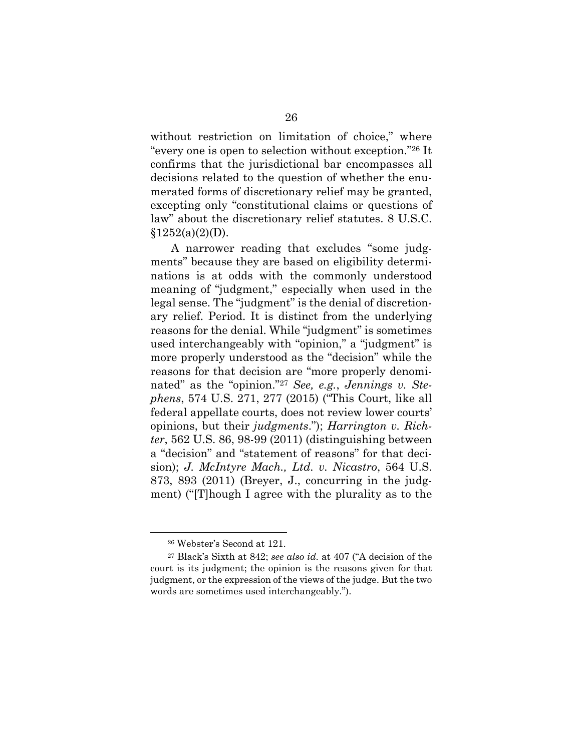without restriction on limitation of choice," where "every one is open to selection without exception."<sup>26</sup> It confirms that the jurisdictional bar encompasses all decisions related to the question of whether the enumerated forms of discretionary relief may be granted, excepting only "constitutional claims or questions of law" about the discretionary relief statutes. 8 U.S.C.  $$1252(a)(2)(D).$ 

A narrower reading that excludes "some judgments" because they are based on eligibility determinations is at odds with the commonly understood meaning of "judgment," especially when used in the legal sense. The "judgment" is the denial of discretionary relief. Period. It is distinct from the underlying reasons for the denial. While "judgment" is sometimes used interchangeably with "opinion," a "judgment" is more properly understood as the "decision" while the reasons for that decision are "more properly denominated" as the "opinion."<sup>27</sup> *See, e.g.*, *Jennings v. Stephens*, 574 U.S. 271, 277 (2015) ("This Court, like all federal appellate courts, does not review lower courts' opinions, but their *judgments*."); *Harrington v. Richter*, 562 U.S. 86, 98-99 (2011) (distinguishing between a "decision" and "statement of reasons" for that decision); *J. McIntyre Mach., Ltd. v. Nicastro*, 564 U.S. 873, 893 (2011) (Breyer, J., concurring in the judgment) ("[T]hough I agree with the plurality as to the

<sup>26</sup> Webster's Second at 121.

<sup>27</sup> Black's Sixth at 842; *see also id.* at 407 ("A decision of the court is its judgment; the opinion is the reasons given for that judgment, or the expression of the views of the judge. But the two words are sometimes used interchangeably.").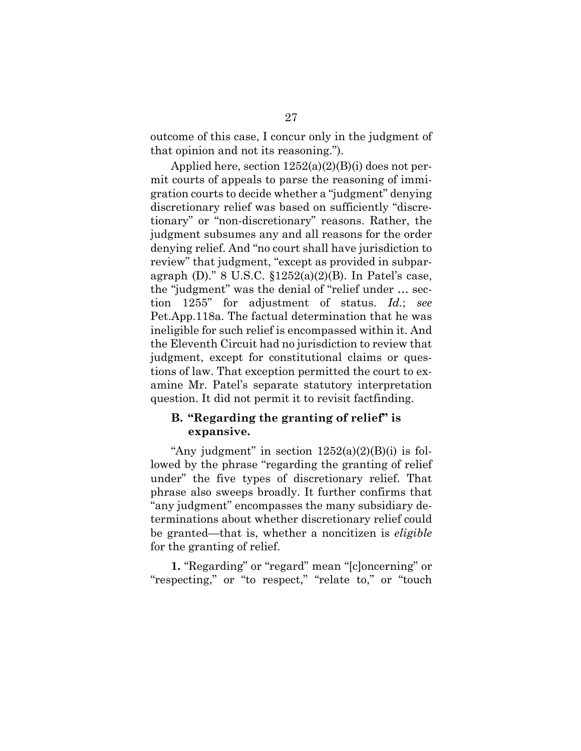outcome of this case, I concur only in the judgment of that opinion and not its reasoning.").

Applied here, section  $1252(a)(2)(B)(i)$  does not permit courts of appeals to parse the reasoning of immigration courts to decide whether a "judgment" denying discretionary relief was based on sufficiently "discretionary" or "non-discretionary" reasons. Rather, the judgment subsumes any and all reasons for the order denying relief. And "no court shall have jurisdiction to review" that judgment, "except as provided in subparagraph (D)." 8 U.S.C.  $$1252(a)(2)(B)$ . In Patel's case, the "judgment" was the denial of "relief under … section 1255" for adjustment of status. *Id.*; *see*  Pet.App.118a. The factual determination that he was ineligible for such relief is encompassed within it. And the Eleventh Circuit had no jurisdiction to review that judgment, except for constitutional claims or questions of law. That exception permitted the court to examine Mr. Patel's separate statutory interpretation question. It did not permit it to revisit factfinding.

# **B. "Regarding the granting of relief" is expansive.**

"Any judgment" in section  $1252(a)(2)(B)(i)$  is followed by the phrase "regarding the granting of relief under" the five types of discretionary relief. That phrase also sweeps broadly. It further confirms that "any judgment" encompasses the many subsidiary determinations about whether discretionary relief could be granted—that is, whether a noncitizen is *eligible*  for the granting of relief.

**1.** "Regarding" or "regard" mean "[c]oncerning" or "respecting," or "to respect," "relate to," or "touch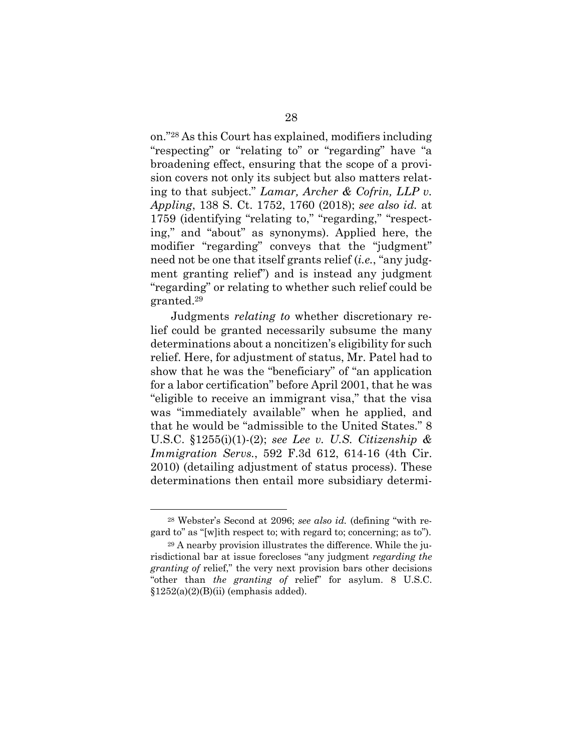on."<sup>28</sup> As this Court has explained, modifiers including "respecting" or "relating to" or "regarding" have "a broadening effect, ensuring that the scope of a provision covers not only its subject but also matters relating to that subject." *Lamar, Archer & Cofrin, LLP v. Appling*, 138 S. Ct. 1752, 1760 (2018); *see also id.* at 1759 (identifying "relating to," "regarding," "respecting," and "about" as synonyms). Applied here, the modifier "regarding" conveys that the "judgment" need not be one that itself grants relief (*i.e.*, "any judgment granting relief") and is instead any judgment "regarding" or relating to whether such relief could be granted.<sup>29</sup>

Judgments *relating to* whether discretionary relief could be granted necessarily subsume the many determinations about a noncitizen's eligibility for such relief. Here, for adjustment of status, Mr. Patel had to show that he was the "beneficiary" of "an application for a labor certification" before April 2001, that he was "eligible to receive an immigrant visa," that the visa was "immediately available" when he applied, and that he would be "admissible to the United States." 8 U.S.C. §1255(i)(1)-(2); *see Lee v. U.S. Citizenship & Immigration Servs.*, 592 F.3d 612, 614-16 (4th Cir. 2010) (detailing adjustment of status process). These determinations then entail more subsidiary determi-

<sup>28</sup> Webster's Second at 2096; *see also id.* (defining "with regard to" as "[w]ith respect to; with regard to; concerning; as to").

<sup>29</sup> A nearby provision illustrates the difference. While the jurisdictional bar at issue forecloses "any judgment *regarding the granting of* relief," the very next provision bars other decisions "other than *the granting of* relief" for asylum. 8 U.S.C.  $§1252(a)(2)(B)(ii)$  (emphasis added).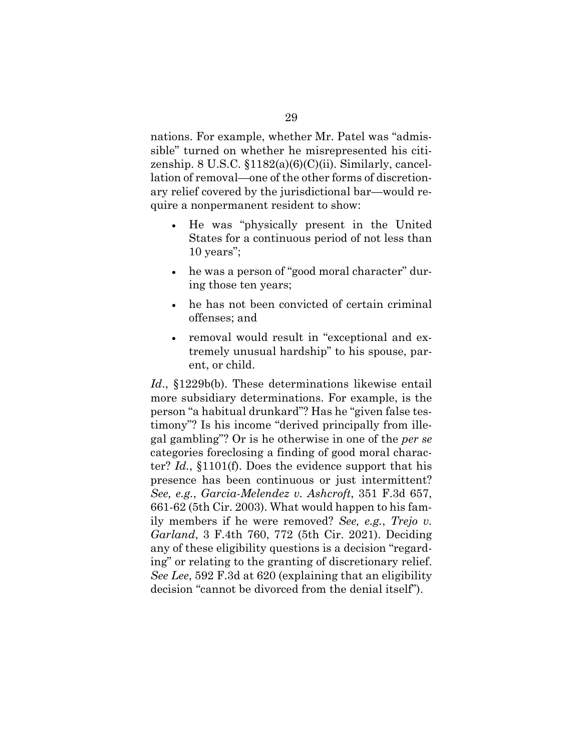nations. For example, whether Mr. Patel was "admissible" turned on whether he misrepresented his citizenship. 8 U.S.C.  $$1182(a)(6)(C)(ii)$ . Similarly, cancellation of removal—one of the other forms of discretionary relief covered by the jurisdictional bar—would require a nonpermanent resident to show:

- He was "physically present in the United States for a continuous period of not less than 10 years";
- he was a person of "good moral character" during those ten years;
- he has not been convicted of certain criminal offenses; and
- removal would result in "exceptional and extremely unusual hardship" to his spouse, parent, or child.

*Id*., §1229b(b). These determinations likewise entail more subsidiary determinations. For example, is the person "a habitual drunkard"? Has he "given false testimony"? Is his income "derived principally from illegal gambling"? Or is he otherwise in one of the *per se*  categories foreclosing a finding of good moral character? *Id.*, §1101(f). Does the evidence support that his presence has been continuous or just intermittent? *See, e.g.*, *Garcia-Melendez v. Ashcroft*, 351 F.3d 657, 661-62 (5th Cir. 2003). What would happen to his family members if he were removed? *See, e.g.*, *Trejo v. Garland*, 3 F.4th 760, 772 (5th Cir. 2021). Deciding any of these eligibility questions is a decision "regarding" or relating to the granting of discretionary relief. *See Lee*, 592 F.3d at 620 (explaining that an eligibility decision "cannot be divorced from the denial itself").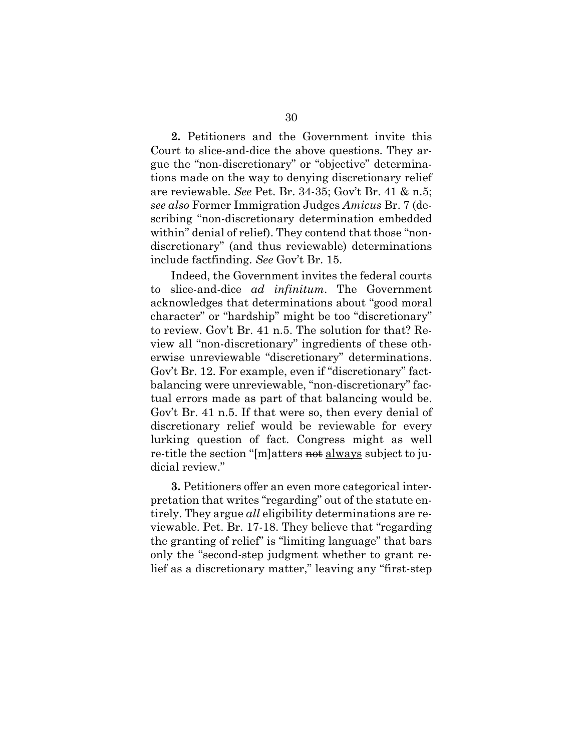**2.** Petitioners and the Government invite this Court to slice-and-dice the above questions. They argue the "non-discretionary" or "objective" determinations made on the way to denying discretionary relief are reviewable. *See* Pet. Br. 34-35; Gov't Br. 41 & n.5; *see also* Former Immigration Judges *Amicus* Br. 7 (describing "non-discretionary determination embedded within" denial of relief). They contend that those "nondiscretionary" (and thus reviewable) determinations include factfinding. *See* Gov't Br. 15.

Indeed, the Government invites the federal courts to slice-and-dice *ad infinitum*. The Government acknowledges that determinations about "good moral character" or "hardship" might be too "discretionary" to review. Gov't Br. 41 n.5. The solution for that? Review all "non-discretionary" ingredients of these otherwise unreviewable "discretionary" determinations. Gov't Br. 12. For example, even if "discretionary" factbalancing were unreviewable, "non-discretionary" factual errors made as part of that balancing would be. Gov't Br. 41 n.5. If that were so, then every denial of discretionary relief would be reviewable for every lurking question of fact. Congress might as well re-title the section "[m]atters not always subject to judicial review."

**3.** Petitioners offer an even more categorical interpretation that writes "regarding" out of the statute entirely. They argue *all* eligibility determinations are reviewable. Pet. Br. 17-18. They believe that "regarding the granting of relief" is "limiting language" that bars only the "second-step judgment whether to grant relief as a discretionary matter," leaving any "first-step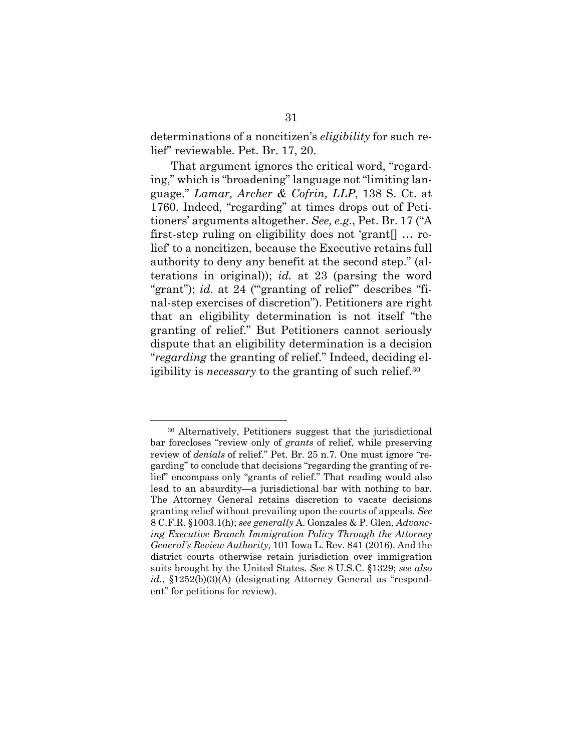determinations of a noncitizen's *eligibility* for such relief" reviewable. Pet. Br. 17, 20.

That argument ignores the critical word, "regarding," which is "broadening" language not "limiting language." *Lamar, Archer & Cofrin, LLP*, 138 S. Ct. at 1760. Indeed, "regarding" at times drops out of Petitioners' arguments altogether. *See, e.g.*, Pet. Br. 17 ("A first-step ruling on eligibility does not 'grant[] … relief' to a noncitizen, because the Executive retains full authority to deny any benefit at the second step." (alterations in original)); *id.* at 23 (parsing the word "grant"); *id.* at 24 ("granting of relief" describes "final-step exercises of discretion"). Petitioners are right that an eligibility determination is not itself "the granting of relief." But Petitioners cannot seriously dispute that an eligibility determination is a decision "*regarding* the granting of relief." Indeed, deciding eligibility is *necessary* to the granting of such relief.<sup>30</sup>

<sup>30</sup> Alternatively, Petitioners suggest that the jurisdictional bar forecloses "review only of *grants* of relief, while preserving review of *denials* of relief." Pet. Br. 25 n.7. One must ignore "regarding" to conclude that decisions "regarding the granting of relief" encompass only "grants of relief." That reading would also lead to an absurdity—a jurisdictional bar with nothing to bar. The Attorney General retains discretion to vacate decisions granting relief without prevailing upon the courts of appeals. *See* 8 C.F.R. §1003.1(h); *see generally* A. Gonzales & P. Glen, *Advancing Executive Branch Immigration Policy Through the Attorney General's Review Authority*, 101 Iowa L. Rev. 841 (2016). And the district courts otherwise retain jurisdiction over immigration suits brought by the United States. *See* 8 U.S.C. §1329; *see also id.*, §1252(b)(3)(A) (designating Attorney General as "respondent" for petitions for review).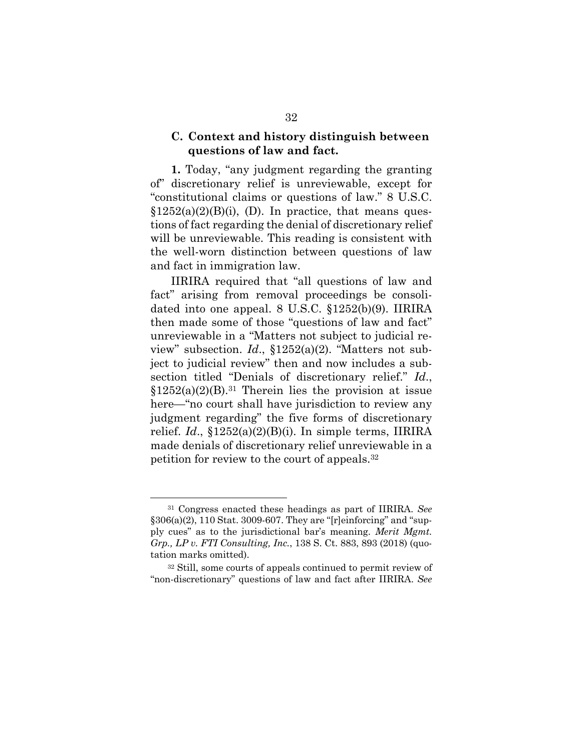# **C. Context and history distinguish between questions of law and fact.**

**1.** Today, "any judgment regarding the granting of" discretionary relief is unreviewable, except for "constitutional claims or questions of law." 8 U.S.C.  $$1252(a)(2)(B)(i), (D)$ . In practice, that means questions of fact regarding the denial of discretionary relief will be unreviewable. This reading is consistent with the well-worn distinction between questions of law and fact in immigration law.

IIRIRA required that "all questions of law and fact" arising from removal proceedings be consolidated into one appeal. 8 U.S.C. §1252(b)(9). IIRIRA then made some of those "questions of law and fact" unreviewable in a "Matters not subject to judicial review" subsection. *Id*., §1252(a)(2). "Matters not subject to judicial review" then and now includes a subsection titled "Denials of discretionary relief." *Id*.,  $$1252(a)(2)(B).<sup>31</sup>$  Therein lies the provision at issue here—"no court shall have jurisdiction to review any judgment regarding" the five forms of discretionary relief. *Id*., §1252(a)(2)(B)(i). In simple terms, IIRIRA made denials of discretionary relief unreviewable in a petition for review to the court of appeals.<sup>32</sup>

<sup>31</sup> Congress enacted these headings as part of IIRIRA. *See*  §306(a)(2), 110 Stat. 3009-607. They are "[r]einforcing" and "supply cues" as to the jurisdictional bar's meaning. *Merit Mgmt. Grp., LP v. FTI Consulting, Inc.*, 138 S. Ct. 883, 893 (2018) (quotation marks omitted).

<sup>32</sup> Still, some courts of appeals continued to permit review of "non-discretionary" questions of law and fact after IIRIRA. *See*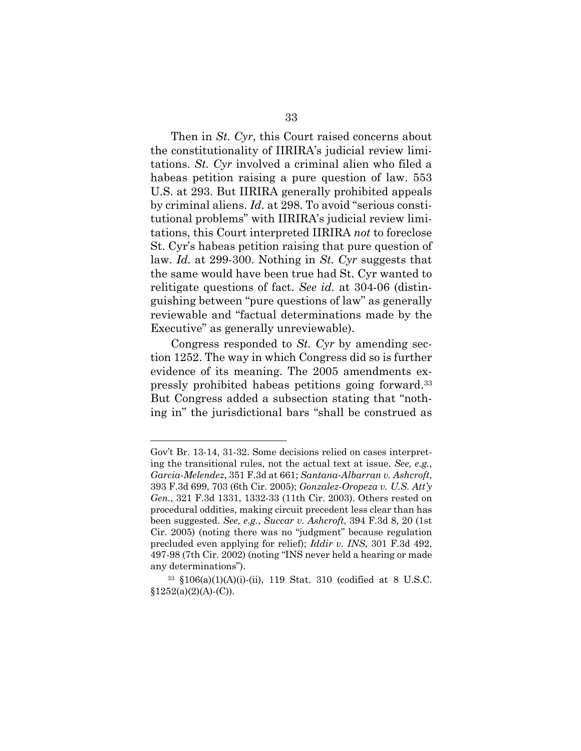Then in *St. Cyr*, this Court raised concerns about the constitutionality of IIRIRA's judicial review limitations. *St. Cyr* involved a criminal alien who filed a habeas petition raising a pure question of law. 553 U.S. at 293. But IIRIRA generally prohibited appeals by criminal aliens. *Id.* at 298. To avoid "serious constitutional problems" with IIRIRA's judicial review limitations, this Court interpreted IIRIRA *not* to foreclose St. Cyr's habeas petition raising that pure question of law. *Id.* at 299-300. Nothing in *St. Cyr* suggests that the same would have been true had St. Cyr wanted to relitigate questions of fact. *See id.* at 304-06 (distinguishing between "pure questions of law" as generally reviewable and "factual determinations made by the Executive" as generally unreviewable).

Congress responded to *St. Cyr* by amending section 1252. The way in which Congress did so is further evidence of its meaning. The 2005 amendments expressly prohibited habeas petitions going forward.<sup>33</sup> But Congress added a subsection stating that "nothing in" the jurisdictional bars "shall be construed as

Gov't Br. 13-14, 31-32. Some decisions relied on cases interpreting the transitional rules, not the actual text at issue. *See, e.g.*, *Garcia-Melendez*, 351 F.3d at 661; *Santana-Albarran v. Ashcroft*, 393 F.3d 699, 703 (6th Cir. 2005); *Gonzalez-Oropeza v. U.S. Att'y Gen.*, 321 F.3d 1331, 1332-33 (11th Cir. 2003). Others rested on procedural oddities, making circuit precedent less clear than has been suggested. *See, e.g.*, *Succar v. Ashcroft*, 394 F.3d 8, 20 (1st Cir. 2005) (noting there was no "judgment" because regulation precluded even applying for relief); *Iddir v. INS*, 301 F.3d 492, 497-98 (7th Cir. 2002) (noting "INS never held a hearing or made any determinations").

<sup>33</sup> §106(a)(1)(A)(i)-(ii), 119 Stat. 310 (codified at 8 U.S.C.  $§1252(a)(2)(A)-(C)).$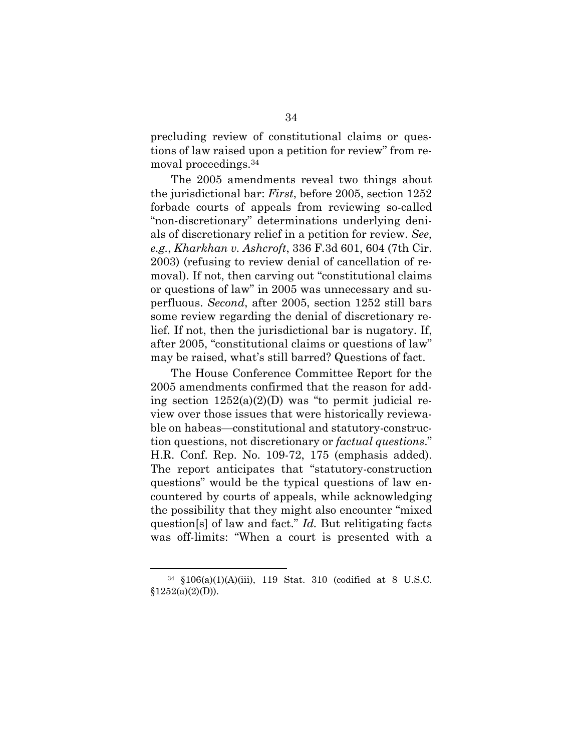precluding review of constitutional claims or questions of law raised upon a petition for review" from removal proceedings.<sup>34</sup>

The 2005 amendments reveal two things about the jurisdictional bar: *First*, before 2005, section 1252 forbade courts of appeals from reviewing so-called "non-discretionary" determinations underlying denials of discretionary relief in a petition for review. *See, e.g.*, *Kharkhan v. Ashcroft*, 336 F.3d 601, 604 (7th Cir. 2003) (refusing to review denial of cancellation of removal). If not, then carving out "constitutional claims or questions of law" in 2005 was unnecessary and superfluous. *Second*, after 2005, section 1252 still bars some review regarding the denial of discretionary relief. If not, then the jurisdictional bar is nugatory. If, after 2005, "constitutional claims or questions of law" may be raised, what's still barred? Questions of fact.

The House Conference Committee Report for the 2005 amendments confirmed that the reason for adding section  $1252(a)(2)(D)$  was "to permit judicial review over those issues that were historically reviewable on habeas—constitutional and statutory-construction questions, not discretionary or *factual questions*." H.R. Conf. Rep. No. 109-72, 175 (emphasis added). The report anticipates that "statutory-construction questions" would be the typical questions of law encountered by courts of appeals, while acknowledging the possibility that they might also encounter "mixed question[s] of law and fact." *Id.* But relitigating facts was off-limits: "When a court is presented with a

<sup>34</sup> §106(a)(1)(A)(iii), 119 Stat. 310 (codified at 8 U.S.C.  $§1252(a)(2)(D)).$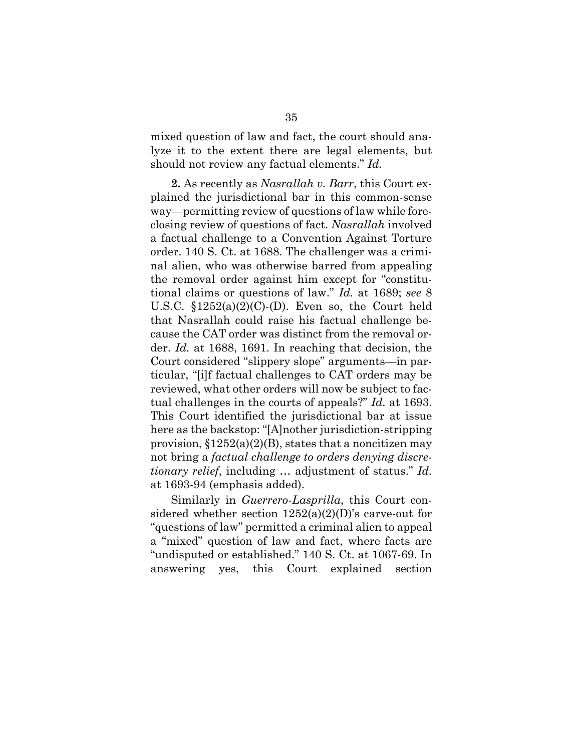mixed question of law and fact, the court should analyze it to the extent there are legal elements, but should not review any factual elements." *Id.* 

**2.** As recently as *Nasrallah v. Barr*, this Court explained the jurisdictional bar in this common-sense way—permitting review of questions of law while foreclosing review of questions of fact. *Nasrallah* involved a factual challenge to a Convention Against Torture order. 140 S. Ct. at 1688. The challenger was a criminal alien, who was otherwise barred from appealing the removal order against him except for "constitutional claims or questions of law." *Id.* at 1689; *see* 8 U.S.C.  $$1252(a)(2)(C)$ -(D). Even so, the Court held that Nasrallah could raise his factual challenge because the CAT order was distinct from the removal order. *Id.* at 1688, 1691. In reaching that decision, the Court considered "slippery slope" arguments—in particular, "[i]f factual challenges to CAT orders may be reviewed, what other orders will now be subject to factual challenges in the courts of appeals?" *Id.* at 1693. This Court identified the jurisdictional bar at issue here as the backstop: "[A]nother jurisdiction-stripping provision,  $$1252(a)(2)(B)$ , states that a noncitizen may not bring a *factual challenge to orders denying discretionary relief*, including … adjustment of status." *Id.*  at 1693-94 (emphasis added).

Similarly in *Guerrero-Lasprilla*, this Court considered whether section 1252(a)(2)(D)'s carve-out for "questions of law" permitted a criminal alien to appeal a "mixed" question of law and fact, where facts are "undisputed or established." 140 S. Ct. at 1067-69. In answering yes, this Court explained section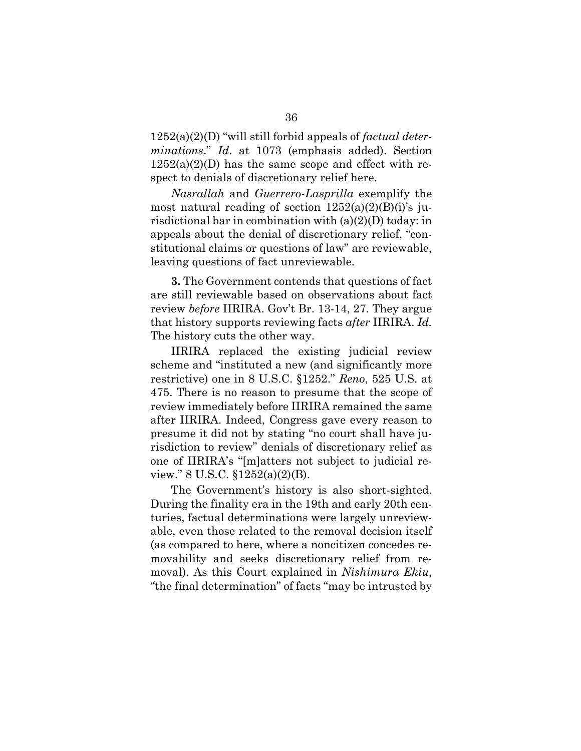1252(a)(2)(D) "will still forbid appeals of *factual determinations*." *Id*. at 1073 (emphasis added). Section  $1252(a)(2)(D)$  has the same scope and effect with respect to denials of discretionary relief here.

*Nasrallah* and *Guerrero-Lasprilla* exemplify the most natural reading of section  $1252(a)(2)(B)(i)$ 's jurisdictional bar in combination with (a)(2)(D) today: in appeals about the denial of discretionary relief, "constitutional claims or questions of law" are reviewable, leaving questions of fact unreviewable.

**3.** The Government contends that questions of fact are still reviewable based on observations about fact review *before* IIRIRA. Gov't Br. 13-14, 27. They argue that history supports reviewing facts *after* IIRIRA. *Id.*  The history cuts the other way.

IIRIRA replaced the existing judicial review scheme and "instituted a new (and significantly more restrictive) one in 8 U.S.C. §1252." *Reno*, 525 U.S. at 475. There is no reason to presume that the scope of review immediately before IIRIRA remained the same after IIRIRA. Indeed, Congress gave every reason to presume it did not by stating "no court shall have jurisdiction to review" denials of discretionary relief as one of IIRIRA's "[m]atters not subject to judicial review." 8 U.S.C. §1252(a)(2)(B).

The Government's history is also short-sighted. During the finality era in the 19th and early 20th centuries, factual determinations were largely unreviewable, even those related to the removal decision itself (as compared to here, where a noncitizen concedes removability and seeks discretionary relief from removal). As this Court explained in *Nishimura Ekiu*, "the final determination" of facts "may be intrusted by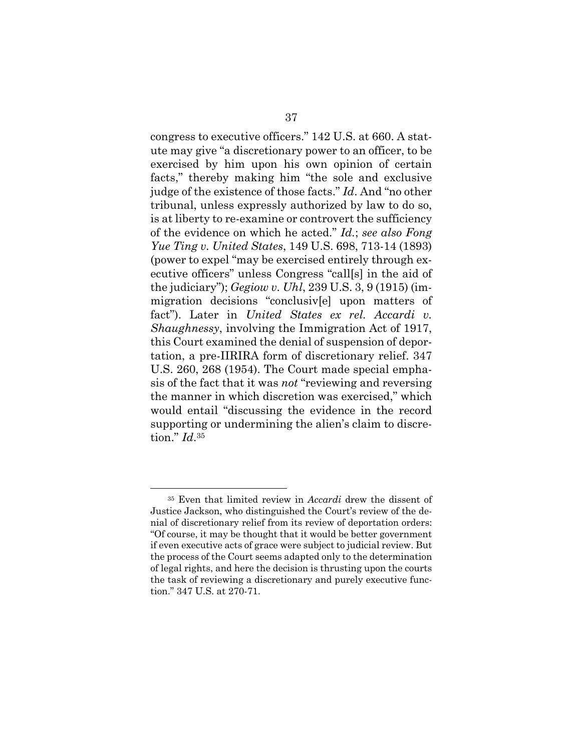congress to executive officers." 142 U.S. at 660. A statute may give "a discretionary power to an officer, to be exercised by him upon his own opinion of certain facts," thereby making him "the sole and exclusive judge of the existence of those facts." *Id*. And "no other tribunal, unless expressly authorized by law to do so, is at liberty to re-examine or controvert the sufficiency of the evidence on which he acted." *Id.*; *see also Fong Yue Ting v. United States*, 149 U.S. 698, 713-14 (1893) (power to expel "may be exercised entirely through executive officers" unless Congress "call[s] in the aid of the judiciary"); *Gegiow v. Uhl*, 239 U.S. 3, 9 (1915) (immigration decisions "conclusiv[e] upon matters of fact"). Later in *United States ex rel. Accardi v. Shaughnessy*, involving the Immigration Act of 1917, this Court examined the denial of suspension of deportation, a pre-IIRIRA form of discretionary relief. 347 U.S. 260, 268 (1954). The Court made special emphasis of the fact that it was *not* "reviewing and reversing the manner in which discretion was exercised," which would entail "discussing the evidence in the record supporting or undermining the alien's claim to discretion." *Id*.<sup>35</sup>

<sup>35</sup> Even that limited review in *Accardi* drew the dissent of Justice Jackson, who distinguished the Court's review of the denial of discretionary relief from its review of deportation orders: "Of course, it may be thought that it would be better government if even executive acts of grace were subject to judicial review. But the process of the Court seems adapted only to the determination of legal rights, and here the decision is thrusting upon the courts the task of reviewing a discretionary and purely executive function." 347 U.S. at 270-71.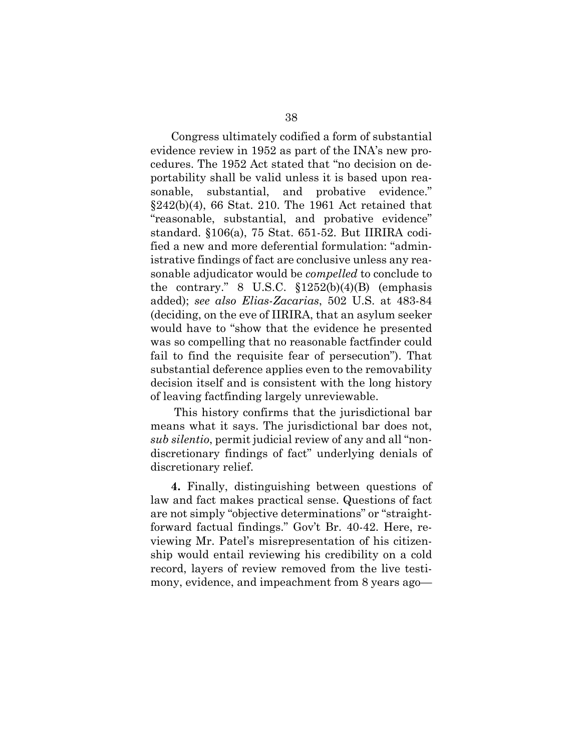Congress ultimately codified a form of substantial evidence review in 1952 as part of the INA's new procedures. The 1952 Act stated that "no decision on deportability shall be valid unless it is based upon reasonable, substantial, and probative evidence." §242(b)(4), 66 Stat. 210. The 1961 Act retained that "reasonable, substantial, and probative evidence" standard. §106(a), 75 Stat. 651-52. But IIRIRA codified a new and more deferential formulation: "administrative findings of fact are conclusive unless any reasonable adjudicator would be *compelled* to conclude to the contrary." 8 U.S.C.  $$1252(b)(4)(B)$  (emphasis added); *see also Elias-Zacarias*, 502 U.S. at 483-84 (deciding, on the eve of IIRIRA, that an asylum seeker would have to "show that the evidence he presented was so compelling that no reasonable factfinder could fail to find the requisite fear of persecution"). That substantial deference applies even to the removability decision itself and is consistent with the long history of leaving factfinding largely unreviewable.

This history confirms that the jurisdictional bar means what it says. The jurisdictional bar does not, *sub silentio*, permit judicial review of any and all "nondiscretionary findings of fact" underlying denials of discretionary relief.

**4.** Finally, distinguishing between questions of law and fact makes practical sense. Questions of fact are not simply "objective determinations" or "straightforward factual findings." Gov't Br. 40-42. Here, reviewing Mr. Patel's misrepresentation of his citizenship would entail reviewing his credibility on a cold record, layers of review removed from the live testimony, evidence, and impeachment from 8 years ago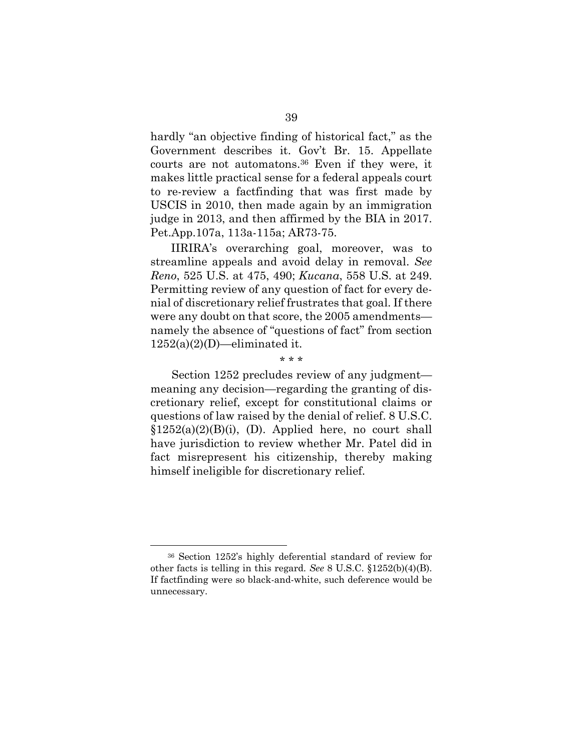hardly "an objective finding of historical fact," as the Government describes it. Gov't Br. 15. Appellate courts are not automatons.<sup>36</sup> Even if they were, it makes little practical sense for a federal appeals court to re-review a factfinding that was first made by USCIS in 2010, then made again by an immigration judge in 2013, and then affirmed by the BIA in 2017. Pet.App.107a, 113a-115a; AR73-75.

IIRIRA's overarching goal, moreover, was to streamline appeals and avoid delay in removal. *See Reno*, 525 U.S. at 475, 490; *Kucana*, 558 U.S. at 249. Permitting review of any question of fact for every denial of discretionary relief frustrates that goal. If there were any doubt on that score, the 2005 amendments namely the absence of "questions of fact" from section  $1252(a)(2)(D)$ —eliminated it.

\* \* \*

Section 1252 precludes review of any judgment meaning any decision—regarding the granting of discretionary relief, except for constitutional claims or questions of law raised by the denial of relief. 8 U.S.C.  $$1252(a)(2)(B)(i), (D).$  Applied here, no court shall have jurisdiction to review whether Mr. Patel did in fact misrepresent his citizenship, thereby making himself ineligible for discretionary relief.

<sup>36</sup> Section 1252's highly deferential standard of review for other facts is telling in this regard. *See* 8 U.S.C. §1252(b)(4)(B). If factfinding were so black-and-white, such deference would be unnecessary.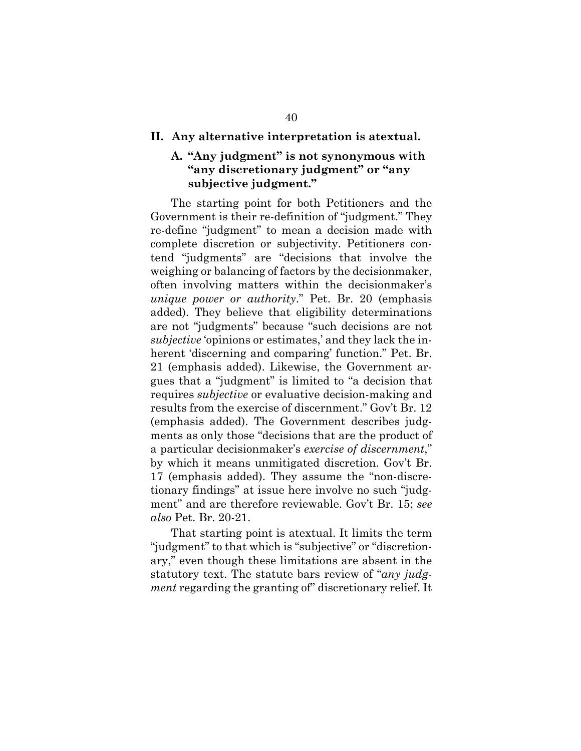## **II. Any alternative interpretation is atextual.**

# **A. "Any judgment" is not synonymous with "any discretionary judgment" or "any subjective judgment."**

The starting point for both Petitioners and the Government is their re-definition of "judgment." They re-define "judgment" to mean a decision made with complete discretion or subjectivity. Petitioners contend "judgments" are "decisions that involve the weighing or balancing of factors by the decisionmaker, often involving matters within the decisionmaker's *unique power or authority*." Pet. Br. 20 (emphasis added). They believe that eligibility determinations are not "judgments" because "such decisions are not *subjective* 'opinions or estimates,' and they lack the inherent 'discerning and comparing' function." Pet. Br. 21 (emphasis added). Likewise, the Government argues that a "judgment" is limited to "a decision that requires *subjective* or evaluative decision-making and results from the exercise of discernment." Gov't Br. 12 (emphasis added). The Government describes judgments as only those "decisions that are the product of a particular decisionmaker's *exercise of discernment*," by which it means unmitigated discretion. Gov't Br. 17 (emphasis added). They assume the "non-discretionary findings" at issue here involve no such "judgment" and are therefore reviewable. Gov't Br. 15; *see also* Pet. Br. 20-21.

That starting point is atextual. It limits the term "judgment" to that which is "subjective" or "discretionary," even though these limitations are absent in the statutory text. The statute bars review of "*any judgment* regarding the granting of" discretionary relief. It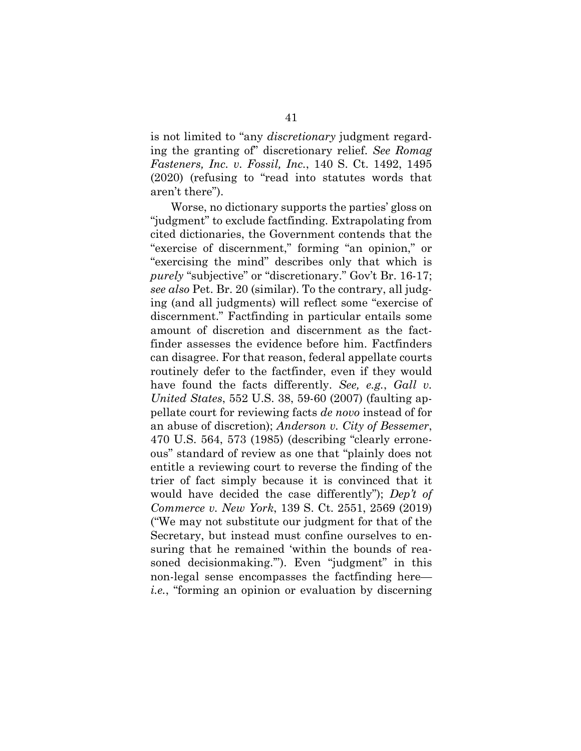is not limited to "any *discretionary* judgment regarding the granting of" discretionary relief. *See Romag Fasteners, Inc. v. Fossil, Inc.*, 140 S. Ct. 1492, 1495 (2020) (refusing to "read into statutes words that aren't there").

Worse, no dictionary supports the parties' gloss on "judgment" to exclude factfinding. Extrapolating from cited dictionaries, the Government contends that the "exercise of discernment," forming "an opinion," or "exercising the mind" describes only that which is *purely* "subjective" or "discretionary." Gov't Br. 16-17; *see also* Pet. Br. 20 (similar). To the contrary, all judging (and all judgments) will reflect some "exercise of discernment." Factfinding in particular entails some amount of discretion and discernment as the factfinder assesses the evidence before him. Factfinders can disagree. For that reason, federal appellate courts routinely defer to the factfinder, even if they would have found the facts differently. *See, e.g.*, *Gall v. United States*, 552 U.S. 38, 59-60 (2007) (faulting appellate court for reviewing facts *de novo* instead of for an abuse of discretion); *Anderson v. City of Bessemer*, 470 U.S. 564, 573 (1985) (describing "clearly erroneous" standard of review as one that "plainly does not entitle a reviewing court to reverse the finding of the trier of fact simply because it is convinced that it would have decided the case differently"); *Dep't of Commerce v. New York*, 139 S. Ct. 2551, 2569 (2019) ("We may not substitute our judgment for that of the Secretary, but instead must confine ourselves to ensuring that he remained 'within the bounds of reasoned decisionmaking.""). Even "judgment" in this non-legal sense encompasses the factfinding here *i.e.*, "forming an opinion or evaluation by discerning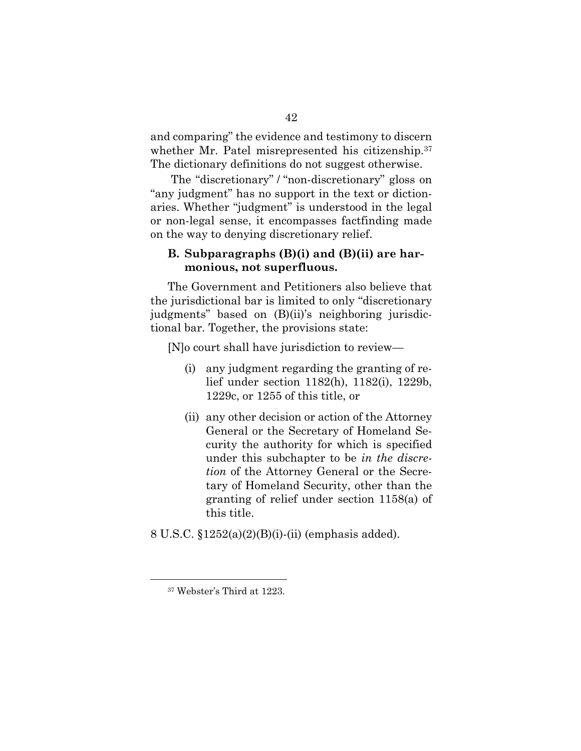and comparing" the evidence and testimony to discern whether Mr. Patel misrepresented his citizenship.<sup>37</sup> The dictionary definitions do not suggest otherwise.

The "discretionary" / "non-discretionary" gloss on "any judgment" has no support in the text or dictionaries. Whether "judgment" is understood in the legal or non-legal sense, it encompasses factfinding made on the way to denying discretionary relief.

# **B. Subparagraphs (B)(i) and (B)(ii) are harmonious, not superfluous.**

The Government and Petitioners also believe that the jurisdictional bar is limited to only "discretionary judgments" based on (B)(ii)'s neighboring jurisdictional bar. Together, the provisions state:

[N]o court shall have jurisdiction to review—

- (i) any judgment regarding the granting of relief under section 1182(h), 1182(i), 1229b, 1229c, or 1255 of this title, or
- (ii) any other decision or action of the Attorney General or the Secretary of Homeland Security the authority for which is specified under this subchapter to be *in the discretion* of the Attorney General or the Secretary of Homeland Security, other than the granting of relief under section 1158(a) of this title.

8 U.S.C. §1252(a)(2)(B)(i)-(ii) (emphasis added).

<sup>37</sup> Webster's Third at 1223.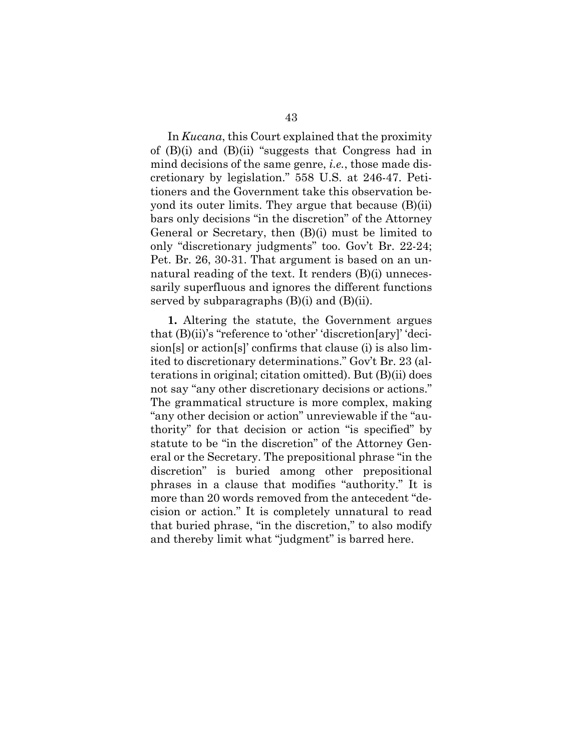In *Kucana*, this Court explained that the proximity of (B)(i) and (B)(ii) "suggests that Congress had in mind decisions of the same genre, *i.e.*, those made discretionary by legislation." 558 U.S. at 246-47. Petitioners and the Government take this observation beyond its outer limits. They argue that because (B)(ii) bars only decisions "in the discretion" of the Attorney General or Secretary, then (B)(i) must be limited to only "discretionary judgments" too. Gov't Br. 22-24; Pet. Br. 26, 30-31. That argument is based on an unnatural reading of the text. It renders (B)(i) unnecessarily superfluous and ignores the different functions served by subparagraphs  $(B)(i)$  and  $(B)(ii)$ .

**1.** Altering the statute, the Government argues that (B)(ii)'s "reference to 'other' 'discretion[ary]' 'decision[s] or action[s]' confirms that clause (i) is also limited to discretionary determinations." Gov't Br. 23 (alterations in original; citation omitted). But (B)(ii) does not say "any other discretionary decisions or actions." The grammatical structure is more complex, making "any other decision or action" unreviewable if the "authority" for that decision or action "is specified" by statute to be "in the discretion" of the Attorney General or the Secretary. The prepositional phrase "in the discretion" is buried among other prepositional phrases in a clause that modifies "authority." It is more than 20 words removed from the antecedent "decision or action." It is completely unnatural to read that buried phrase, "in the discretion," to also modify and thereby limit what "judgment" is barred here.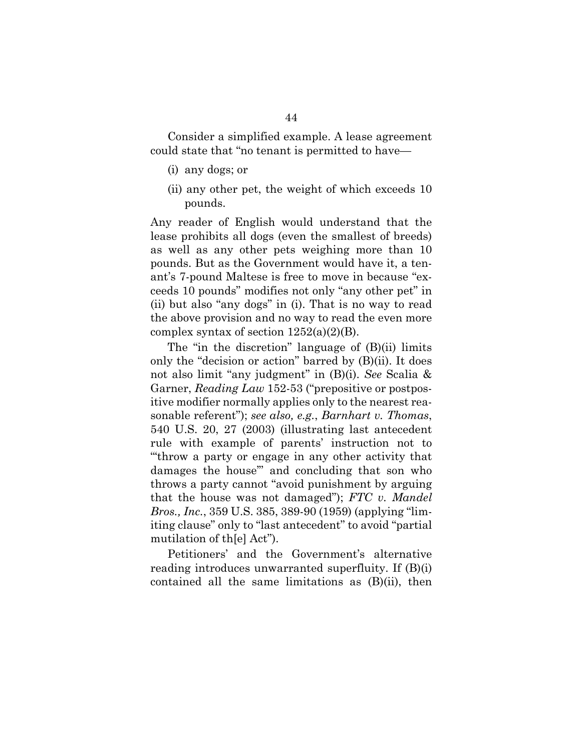Consider a simplified example. A lease agreement could state that "no tenant is permitted to have—

- (i) any dogs; or
- (ii) any other pet, the weight of which exceeds 10 pounds.

Any reader of English would understand that the lease prohibits all dogs (even the smallest of breeds) as well as any other pets weighing more than 10 pounds. But as the Government would have it, a tenant's 7-pound Maltese is free to move in because "exceeds 10 pounds" modifies not only "any other pet" in (ii) but also "any dogs" in (i). That is no way to read the above provision and no way to read the even more complex syntax of section  $1252(a)(2)(B)$ .

The "in the discretion" language of (B)(ii) limits only the "decision or action" barred by (B)(ii). It does not also limit "any judgment" in (B)(i). *See* Scalia & Garner, *Reading Law* 152-53 ("prepositive or postpositive modifier normally applies only to the nearest reasonable referent"); *see also, e.g.*, *Barnhart v. Thomas*, 540 U.S. 20, 27 (2003) (illustrating last antecedent rule with example of parents' instruction not to "'throw a party or engage in any other activity that damages the house'" and concluding that son who throws a party cannot "avoid punishment by arguing that the house was not damaged"); *FTC v. Mandel Bros., Inc.*, 359 U.S. 385, 389-90 (1959) (applying "limiting clause" only to "last antecedent" to avoid "partial mutilation of th[e] Act").

Petitioners' and the Government's alternative reading introduces unwarranted superfluity. If (B)(i) contained all the same limitations as (B)(ii), then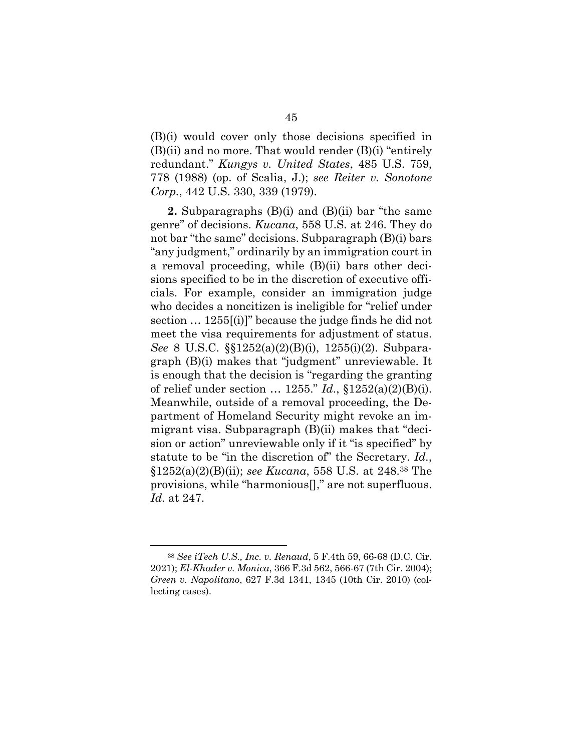(B)(i) would cover only those decisions specified in (B)(ii) and no more. That would render (B)(i) "entirely redundant." *Kungys v. United States*, 485 U.S. 759, 778 (1988) (op. of Scalia, J.); *see Reiter v. Sonotone Corp.*, 442 U.S. 330, 339 (1979).

**2.** Subparagraphs (B)(i) and (B)(ii) bar "the same genre" of decisions. *Kucana*, 558 U.S. at 246. They do not bar "the same" decisions. Subparagraph (B)(i) bars "any judgment," ordinarily by an immigration court in a removal proceeding, while (B)(ii) bars other decisions specified to be in the discretion of executive officials. For example, consider an immigration judge who decides a noncitizen is ineligible for "relief under section … 1255[(i)]" because the judge finds he did not meet the visa requirements for adjustment of status. *See* 8 U.S.C. §§1252(a)(2)(B)(i), 1255(i)(2). Subparagraph (B)(i) makes that "judgment" unreviewable. It is enough that the decision is "regarding the granting of relief under section … 1255." *Id*., §1252(a)(2)(B)(i). Meanwhile, outside of a removal proceeding, the Department of Homeland Security might revoke an immigrant visa. Subparagraph (B)(ii) makes that "decision or action" unreviewable only if it "is specified" by statute to be "in the discretion of" the Secretary. *Id.*, §1252(a)(2)(B)(ii); *see Kucana*, 558 U.S. at 248.<sup>38</sup> The provisions, while "harmonious[]," are not superfluous. *Id.* at 247.

<sup>38</sup> *See iTech U.S., Inc. v. Renaud*, 5 F.4th 59, 66-68 (D.C. Cir. 2021); *El-Khader v. Monica*, 366 F.3d 562, 566-67 (7th Cir. 2004); *Green v. Napolitano*, 627 F.3d 1341, 1345 (10th Cir. 2010) (collecting cases).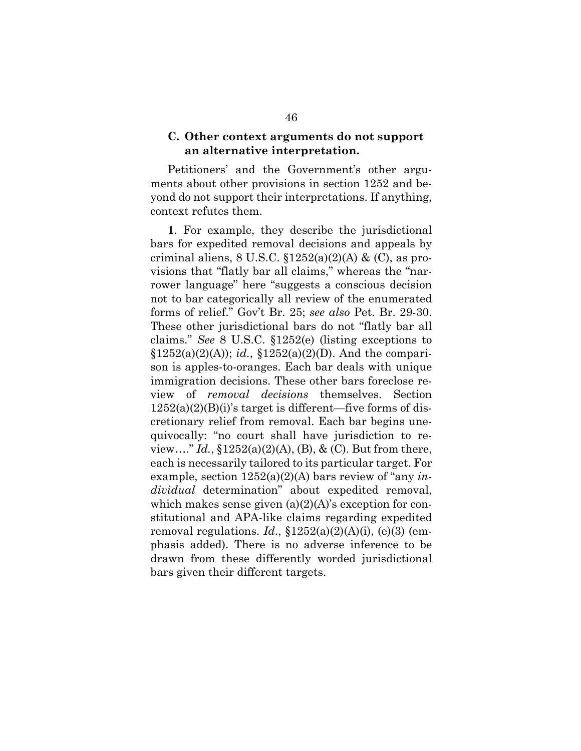# **C. Other context arguments do not support an alternative interpretation.**

Petitioners' and the Government's other arguments about other provisions in section 1252 and beyond do not support their interpretations. If anything, context refutes them.

**1**. For example, they describe the jurisdictional bars for expedited removal decisions and appeals by criminal aliens,  $8 \text{ U.S.C. } \S 1252(a)(2)(\text{A}) \& (\text{C})$ , as provisions that "flatly bar all claims," whereas the "narrower language" here "suggests a conscious decision not to bar categorically all review of the enumerated forms of relief." Gov't Br. 25; *see also* Pet. Br. 29-30. These other jurisdictional bars do not "flatly bar all claims." *See* 8 U.S.C. §1252(e) (listing exceptions to  $$1252(a)(2)(A); id., $1252(a)(2)(D)$ . And the comparison is apples-to-oranges. Each bar deals with unique immigration decisions. These other bars foreclose review of *removal decisions* themselves. Section  $1252(a)(2)(B)(i)$ 's target is different—five forms of discretionary relief from removal. Each bar begins unequivocally: "no court shall have jurisdiction to review…." *Id.*, §1252(a)(2)(A), (B), & (C). But from there, each is necessarily tailored to its particular target. For example, section 1252(a)(2)(A) bars review of "any *individual* determination" about expedited removal, which makes sense given  $(a)(2)(A)$ 's exception for constitutional and APA-like claims regarding expedited removal regulations. *Id*., §1252(a)(2)(A)(i), (e)(3) (emphasis added). There is no adverse inference to be drawn from these differently worded jurisdictional bars given their different targets.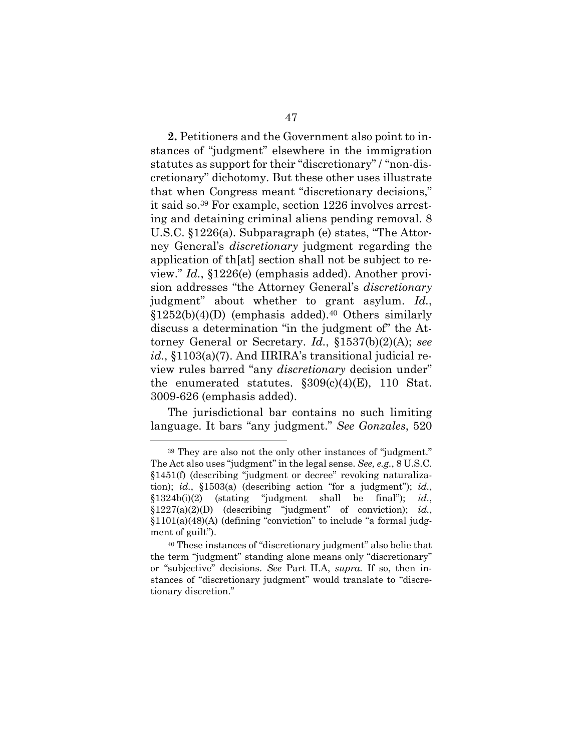**2.** Petitioners and the Government also point to instances of "judgment" elsewhere in the immigration statutes as support for their "discretionary" / "non-discretionary" dichotomy. But these other uses illustrate that when Congress meant "discretionary decisions," it said so.<sup>39</sup> For example, section 1226 involves arresting and detaining criminal aliens pending removal. 8 U.S.C. §1226(a). Subparagraph (e) states, "The Attorney General's *discretionary* judgment regarding the application of th[at] section shall not be subject to review." *Id.*, §1226(e) (emphasis added). Another provision addresses "the Attorney General's *discretionary* judgment" about whether to grant asylum. *Id.*,  $§1252(b)(4)(D)$  (emphasis added).<sup>40</sup> Others similarly discuss a determination "in the judgment of" the Attorney General or Secretary. *Id.*, §1537(b)(2)(A); *see id.*, §1103(a)(7). And IIRIRA's transitional judicial review rules barred "any *discretionary* decision under" the enumerated statutes.  $\S 309(c)(4)(E)$ , 110 Stat. 3009-626 (emphasis added).

The jurisdictional bar contains no such limiting language. It bars "any judgment." *See Gonzales*, 520

<sup>39</sup> They are also not the only other instances of "judgment." The Act also uses "judgment" in the legal sense. *See, e.g.*, 8 U.S.C. §1451(f) (describing "judgment or decree" revoking naturalization); *id.*, §1503(a) (describing action "for a judgment"); *id.*, §1324b(i)(2) (stating "judgment shall be final"); *id.*, §1227(a)(2)(D) (describing "judgment" of conviction); *id.*, §1101(a)(48)(A) (defining "conviction" to include "a formal judgment of guilt").

<sup>40</sup> These instances of "discretionary judgment" also belie that the term "judgment" standing alone means only "discretionary" or "subjective" decisions. *See* Part II.A, *supra.* If so, then instances of "discretionary judgment" would translate to "discretionary discretion."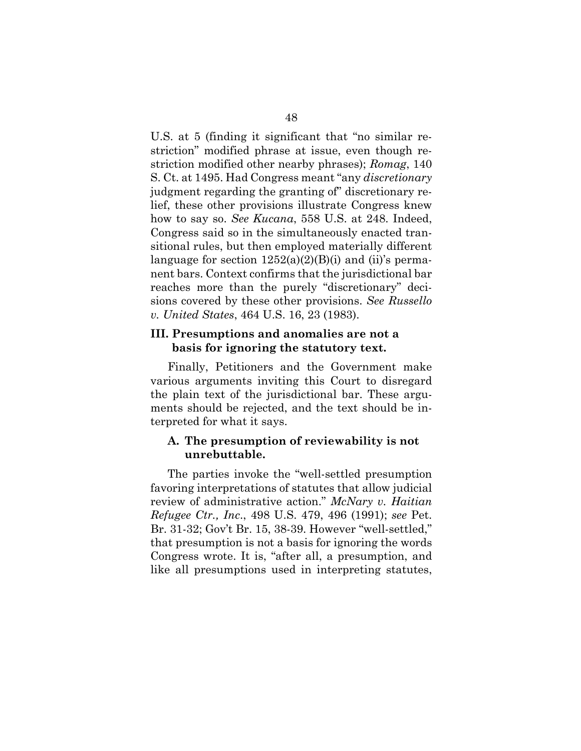U.S. at 5 (finding it significant that "no similar restriction" modified phrase at issue, even though restriction modified other nearby phrases); *Romag*, 140 S. Ct. at 1495. Had Congress meant "any *discretionary* judgment regarding the granting of" discretionary relief, these other provisions illustrate Congress knew how to say so. *See Kucana*, 558 U.S. at 248. Indeed, Congress said so in the simultaneously enacted transitional rules, but then employed materially different language for section  $1252(a)(2)(B)(i)$  and (ii)'s permanent bars. Context confirms that the jurisdictional bar reaches more than the purely "discretionary" decisions covered by these other provisions. *See Russello v. United States*, 464 U.S. 16, 23 (1983).

# **III. Presumptions and anomalies are not a basis for ignoring the statutory text.**

Finally, Petitioners and the Government make various arguments inviting this Court to disregard the plain text of the jurisdictional bar. These arguments should be rejected, and the text should be interpreted for what it says.

# **A. The presumption of reviewability is not unrebuttable.**

The parties invoke the "well-settled presumption favoring interpretations of statutes that allow judicial review of administrative action." *McNary v. Haitian Refugee Ctr., Inc*., 498 U.S. 479, 496 (1991); *see* Pet. Br. 31-32; Gov't Br. 15, 38-39. However "well-settled," that presumption is not a basis for ignoring the words Congress wrote. It is, "after all, a presumption, and like all presumptions used in interpreting statutes,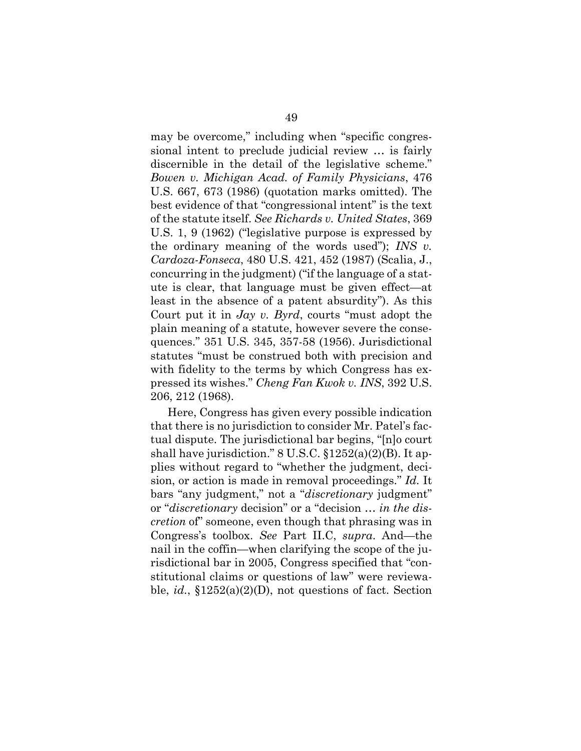may be overcome," including when "specific congressional intent to preclude judicial review … is fairly discernible in the detail of the legislative scheme." *Bowen v. Michigan Acad. of Family Physicians*, 476 U.S. 667, 673 (1986) (quotation marks omitted). The best evidence of that "congressional intent" is the text of the statute itself. *See Richards v. United States*, 369 U.S. 1, 9 (1962) ("legislative purpose is expressed by the ordinary meaning of the words used"); *INS v. Cardoza-Fonseca*, 480 U.S. 421, 452 (1987) (Scalia, J., concurring in the judgment) ("if the language of a statute is clear, that language must be given effect—at least in the absence of a patent absurdity"). As this Court put it in *Jay v. Byrd*, courts "must adopt the plain meaning of a statute, however severe the consequences." 351 U.S. 345, 357-58 (1956). Jurisdictional statutes "must be construed both with precision and with fidelity to the terms by which Congress has expressed its wishes." *Cheng Fan Kwok v. INS*, 392 U.S. 206, 212 (1968).

Here, Congress has given every possible indication that there is no jurisdiction to consider Mr. Patel's factual dispute. The jurisdictional bar begins, "[n]o court shall have jurisdiction." 8 U.S.C. §1252(a)(2)(B). It applies without regard to "whether the judgment, decision, or action is made in removal proceedings." *Id.* It bars "any judgment," not a "*discretionary* judgment" or "*discretionary* decision" or a "decision … *in the discretion* of" someone, even though that phrasing was in Congress's toolbox. *See* Part II.C, *supra*. And—the nail in the coffin—when clarifying the scope of the jurisdictional bar in 2005, Congress specified that "constitutional claims or questions of law" were reviewable, *id.*, §1252(a)(2)(D), not questions of fact. Section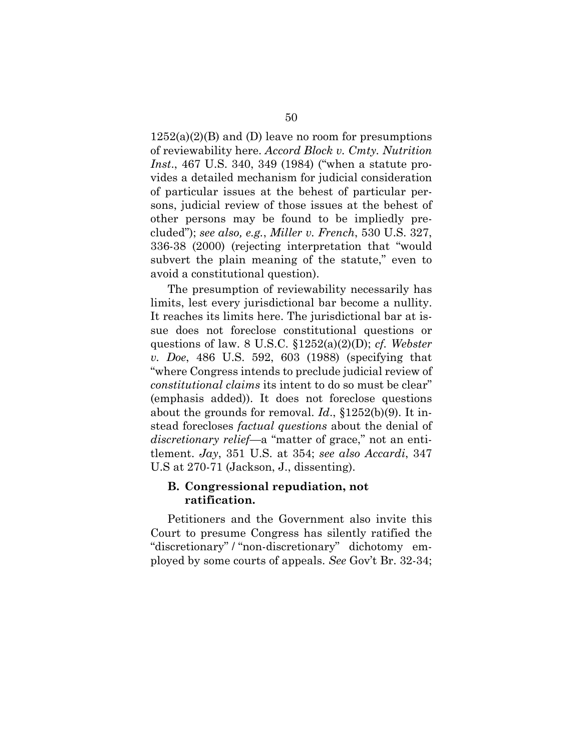$1252(a)(2)(B)$  and (D) leave no room for presumptions of reviewability here. *Accord Block v. Cmty. Nutrition Inst*., 467 U.S. 340, 349 (1984) ("when a statute provides a detailed mechanism for judicial consideration of particular issues at the behest of particular persons, judicial review of those issues at the behest of other persons may be found to be impliedly precluded"); *see also, e.g.*, *Miller v. French*, 530 U.S. 327, 336-38 (2000) (rejecting interpretation that "would subvert the plain meaning of the statute," even to avoid a constitutional question).

The presumption of reviewability necessarily has limits, lest every jurisdictional bar become a nullity. It reaches its limits here. The jurisdictional bar at issue does not foreclose constitutional questions or questions of law. 8 U.S.C. §1252(a)(2)(D); *cf. Webster v. Doe*, 486 U.S. 592, 603 (1988) (specifying that "where Congress intends to preclude judicial review of *constitutional claims* its intent to do so must be clear" (emphasis added)). It does not foreclose questions about the grounds for removal. *Id*., §1252(b)(9). It instead forecloses *factual questions* about the denial of *discretionary relief*—a "matter of grace," not an entitlement. *Jay*, 351 U.S. at 354; *see also Accardi*, 347 U.S at 270-71 (Jackson, J., dissenting).

# **B. Congressional repudiation, not ratification.**

Petitioners and the Government also invite this Court to presume Congress has silently ratified the "discretionary" / "non-discretionary" dichotomy employed by some courts of appeals. *See* Gov't Br. 32-34;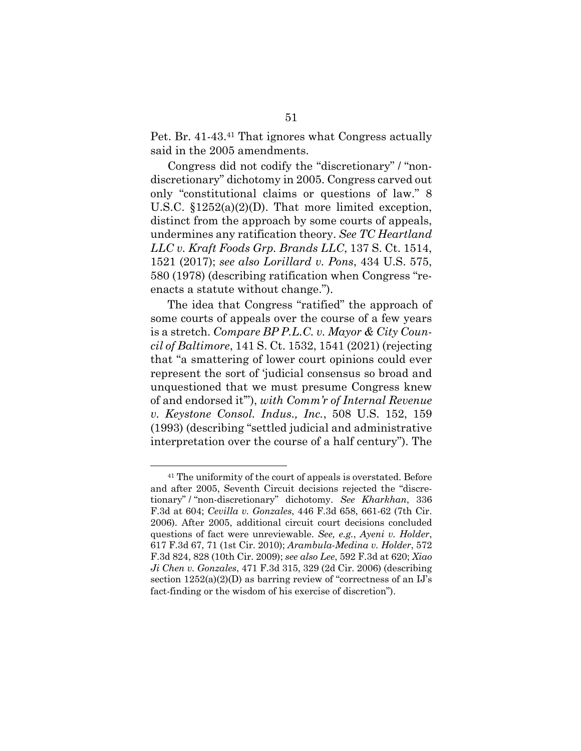Pet. Br. 41-43.<sup>41</sup> That ignores what Congress actually said in the 2005 amendments.

Congress did not codify the "discretionary" / "nondiscretionary" dichotomy in 2005. Congress carved out only "constitutional claims or questions of law." 8 U.S.C. §1252(a)(2)(D). That more limited exception, distinct from the approach by some courts of appeals, undermines any ratification theory. *See TC Heartland LLC v. Kraft Foods Grp. Brands LLC*, 137 S. Ct. 1514, 1521 (2017); *see also Lorillard v. Pons*, 434 U.S. 575, 580 (1978) (describing ratification when Congress "reenacts a statute without change.").

The idea that Congress "ratified" the approach of some courts of appeals over the course of a few years is a stretch. *Compare BP P.L.C. v. Mayor & City Council of Baltimore*, 141 S. Ct. 1532, 1541 (2021) (rejecting that "a smattering of lower court opinions could ever represent the sort of 'judicial consensus so broad and unquestioned that we must presume Congress knew of and endorsed it'"), *with Comm'r of Internal Revenue v. Keystone Consol. Indus., Inc.*, 508 U.S. 152, 159 (1993) (describing "settled judicial and administrative interpretation over the course of a half century"). The

<sup>41</sup> The uniformity of the court of appeals is overstated. Before and after 2005, Seventh Circuit decisions rejected the "discretionary" / "non-discretionary" dichotomy. *See Kharkhan*, 336 F.3d at 604; *Cevilla v. Gonzales*, 446 F.3d 658, 661-62 (7th Cir. 2006). After 2005, additional circuit court decisions concluded questions of fact were unreviewable. *See, e.g.*, *Ayeni v. Holder*, 617 F.3d 67, 71 (1st Cir. 2010); *Arambula-Medina v. Holder*, 572 F.3d 824, 828 (10th Cir. 2009); *see also Lee*, 592 F.3d at 620; *Xiao Ji Chen v. Gonzales*, 471 F.3d 315, 329 (2d Cir. 2006) (describing section  $1252(a)(2)(D)$  as barring review of "correctness of an IJ's fact-finding or the wisdom of his exercise of discretion").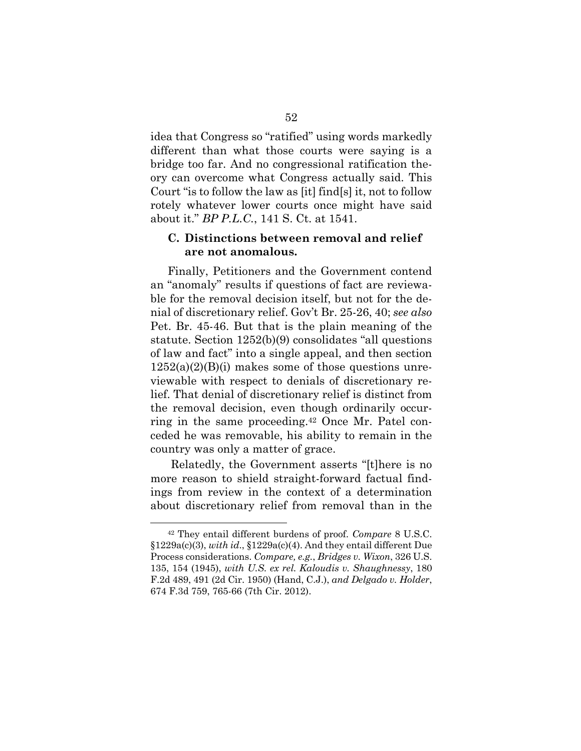idea that Congress so "ratified" using words markedly different than what those courts were saying is a bridge too far. And no congressional ratification theory can overcome what Congress actually said. This Court "is to follow the law as [it] find[s] it, not to follow rotely whatever lower courts once might have said about it." *BP P.L.C.*, 141 S. Ct. at 1541.

# **C. Distinctions between removal and relief are not anomalous.**

Finally, Petitioners and the Government contend an "anomaly" results if questions of fact are reviewable for the removal decision itself, but not for the denial of discretionary relief. Gov't Br. 25-26, 40; *see also*  Pet. Br. 45-46. But that is the plain meaning of the statute. Section 1252(b)(9) consolidates "all questions of law and fact" into a single appeal, and then section  $1252(a)(2)(B)(i)$  makes some of those questions unreviewable with respect to denials of discretionary relief. That denial of discretionary relief is distinct from the removal decision, even though ordinarily occurring in the same proceeding.<sup>42</sup> Once Mr. Patel conceded he was removable, his ability to remain in the country was only a matter of grace.

Relatedly, the Government asserts "[t]here is no more reason to shield straight-forward factual findings from review in the context of a determination about discretionary relief from removal than in the

<sup>42</sup> They entail different burdens of proof. *Compare* 8 U.S.C. §1229a(c)(3), *with id*., §1229a(c)(4). And they entail different Due Process considerations. *Compare, e.g.*, *Bridges v. Wixon*, 326 U.S. 135, 154 (1945), *with U.S. ex rel. Kaloudis v. Shaughnessy*, 180 F.2d 489, 491 (2d Cir. 1950) (Hand, C.J.), *and Delgado v. Holder*, 674 F.3d 759, 765-66 (7th Cir. 2012).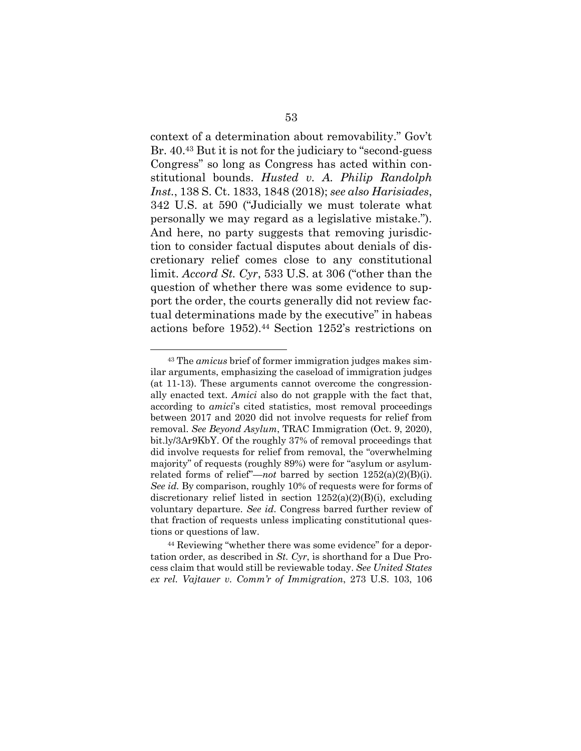context of a determination about removability." Gov't Br. 40.<sup>43</sup> But it is not for the judiciary to "second-guess Congress" so long as Congress has acted within constitutional bounds. *Husted v. A. Philip Randolph Inst.*, 138 S. Ct. 1833, 1848 (2018); *see also Harisiades*, 342 U.S. at 590 ("Judicially we must tolerate what personally we may regard as a legislative mistake."). And here, no party suggests that removing jurisdiction to consider factual disputes about denials of discretionary relief comes close to any constitutional limit. *Accord St. Cyr*, 533 U.S. at 306 ("other than the question of whether there was some evidence to support the order, the courts generally did not review factual determinations made by the executive" in habeas actions before 1952).<sup>44</sup> Section 1252's restrictions on

<sup>43</sup> The *amicus* brief of former immigration judges makes similar arguments, emphasizing the caseload of immigration judges (at 11-13). These arguments cannot overcome the congressionally enacted text. *Amici* also do not grapple with the fact that, according to *amici*'s cited statistics, most removal proceedings between 2017 and 2020 did not involve requests for relief from removal. *See Beyond Asylum*, TRAC Immigration (Oct. 9, 2020), bit.ly/3Ar9KbY. Of the roughly 37% of removal proceedings that did involve requests for relief from removal, the "overwhelming majority" of requests (roughly 89%) were for "asylum or asylumrelated forms of relief"—*not* barred by section 1252(a)(2)(B)(i). *See id.* By comparison, roughly 10% of requests were for forms of discretionary relief listed in section  $1252(a)(2)(B)(i)$ , excluding voluntary departure. *See id*. Congress barred further review of that fraction of requests unless implicating constitutional questions or questions of law.

<sup>44</sup> Reviewing "whether there was some evidence" for a deportation order, as described in *St. Cyr*, is shorthand for a Due Process claim that would still be reviewable today. *See United States ex rel. Vajtauer v. Comm'r of Immigration*, 273 U.S. 103, 106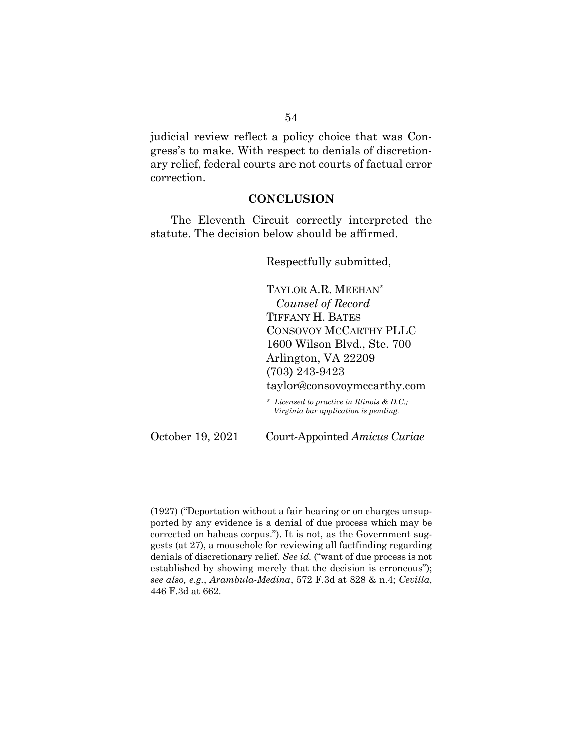judicial review reflect a policy choice that was Congress's to make. With respect to denials of discretionary relief, federal courts are not courts of factual error correction.

## **CONCLUSION**

The Eleventh Circuit correctly interpreted the statute. The decision below should be affirmed.

Respectfully submitted,

TAYLOR A.R. MEEHAN\* *Counsel of Record* TIFFANY H. BATES CONSOVOY MCCARTHY PLLC 1600 Wilson Blvd., Ste. 700 Arlington, VA 22209 (703) 243-9423

taylor@consovoymccarthy.com

\* *Licensed to practice in Illinois & D.C.; Virginia bar application is pending.*

October 19, 2021 Court-Appointed *Amicus Curiae*

<sup>(1927)</sup> ("Deportation without a fair hearing or on charges unsupported by any evidence is a denial of due process which may be corrected on habeas corpus."). It is not, as the Government suggests (at 27), a mousehole for reviewing all factfinding regarding denials of discretionary relief. *See id.* ("want of due process is not established by showing merely that the decision is erroneous"); *see also, e.g.*, *Arambula-Medina*, 572 F.3d at 828 & n.4; *Cevilla*, 446 F.3d at 662.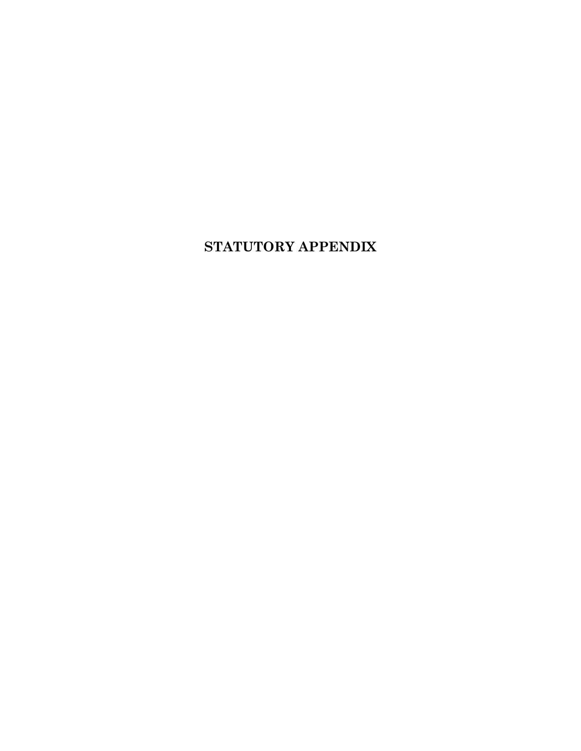# **STATUTORY APPENDIX**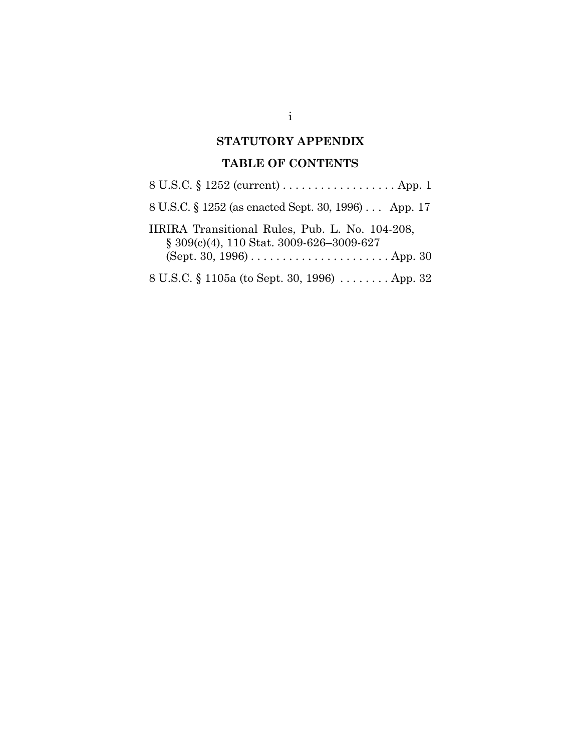# **STATUTORY APPENDIX**

# **TABLE OF CONTENTS**

| 8 U.S.C. § 1252 (current) App. 1                                                                |
|-------------------------------------------------------------------------------------------------|
| 8 U.S.C. § 1252 (as enacted Sept. 30, 1996) App. 17                                             |
| IIRIRA Transitional Rules, Pub. L. No. 104-208,<br>$\S 309(c)(4)$ , 110 Stat. 3009-626-3009-627 |
| (Sept. 30, 1996) $\dots \dots \dots \dots \dots \dots \dots$ . App. 30                          |
| 8 U.S.C. § 1105a (to Sept. 30, 1996)  App. 32                                                   |

i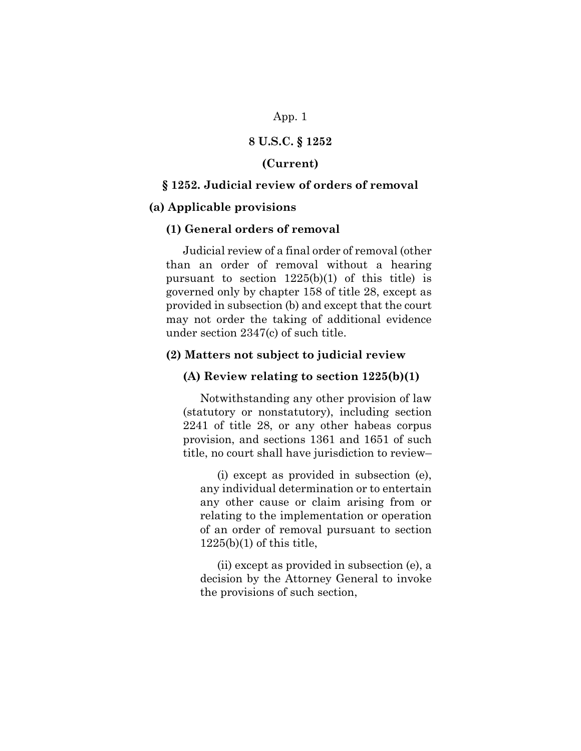## App. 1

# **8 U.S.C. § 1252**

## **(Current)**

# **§ 1252. Judicial review of orders of removal**

### **(a) Applicable provisions**

## **(1) General orders of removal**

Judicial review of a final order of removal (other than an order of removal without a hearing pursuant to section 1225(b)(1) of this title) is governed only by chapter 158 of title 28, except as provided in subsection (b) and except that the court may not order the taking of additional evidence under section 2347(c) of such title.

## **(2) Matters not subject to judicial review**

### **(A) Review relating to section 1225(b)(1)**

Notwithstanding any other provision of law (statutory or nonstatutory), including section 2241 of title 28, or any other habeas corpus provision, and sections 1361 and 1651 of such title, no court shall have jurisdiction to review–

(i) except as provided in subsection (e), any individual determination or to entertain any other cause or claim arising from or relating to the implementation or operation of an order of removal pursuant to section  $1225(b)(1)$  of this title,

(ii) except as provided in subsection (e), a decision by the Attorney General to invoke the provisions of such section,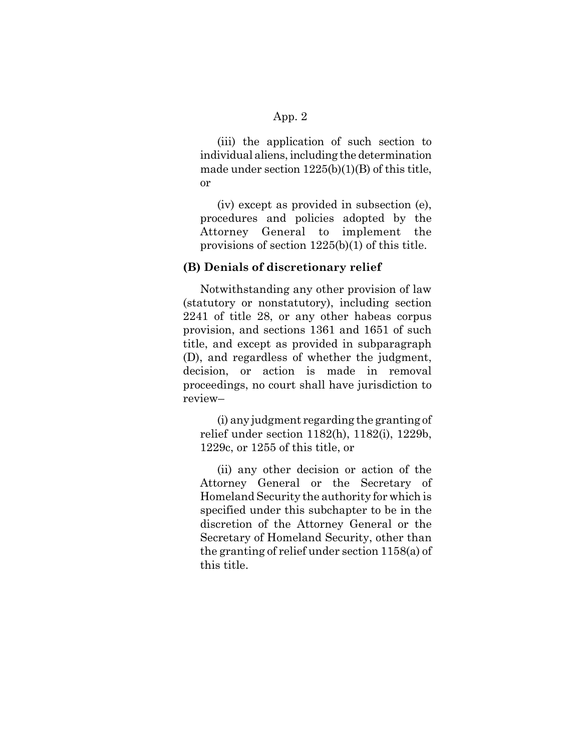# App. 2

(iii) the application of such section to individual aliens, including the determination made under section 1225(b)(1)(B) of this title, or

(iv) except as provided in subsection (e), procedures and policies adopted by the Attorney General to implement the provisions of section 1225(b)(1) of this title.

# **(B) Denials of discretionary relief**

Notwithstanding any other provision of law (statutory or nonstatutory), including section 2241 of title 28, or any other habeas corpus provision, and sections 1361 and 1651 of such title, and except as provided in subparagraph (D), and regardless of whether the judgment, decision, or action is made in removal proceedings, no court shall have jurisdiction to review–

(i) any judgment regarding the granting of relief under section 1182(h), 1182(i), 1229b, 1229c, or 1255 of this title, or

(ii) any other decision or action of the Attorney General or the Secretary of Homeland Security the authority for which is specified under this subchapter to be in the discretion of the Attorney General or the Secretary of Homeland Security, other than the granting of relief under section 1158(a) of this title.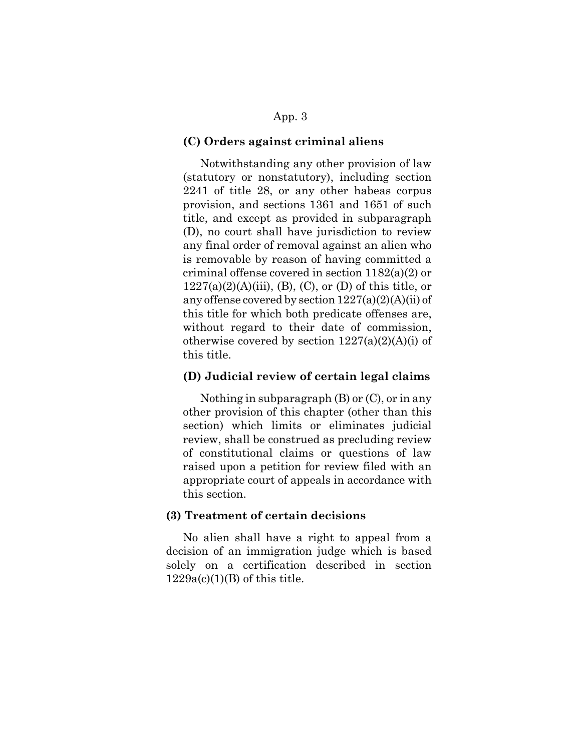# App. 3

#### **(C) Orders against criminal aliens**

Notwithstanding any other provision of law (statutory or nonstatutory), including section 2241 of title 28, or any other habeas corpus provision, and sections 1361 and 1651 of such title, and except as provided in subparagraph (D), no court shall have jurisdiction to review any final order of removal against an alien who is removable by reason of having committed a criminal offense covered in section 1182(a)(2) or  $1227(a)(2)(A)(iii)$ , (B), (C), or (D) of this title, or any offense covered by section  $1227(a)(2)(A)(ii)$  of this title for which both predicate offenses are, without regard to their date of commission, otherwise covered by section  $1227(a)(2)(A)(i)$  of this title.

# **(D) Judicial review of certain legal claims**

Nothing in subparagraph (B) or (C), or in any other provision of this chapter (other than this section) which limits or eliminates judicial review, shall be construed as precluding review of constitutional claims or questions of law raised upon a petition for review filed with an appropriate court of appeals in accordance with this section.

## **(3) Treatment of certain decisions**

No alien shall have a right to appeal from a decision of an immigration judge which is based solely on a certification described in section  $1229a(c)(1)(B)$  of this title.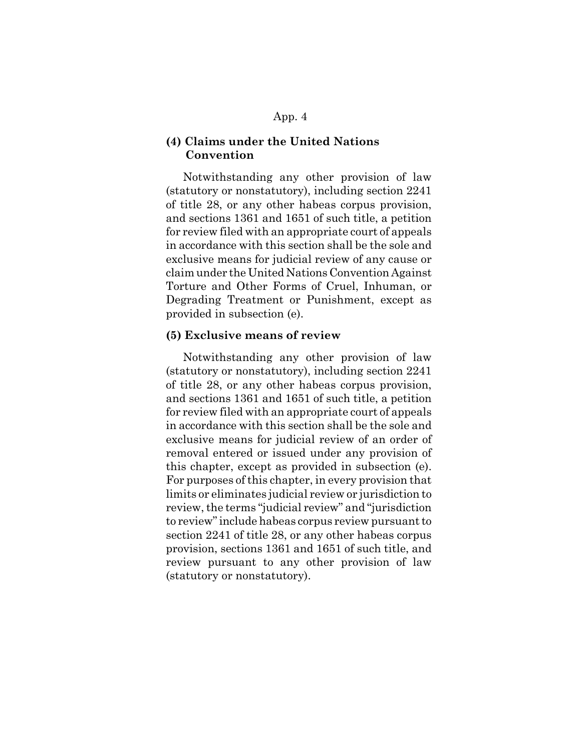## **(4) Claims under the United Nations Convention**

Notwithstanding any other provision of law (statutory or nonstatutory), including section 2241 of title 28, or any other habeas corpus provision, and sections 1361 and 1651 of such title, a petition for review filed with an appropriate court of appeals in accordance with this section shall be the sole and exclusive means for judicial review of any cause or claim under the United Nations Convention Against Torture and Other Forms of Cruel, Inhuman, or Degrading Treatment or Punishment, except as provided in subsection (e).

### **(5) Exclusive means of review**

Notwithstanding any other provision of law (statutory or nonstatutory), including section 2241 of title 28, or any other habeas corpus provision, and sections 1361 and 1651 of such title, a petition for review filed with an appropriate court of appeals in accordance with this section shall be the sole and exclusive means for judicial review of an order of removal entered or issued under any provision of this chapter, except as provided in subsection (e). For purposes of this chapter, in every provision that limits or eliminates judicial review or jurisdiction to review, the terms "judicial review" and "jurisdiction to review" include habeas corpus review pursuant to section 2241 of title 28, or any other habeas corpus provision, sections 1361 and 1651 of such title, and review pursuant to any other provision of law (statutory or nonstatutory).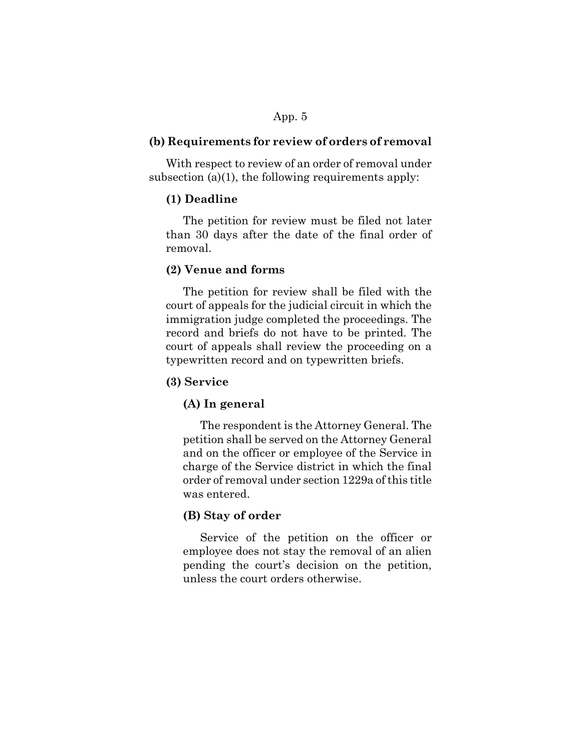## **(b) Requirements for review of orders of removal**

With respect to review of an order of removal under subsection  $(a)(1)$ , the following requirements apply:

### **(1) Deadline**

The petition for review must be filed not later than 30 days after the date of the final order of removal.

## **(2) Venue and forms**

The petition for review shall be filed with the court of appeals for the judicial circuit in which the immigration judge completed the proceedings. The record and briefs do not have to be printed. The court of appeals shall review the proceeding on a typewritten record and on typewritten briefs.

### **(3) Service**

### **(A) In general**

The respondent is the Attorney General. The petition shall be served on the Attorney General and on the officer or employee of the Service in charge of the Service district in which the final order of removal under section 1229a of this title was entered.

## **(B) Stay of order**

Service of the petition on the officer or employee does not stay the removal of an alien pending the court's decision on the petition, unless the court orders otherwise.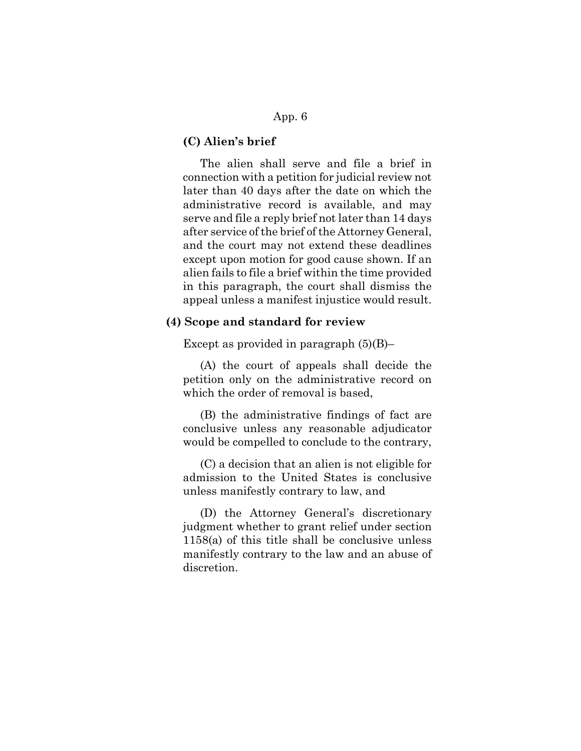## **(C) Alien's brief**

The alien shall serve and file a brief in connection with a petition for judicial review not later than 40 days after the date on which the administrative record is available, and may serve and file a reply brief not later than 14 days after service of the brief of the Attorney General, and the court may not extend these deadlines except upon motion for good cause shown. If an alien fails to file a brief within the time provided in this paragraph, the court shall dismiss the appeal unless a manifest injustice would result.

#### **(4) Scope and standard for review**

Except as provided in paragraph  $(5)(B)$ –

(A) the court of appeals shall decide the petition only on the administrative record on which the order of removal is based,

(B) the administrative findings of fact are conclusive unless any reasonable adjudicator would be compelled to conclude to the contrary,

(C) a decision that an alien is not eligible for admission to the United States is conclusive unless manifestly contrary to law, and

(D) the Attorney General's discretionary judgment whether to grant relief under section 1158(a) of this title shall be conclusive unless manifestly contrary to the law and an abuse of discretion.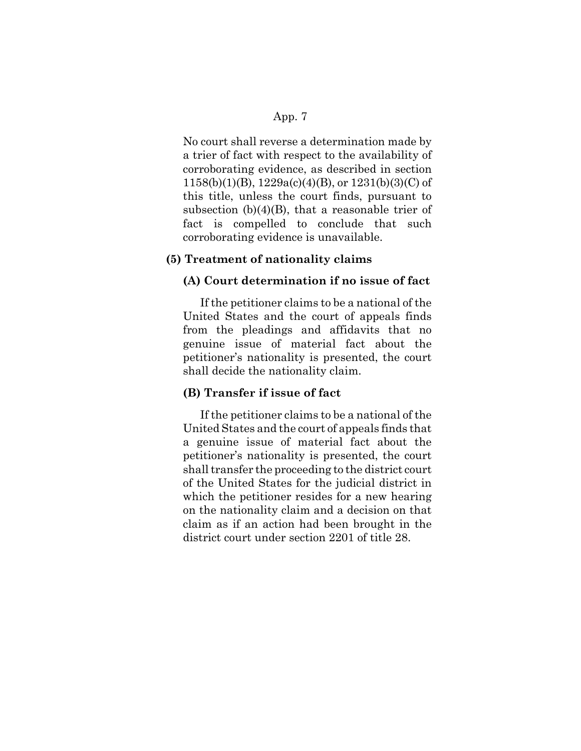No court shall reverse a determination made by a trier of fact with respect to the availability of corroborating evidence, as described in section  $1158(b)(1)(B)$ ,  $1229a(c)(4)(B)$ , or  $1231(b)(3)(C)$  of this title, unless the court finds, pursuant to subsection  $(b)(4)(B)$ , that a reasonable trier of fact is compelled to conclude that such corroborating evidence is unavailable.

### **(5) Treatment of nationality claims**

### **(A) Court determination if no issue of fact**

If the petitioner claims to be a national of the United States and the court of appeals finds from the pleadings and affidavits that no genuine issue of material fact about the petitioner's nationality is presented, the court shall decide the nationality claim.

### **(B) Transfer if issue of fact**

If the petitioner claims to be a national of the United States and the court of appeals finds that a genuine issue of material fact about the petitioner's nationality is presented, the court shall transfer the proceeding to the district court of the United States for the judicial district in which the petitioner resides for a new hearing on the nationality claim and a decision on that claim as if an action had been brought in the district court under section 2201 of title 28.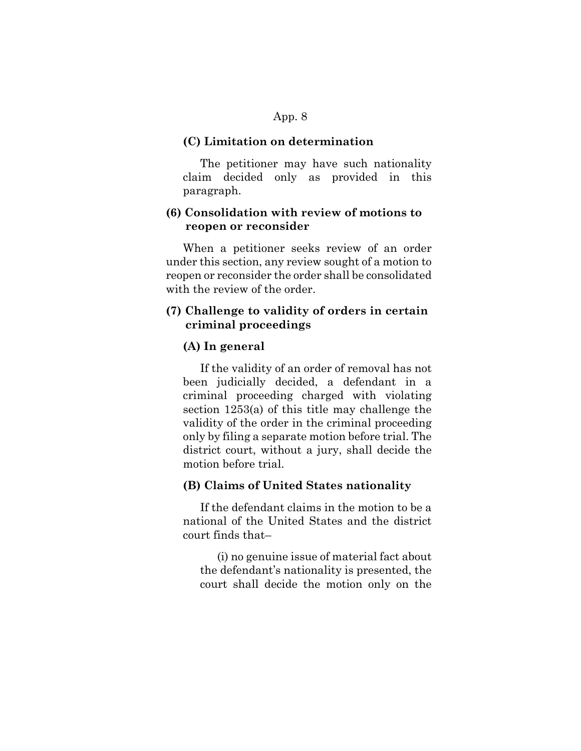#### **(C) Limitation on determination**

The petitioner may have such nationality claim decided only as provided in this paragraph.

# **(6) Consolidation with review of motions to reopen or reconsider**

When a petitioner seeks review of an order under this section, any review sought of a motion to reopen or reconsider the order shall be consolidated with the review of the order.

## **(7) Challenge to validity of orders in certain criminal proceedings**

## **(A) In general**

If the validity of an order of removal has not been judicially decided, a defendant in a criminal proceeding charged with violating section 1253(a) of this title may challenge the validity of the order in the criminal proceeding only by filing a separate motion before trial. The district court, without a jury, shall decide the motion before trial.

#### **(B) Claims of United States nationality**

If the defendant claims in the motion to be a national of the United States and the district court finds that–

(i) no genuine issue of material fact about the defendant's nationality is presented, the court shall decide the motion only on the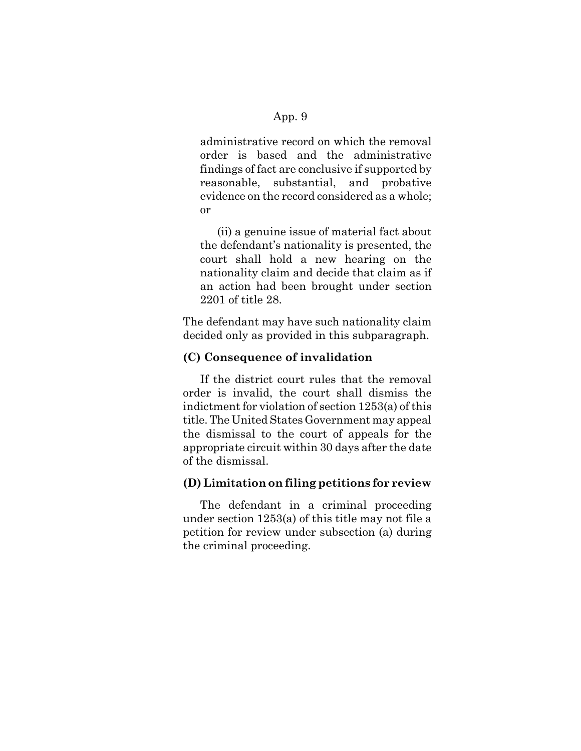administrative record on which the removal order is based and the administrative findings of fact are conclusive if supported by reasonable, substantial, and probative evidence on the record considered as a whole; or

(ii) a genuine issue of material fact about the defendant's nationality is presented, the court shall hold a new hearing on the nationality claim and decide that claim as if an action had been brought under section 2201 of title 28.

The defendant may have such nationality claim decided only as provided in this subparagraph.

# **(C) Consequence of invalidation**

If the district court rules that the removal order is invalid, the court shall dismiss the indictment for violation of section 1253(a) of this title. The United States Government may appeal the dismissal to the court of appeals for the appropriate circuit within 30 days after the date of the dismissal.

# **(D) Limitation on filing petitions for review**

The defendant in a criminal proceeding under section 1253(a) of this title may not file a petition for review under subsection (a) during the criminal proceeding.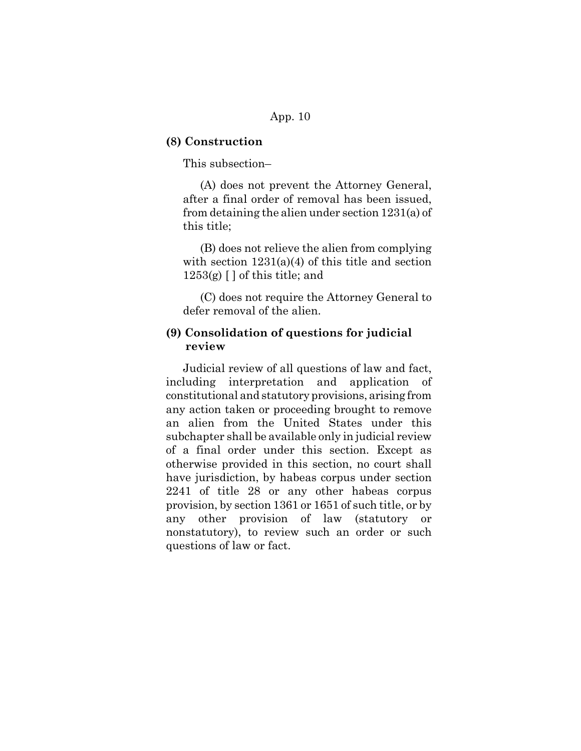#### **(8) Construction**

This subsection–

(A) does not prevent the Attorney General, after a final order of removal has been issued, from detaining the alien under section 1231(a) of this title;

(B) does not relieve the alien from complying with section  $1231(a)(4)$  of this title and section  $1253(g)$  [ ] of this title; and

(C) does not require the Attorney General to defer removal of the alien.

# **(9) Consolidation of questions for judicial review**

Judicial review of all questions of law and fact, including interpretation and application of constitutional and statutory provisions, arising from any action taken or proceeding brought to remove an alien from the United States under this subchapter shall be available only in judicial review of a final order under this section. Except as otherwise provided in this section, no court shall have jurisdiction, by habeas corpus under section 2241 of title 28 or any other habeas corpus provision, by section 1361 or 1651 of such title, or by any other provision of law (statutory or nonstatutory), to review such an order or such questions of law or fact.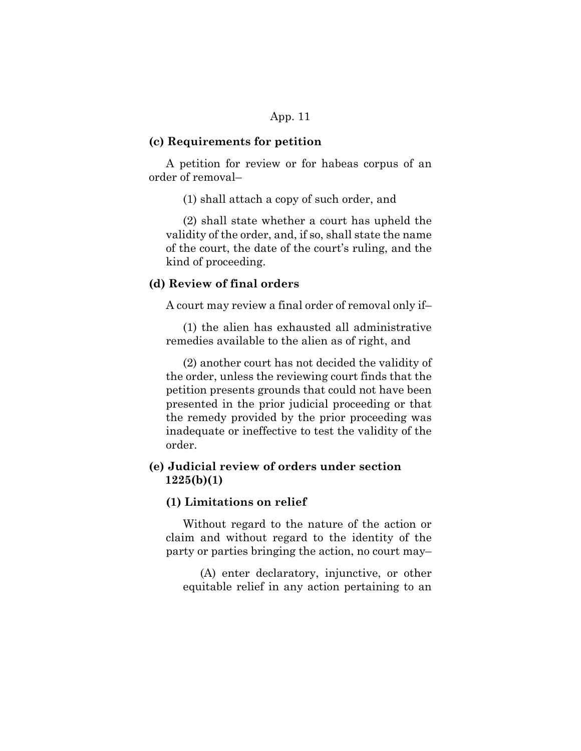#### **(c) Requirements for petition**

A petition for review or for habeas corpus of an order of removal–

(1) shall attach a copy of such order, and

(2) shall state whether a court has upheld the validity of the order, and, if so, shall state the name of the court, the date of the court's ruling, and the kind of proceeding.

### **(d) Review of final orders**

A court may review a final order of removal only if–

(1) the alien has exhausted all administrative remedies available to the alien as of right, and

(2) another court has not decided the validity of the order, unless the reviewing court finds that the petition presents grounds that could not have been presented in the prior judicial proceeding or that the remedy provided by the prior proceeding was inadequate or ineffective to test the validity of the order.

# **(e) Judicial review of orders under section 1225(b)(1)**

#### **(1) Limitations on relief**

Without regard to the nature of the action or claim and without regard to the identity of the party or parties bringing the action, no court may–

(A) enter declaratory, injunctive, or other equitable relief in any action pertaining to an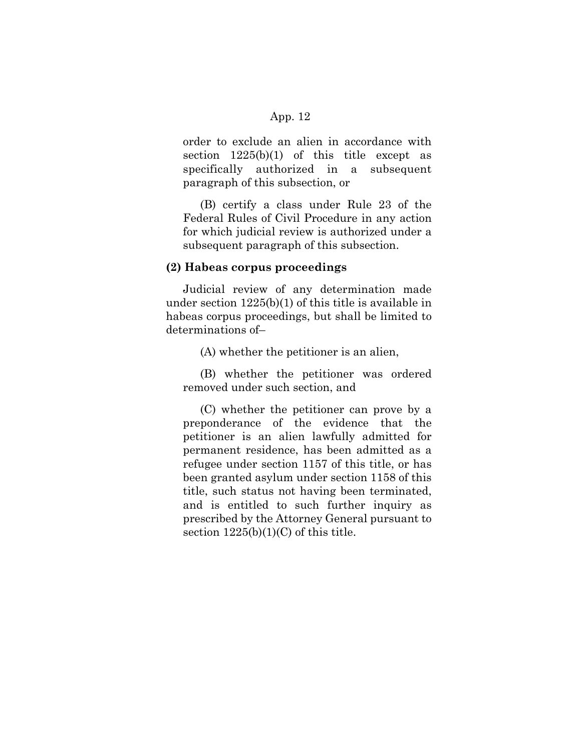order to exclude an alien in accordance with section  $1225(b)(1)$  of this title except as specifically authorized in a subsequent paragraph of this subsection, or

(B) certify a class under Rule 23 of the Federal Rules of Civil Procedure in any action for which judicial review is authorized under a subsequent paragraph of this subsection.

#### **(2) Habeas corpus proceedings**

Judicial review of any determination made under section 1225(b)(1) of this title is available in habeas corpus proceedings, but shall be limited to determinations of–

(A) whether the petitioner is an alien,

(B) whether the petitioner was ordered removed under such section, and

(C) whether the petitioner can prove by a preponderance of the evidence that the petitioner is an alien lawfully admitted for permanent residence, has been admitted as a refugee under section 1157 of this title, or has been granted asylum under section 1158 of this title, such status not having been terminated, and is entitled to such further inquiry as prescribed by the Attorney General pursuant to section  $1225(b)(1)(C)$  of this title.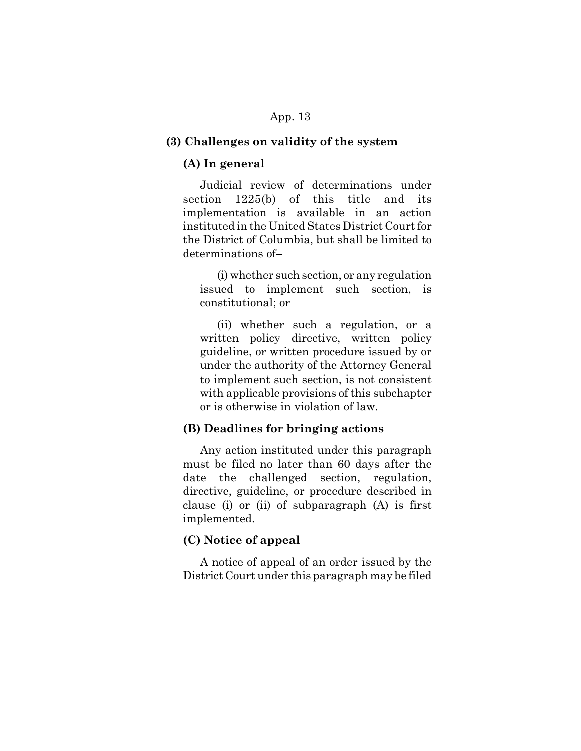#### **(3) Challenges on validity of the system**

#### **(A) In general**

Judicial review of determinations under section 1225(b) of this title and its implementation is available in an action instituted in the United States District Court for the District of Columbia, but shall be limited to determinations of–

(i) whether such section, or any regulation issued to implement such section, is constitutional; or

(ii) whether such a regulation, or a written policy directive, written policy guideline, or written procedure issued by or under the authority of the Attorney General to implement such section, is not consistent with applicable provisions of this subchapter or is otherwise in violation of law.

### **(B) Deadlines for bringing actions**

Any action instituted under this paragraph must be filed no later than 60 days after the date the challenged section, regulation, directive, guideline, or procedure described in clause (i) or (ii) of subparagraph (A) is first implemented.

### **(C) Notice of appeal**

A notice of appeal of an order issued by the District Court under this paragraph may be filed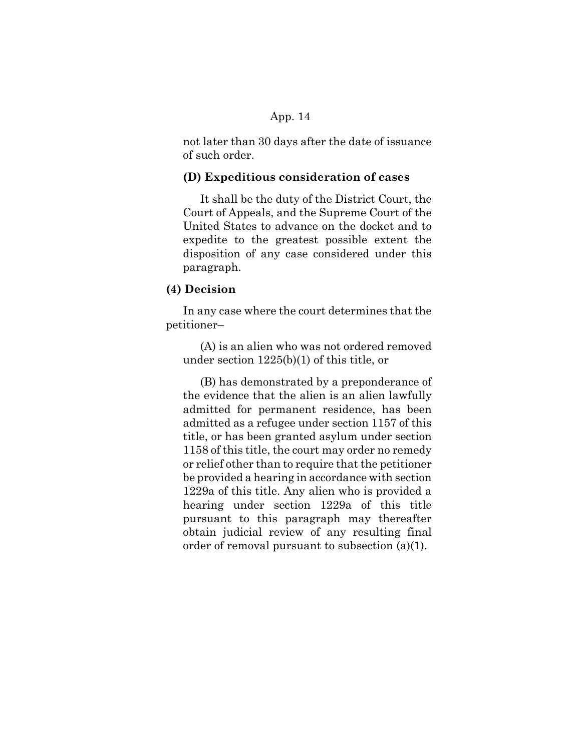not later than 30 days after the date of issuance of such order.

### **(D) Expeditious consideration of cases**

It shall be the duty of the District Court, the Court of Appeals, and the Supreme Court of the United States to advance on the docket and to expedite to the greatest possible extent the disposition of any case considered under this paragraph.

## **(4) Decision**

In any case where the court determines that the petitioner–

(A) is an alien who was not ordered removed under section 1225(b)(1) of this title, or

(B) has demonstrated by a preponderance of the evidence that the alien is an alien lawfully admitted for permanent residence, has been admitted as a refugee under section 1157 of this title, or has been granted asylum under section 1158 of this title, the court may order no remedy or relief other than to require that the petitioner be provided a hearing in accordance with section 1229a of this title. Any alien who is provided a hearing under section 1229a of this title pursuant to this paragraph may thereafter obtain judicial review of any resulting final order of removal pursuant to subsection (a)(1).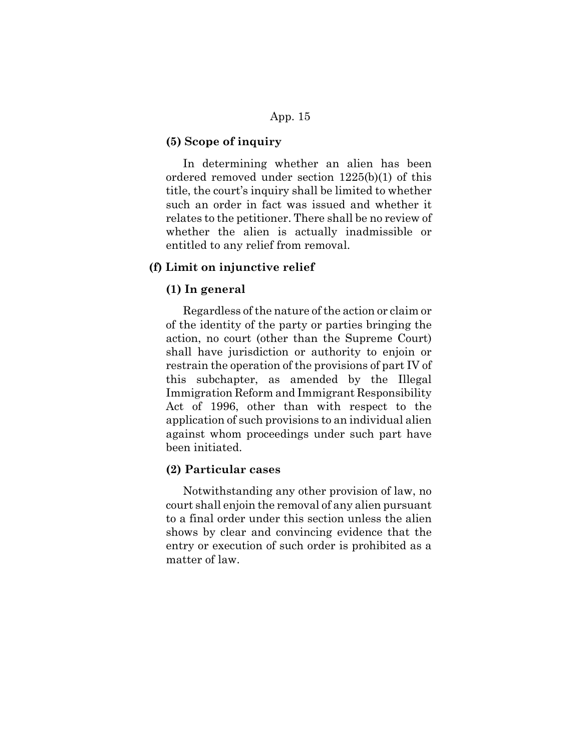#### **(5) Scope of inquiry**

In determining whether an alien has been ordered removed under section 1225(b)(1) of this title, the court's inquiry shall be limited to whether such an order in fact was issued and whether it relates to the petitioner. There shall be no review of whether the alien is actually inadmissible or entitled to any relief from removal.

### **(f) Limit on injunctive relief**

## **(1) In general**

Regardless of the nature of the action or claim or of the identity of the party or parties bringing the action, no court (other than the Supreme Court) shall have jurisdiction or authority to enjoin or restrain the operation of the provisions of part IV of this subchapter, as amended by the Illegal Immigration Reform and Immigrant Responsibility Act of 1996, other than with respect to the application of such provisions to an individual alien against whom proceedings under such part have been initiated.

### **(2) Particular cases**

Notwithstanding any other provision of law, no court shall enjoin the removal of any alien pursuant to a final order under this section unless the alien shows by clear and convincing evidence that the entry or execution of such order is prohibited as a matter of law.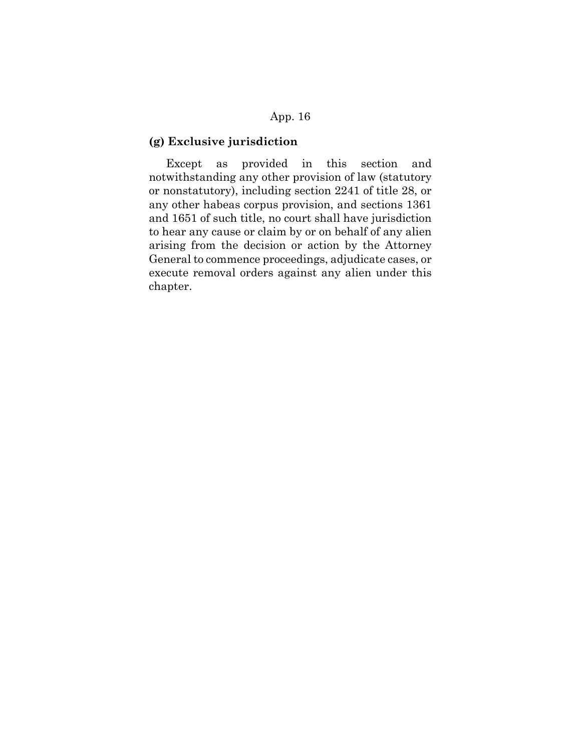# **(g) Exclusive jurisdiction**

Except as provided in this section and notwithstanding any other provision of law (statutory or nonstatutory), including section 2241 of title 28, or any other habeas corpus provision, and sections 1361 and 1651 of such title, no court shall have jurisdiction to hear any cause or claim by or on behalf of any alien arising from the decision or action by the Attorney General to commence proceedings, adjudicate cases, or execute removal orders against any alien under this chapter.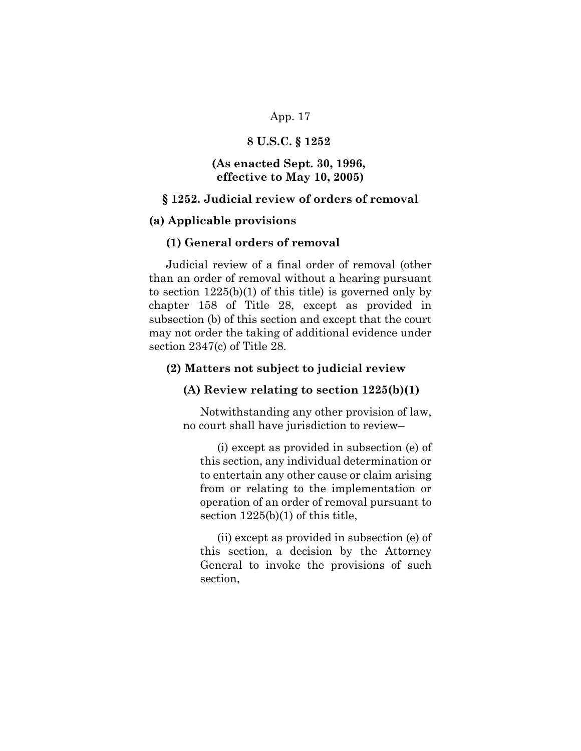## **8 U.S.C. § 1252**

## **(As enacted Sept. 30, 1996, effective to May 10, 2005)**

### **§ 1252. Judicial review of orders of removal**

#### **(a) Applicable provisions**

### **(1) General orders of removal**

Judicial review of a final order of removal (other than an order of removal without a hearing pursuant to section  $1225(b)(1)$  of this title) is governed only by chapter 158 of Title 28, except as provided in subsection (b) of this section and except that the court may not order the taking of additional evidence under section 2347(c) of Title 28.

#### **(2) Matters not subject to judicial review**

#### **(A) Review relating to section 1225(b)(1)**

Notwithstanding any other provision of law, no court shall have jurisdiction to review–

(i) except as provided in subsection (e) of this section, any individual determination or to entertain any other cause or claim arising from or relating to the implementation or operation of an order of removal pursuant to section 1225(b)(1) of this title,

(ii) except as provided in subsection (e) of this section, a decision by the Attorney General to invoke the provisions of such section,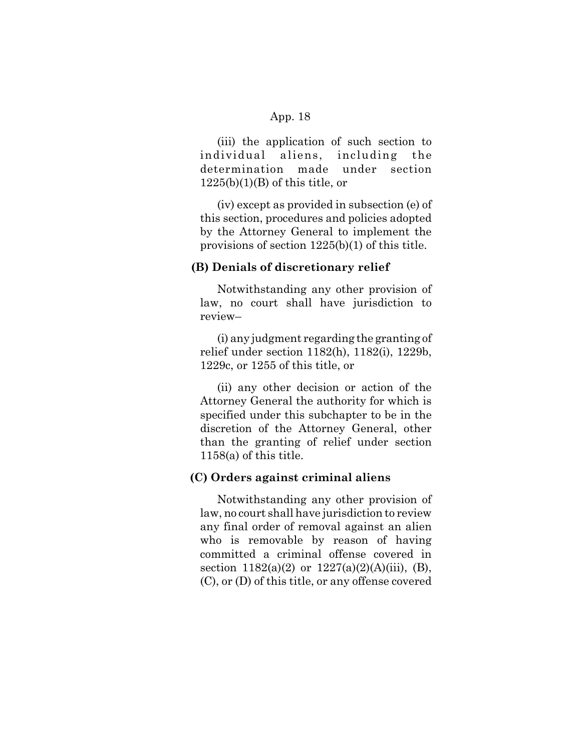(iii) the application of such section to individual aliens, including the determination made under section  $1225(b)(1)(B)$  of this title, or

(iv) except as provided in subsection (e) of this section, procedures and policies adopted by the Attorney General to implement the provisions of section 1225(b)(1) of this title.

#### **(B) Denials of discretionary relief**

Notwithstanding any other provision of law, no court shall have jurisdiction to review–

(i) any judgment regarding the granting of relief under section 1182(h), 1182(i), 1229b, 1229c, or 1255 of this title, or

(ii) any other decision or action of the Attorney General the authority for which is specified under this subchapter to be in the discretion of the Attorney General, other than the granting of relief under section 1158(a) of this title.

#### **(C) Orders against criminal aliens**

Notwithstanding any other provision of law, no court shall have jurisdiction to review any final order of removal against an alien who is removable by reason of having committed a criminal offense covered in section  $1182(a)(2)$  or  $1227(a)(2)(A)(iii)$ , (B), (C), or (D) of this title, or any offense covered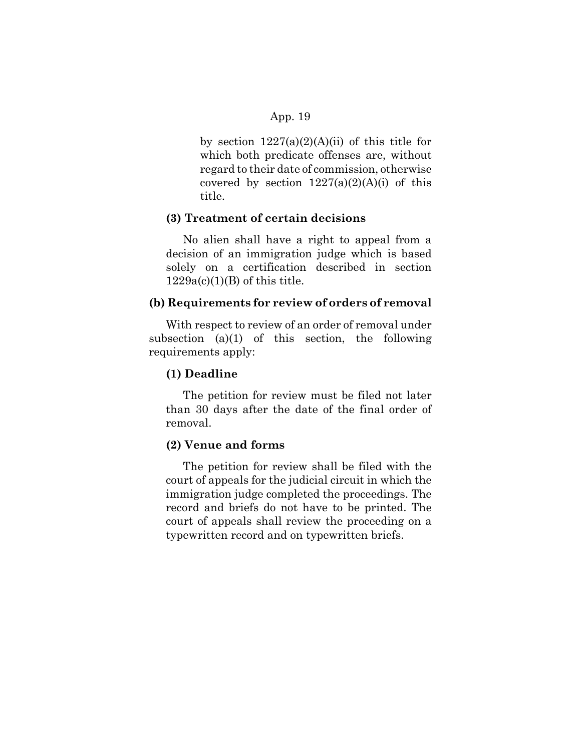by section  $1227(a)(2)(A)(ii)$  of this title for which both predicate offenses are, without regard to their date of commission, otherwise covered by section  $1227(a)(2)(A)(i)$  of this title.

### **(3) Treatment of certain decisions**

No alien shall have a right to appeal from a decision of an immigration judge which is based solely on a certification described in section  $1229a(c)(1)(B)$  of this title.

#### **(b) Requirements for review of orders of removal**

With respect to review of an order of removal under subsection  $(a)(1)$  of this section, the following requirements apply:

### **(1) Deadline**

The petition for review must be filed not later than 30 days after the date of the final order of removal.

### **(2) Venue and forms**

The petition for review shall be filed with the court of appeals for the judicial circuit in which the immigration judge completed the proceedings. The record and briefs do not have to be printed. The court of appeals shall review the proceeding on a typewritten record and on typewritten briefs.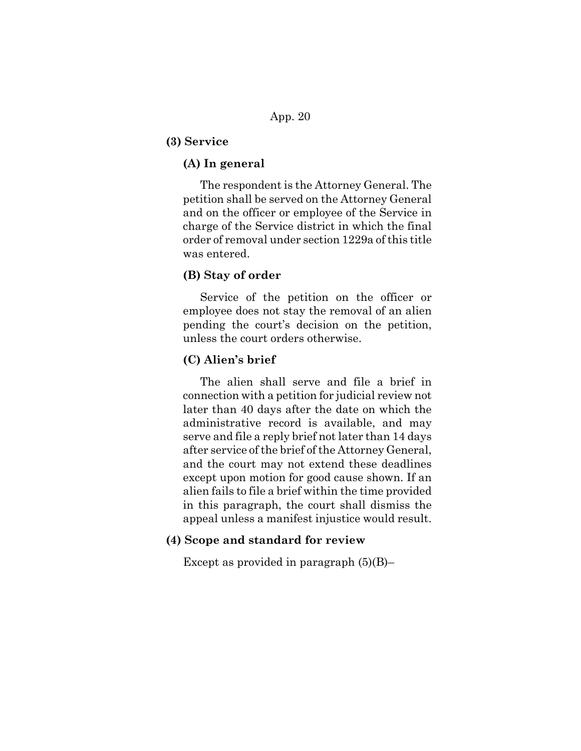### **(3) Service**

### **(A) In general**

The respondent is the Attorney General. The petition shall be served on the Attorney General and on the officer or employee of the Service in charge of the Service district in which the final order of removal under section 1229a of this title was entered.

## **(B) Stay of order**

Service of the petition on the officer or employee does not stay the removal of an alien pending the court's decision on the petition, unless the court orders otherwise.

### **(C) Alien's brief**

The alien shall serve and file a brief in connection with a petition for judicial review not later than 40 days after the date on which the administrative record is available, and may serve and file a reply brief not later than 14 days after service of the brief of the Attorney General, and the court may not extend these deadlines except upon motion for good cause shown. If an alien fails to file a brief within the time provided in this paragraph, the court shall dismiss the appeal unless a manifest injustice would result.

## **(4) Scope and standard for review**

Except as provided in paragraph  $(5)(B)$ –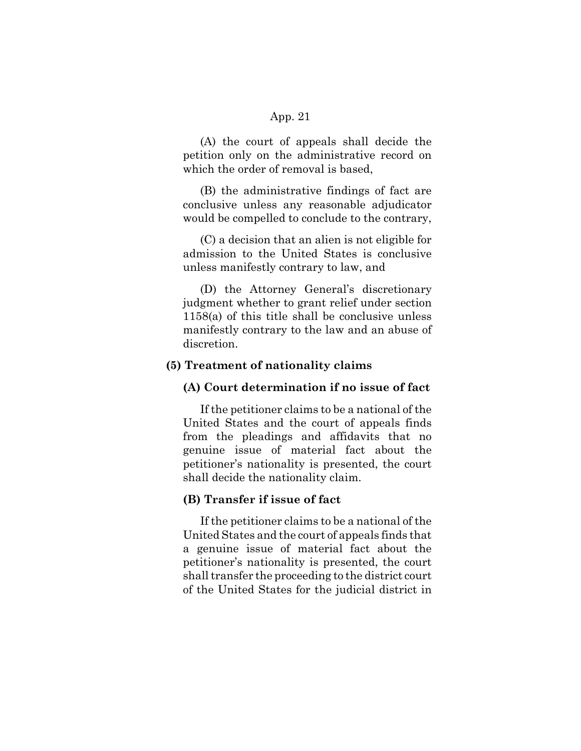(A) the court of appeals shall decide the petition only on the administrative record on which the order of removal is based,

(B) the administrative findings of fact are conclusive unless any reasonable adjudicator would be compelled to conclude to the contrary,

(C) a decision that an alien is not eligible for admission to the United States is conclusive unless manifestly contrary to law, and

(D) the Attorney General's discretionary judgment whether to grant relief under section 1158(a) of this title shall be conclusive unless manifestly contrary to the law and an abuse of discretion.

### **(5) Treatment of nationality claims**

#### **(A) Court determination if no issue of fact**

If the petitioner claims to be a national of the United States and the court of appeals finds from the pleadings and affidavits that no genuine issue of material fact about the petitioner's nationality is presented, the court shall decide the nationality claim.

### **(B) Transfer if issue of fact**

If the petitioner claims to be a national of the United States and the court of appeals finds that a genuine issue of material fact about the petitioner's nationality is presented, the court shall transfer the proceeding to the district court of the United States for the judicial district in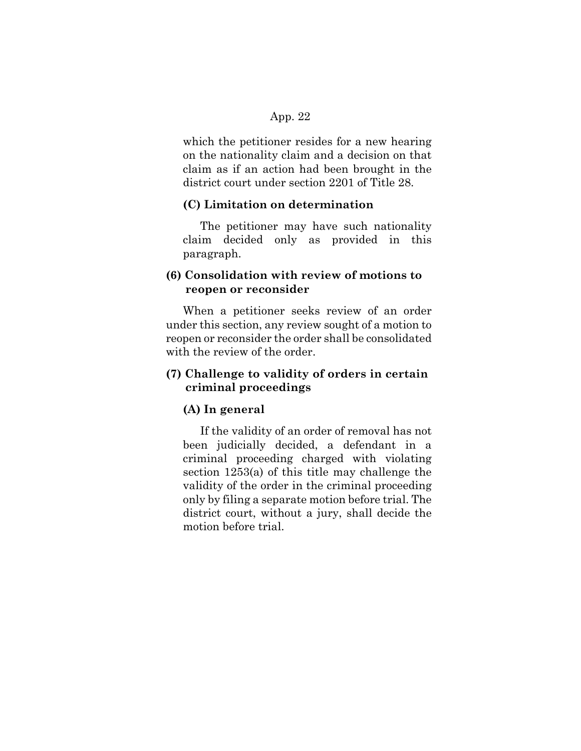which the petitioner resides for a new hearing on the nationality claim and a decision on that claim as if an action had been brought in the district court under section 2201 of Title 28.

### **(C) Limitation on determination**

The petitioner may have such nationality claim decided only as provided in this paragraph.

# **(6) Consolidation with review of motions to reopen or reconsider**

When a petitioner seeks review of an order under this section, any review sought of a motion to reopen or reconsider the order shall be consolidated with the review of the order.

## **(7) Challenge to validity of orders in certain criminal proceedings**

## **(A) In general**

If the validity of an order of removal has not been judicially decided, a defendant in a criminal proceeding charged with violating section 1253(a) of this title may challenge the validity of the order in the criminal proceeding only by filing a separate motion before trial. The district court, without a jury, shall decide the motion before trial.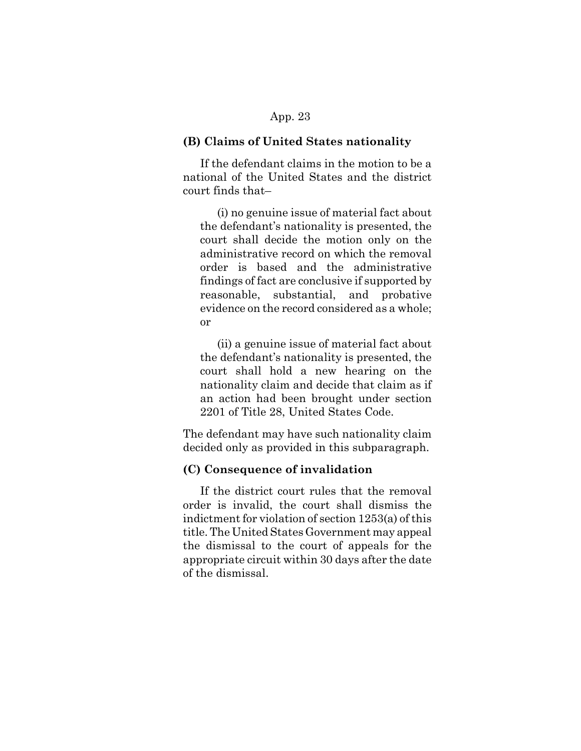#### **(B) Claims of United States nationality**

If the defendant claims in the motion to be a national of the United States and the district court finds that–

(i) no genuine issue of material fact about the defendant's nationality is presented, the court shall decide the motion only on the administrative record on which the removal order is based and the administrative findings of fact are conclusive if supported by reasonable, substantial, and probative evidence on the record considered as a whole; or

(ii) a genuine issue of material fact about the defendant's nationality is presented, the court shall hold a new hearing on the nationality claim and decide that claim as if an action had been brought under section 2201 of Title 28, United States Code.

The defendant may have such nationality claim decided only as provided in this subparagraph.

## **(C) Consequence of invalidation**

If the district court rules that the removal order is invalid, the court shall dismiss the indictment for violation of section 1253(a) of this title. The United States Government may appeal the dismissal to the court of appeals for the appropriate circuit within 30 days after the date of the dismissal.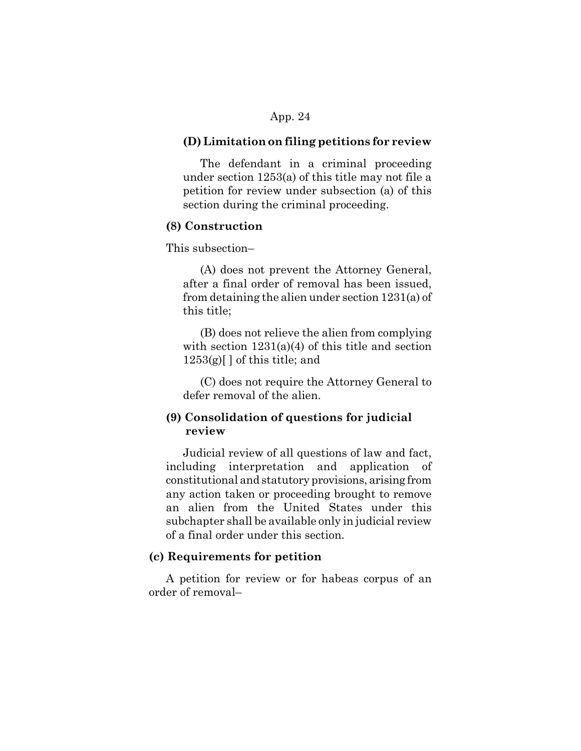#### **(D) Limitation on filing petitions for review**

The defendant in a criminal proceeding under section 1253(a) of this title may not file a petition for review under subsection (a) of this section during the criminal proceeding.

#### **(8) Construction**

This subsection–

(A) does not prevent the Attorney General, after a final order of removal has been issued, from detaining the alien under section 1231(a) of this title;

(B) does not relieve the alien from complying with section  $1231(a)(4)$  of this title and section  $1253(g)$ [] of this title; and

(C) does not require the Attorney General to defer removal of the alien.

# **(9) Consolidation of questions for judicial review**

Judicial review of all questions of law and fact, including interpretation and application of constitutional and statutory provisions, arising from any action taken or proceeding brought to remove an alien from the United States under this subchapter shall be available only in judicial review of a final order under this section.

## **(c) Requirements for petition**

A petition for review or for habeas corpus of an order of removal–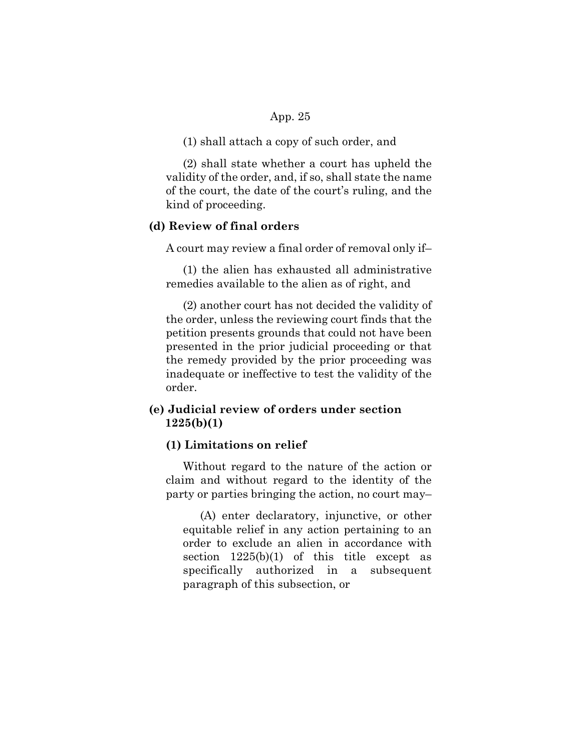(1) shall attach a copy of such order, and

(2) shall state whether a court has upheld the validity of the order, and, if so, shall state the name of the court, the date of the court's ruling, and the kind of proceeding.

## **(d) Review of final orders**

A court may review a final order of removal only if–

(1) the alien has exhausted all administrative remedies available to the alien as of right, and

(2) another court has not decided the validity of the order, unless the reviewing court finds that the petition presents grounds that could not have been presented in the prior judicial proceeding or that the remedy provided by the prior proceeding was inadequate or ineffective to test the validity of the order.

# **(e) Judicial review of orders under section 1225(b)(1)**

### **(1) Limitations on relief**

Without regard to the nature of the action or claim and without regard to the identity of the party or parties bringing the action, no court may–

(A) enter declaratory, injunctive, or other equitable relief in any action pertaining to an order to exclude an alien in accordance with section  $1225(b)(1)$  of this title except as specifically authorized in a subsequent paragraph of this subsection, or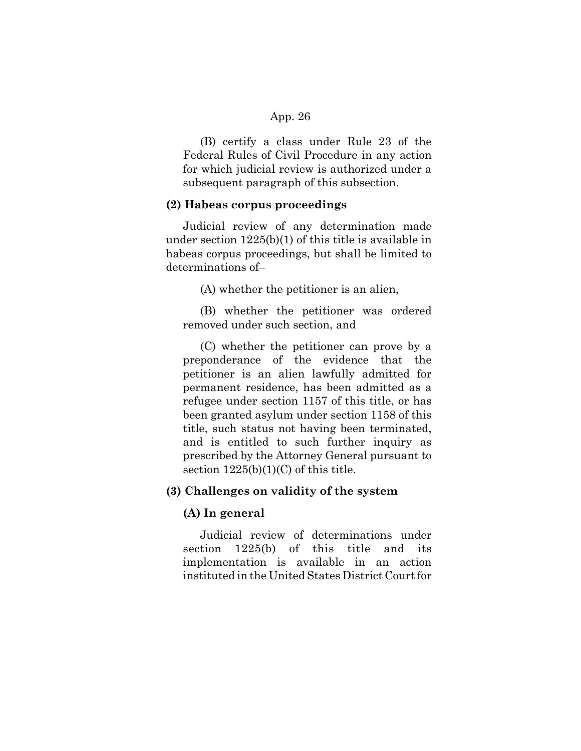(B) certify a class under Rule 23 of the Federal Rules of Civil Procedure in any action for which judicial review is authorized under a subsequent paragraph of this subsection.

#### **(2) Habeas corpus proceedings**

Judicial review of any determination made under section 1225(b)(1) of this title is available in habeas corpus proceedings, but shall be limited to determinations of–

(A) whether the petitioner is an alien,

(B) whether the petitioner was ordered removed under such section, and

(C) whether the petitioner can prove by a preponderance of the evidence that the petitioner is an alien lawfully admitted for permanent residence, has been admitted as a refugee under section 1157 of this title, or has been granted asylum under section 1158 of this title, such status not having been terminated, and is entitled to such further inquiry as prescribed by the Attorney General pursuant to section  $1225(b)(1)(C)$  of this title.

#### **(3) Challenges on validity of the system**

#### **(A) In general**

Judicial review of determinations under section 1225(b) of this title and its implementation is available in an action instituted in the United States District Court for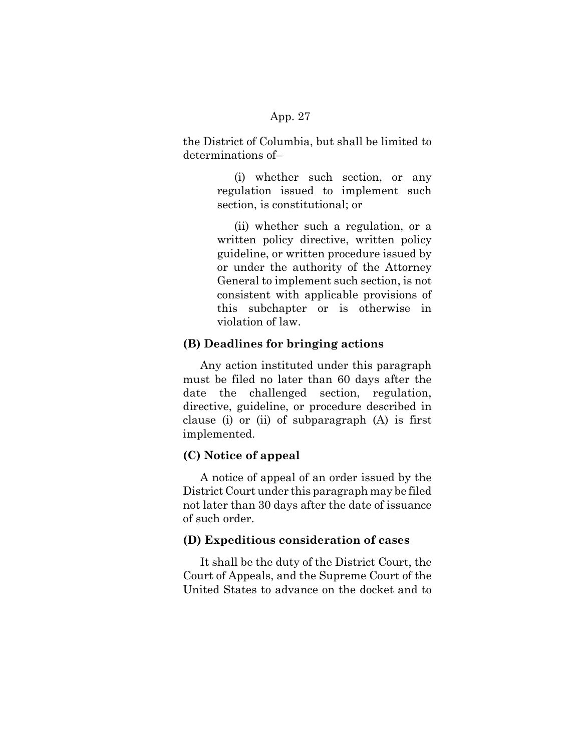the District of Columbia, but shall be limited to determinations of–

> (i) whether such section, or any regulation issued to implement such section, is constitutional; or

(ii) whether such a regulation, or a written policy directive, written policy guideline, or written procedure issued by or under the authority of the Attorney General to implement such section, is not consistent with applicable provisions of this subchapter or is otherwise in violation of law.

## **(B) Deadlines for bringing actions**

Any action instituted under this paragraph must be filed no later than 60 days after the date the challenged section, regulation, directive, guideline, or procedure described in clause (i) or (ii) of subparagraph (A) is first implemented.

## **(C) Notice of appeal**

A notice of appeal of an order issued by the District Court under this paragraph may be filed not later than 30 days after the date of issuance of such order.

### **(D) Expeditious consideration of cases**

It shall be the duty of the District Court, the Court of Appeals, and the Supreme Court of the United States to advance on the docket and to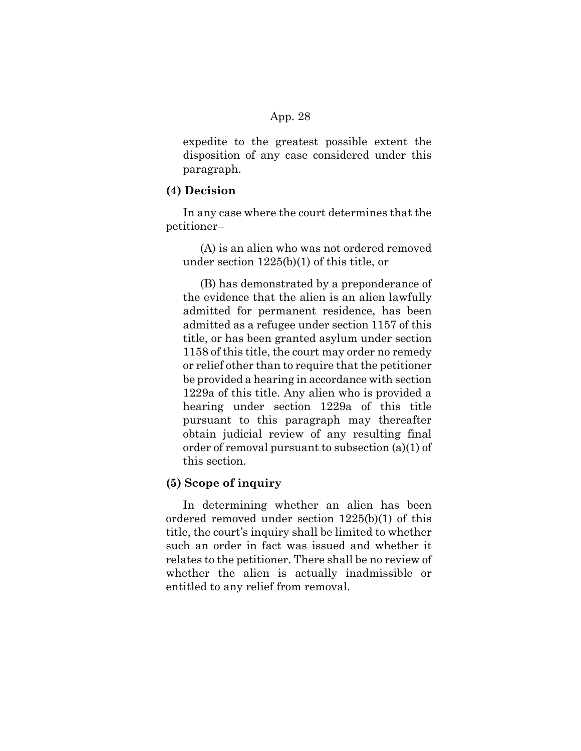expedite to the greatest possible extent the disposition of any case considered under this paragraph.

#### **(4) Decision**

In any case where the court determines that the petitioner–

(A) is an alien who was not ordered removed under section 1225(b)(1) of this title, or

(B) has demonstrated by a preponderance of the evidence that the alien is an alien lawfully admitted for permanent residence, has been admitted as a refugee under section 1157 of this title, or has been granted asylum under section 1158 of this title, the court may order no remedy or relief other than to require that the petitioner be provided a hearing in accordance with section 1229a of this title. Any alien who is provided a hearing under section 1229a of this title pursuant to this paragraph may thereafter obtain judicial review of any resulting final order of removal pursuant to subsection (a)(1) of this section.

### **(5) Scope of inquiry**

In determining whether an alien has been ordered removed under section 1225(b)(1) of this title, the court's inquiry shall be limited to whether such an order in fact was issued and whether it relates to the petitioner. There shall be no review of whether the alien is actually inadmissible or entitled to any relief from removal.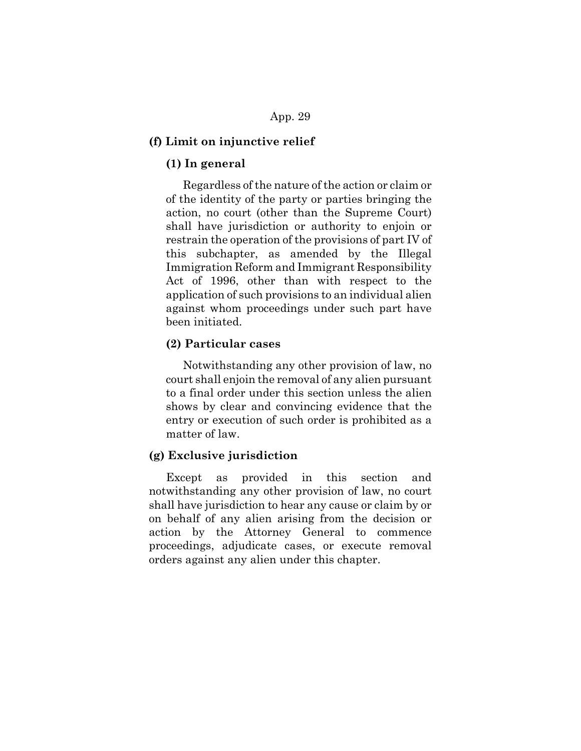#### **(f) Limit on injunctive relief**

## **(1) In general**

Regardless of the nature of the action or claim or of the identity of the party or parties bringing the action, no court (other than the Supreme Court) shall have jurisdiction or authority to enjoin or restrain the operation of the provisions of part IV of this subchapter, as amended by the Illegal Immigration Reform and Immigrant Responsibility Act of 1996, other than with respect to the application of such provisions to an individual alien against whom proceedings under such part have been initiated.

### **(2) Particular cases**

Notwithstanding any other provision of law, no court shall enjoin the removal of any alien pursuant to a final order under this section unless the alien shows by clear and convincing evidence that the entry or execution of such order is prohibited as a matter of law.

### **(g) Exclusive jurisdiction**

Except as provided in this section and notwithstanding any other provision of law, no court shall have jurisdiction to hear any cause or claim by or on behalf of any alien arising from the decision or action by the Attorney General to commence proceedings, adjudicate cases, or execute removal orders against any alien under this chapter.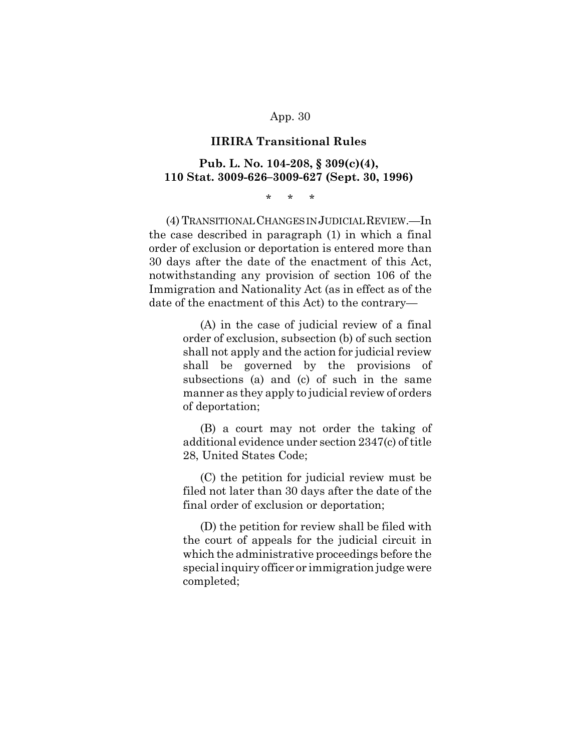#### **IIRIRA Transitional Rules**

## **Pub. L. No. 104-208, § 309(c)(4), 110 Stat. 3009-626–3009-627 (Sept. 30, 1996)**

\* \* \*

(4) TRANSITIONAL CHANGES IN JUDICIAL REVIEW.—In the case described in paragraph (1) in which a final order of exclusion or deportation is entered more than 30 days after the date of the enactment of this Act, notwithstanding any provision of section 106 of the Immigration and Nationality Act (as in effect as of the date of the enactment of this Act) to the contrary—

> (A) in the case of judicial review of a final order of exclusion, subsection (b) of such section shall not apply and the action for judicial review shall be governed by the provisions of subsections (a) and (c) of such in the same manner as they apply to judicial review of orders of deportation;

> (B) a court may not order the taking of additional evidence under section 2347(c) of title 28, United States Code;

> (C) the petition for judicial review must be filed not later than 30 days after the date of the final order of exclusion or deportation;

> (D) the petition for review shall be filed with the court of appeals for the judicial circuit in which the administrative proceedings before the special inquiry officer or immigration judge were completed;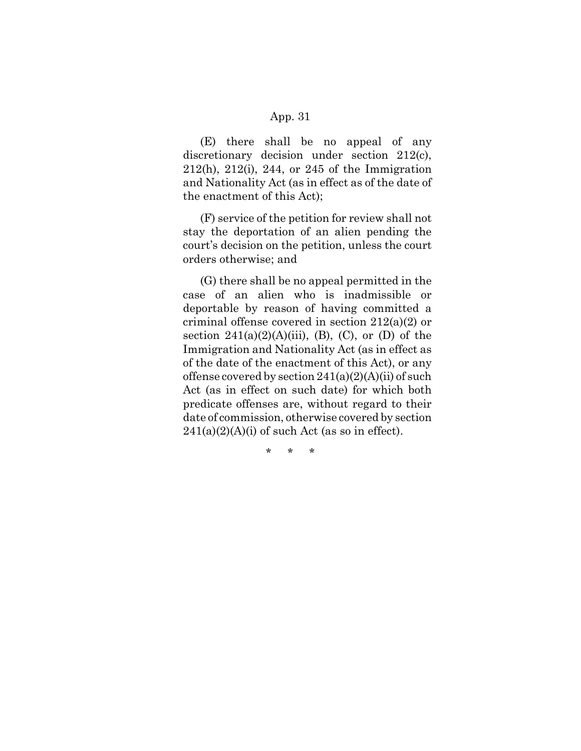(E) there shall be no appeal of any discretionary decision under section 212(c), 212(h), 212(i), 244, or 245 of the Immigration and Nationality Act (as in effect as of the date of the enactment of this Act);

(F) service of the petition for review shall not stay the deportation of an alien pending the court's decision on the petition, unless the court orders otherwise; and

(G) there shall be no appeal permitted in the case of an alien who is inadmissible or deportable by reason of having committed a criminal offense covered in section 212(a)(2) or section  $241(a)(2)(A)(iii)$ , (B), (C), or (D) of the Immigration and Nationality Act (as in effect as of the date of the enactment of this Act), or any offense covered by section  $241(a)(2)(A)(ii)$  of such Act (as in effect on such date) for which both predicate offenses are, without regard to their date of commission, otherwise covered by section  $241(a)(2)(A)(i)$  of such Act (as so in effect).

\* \* \*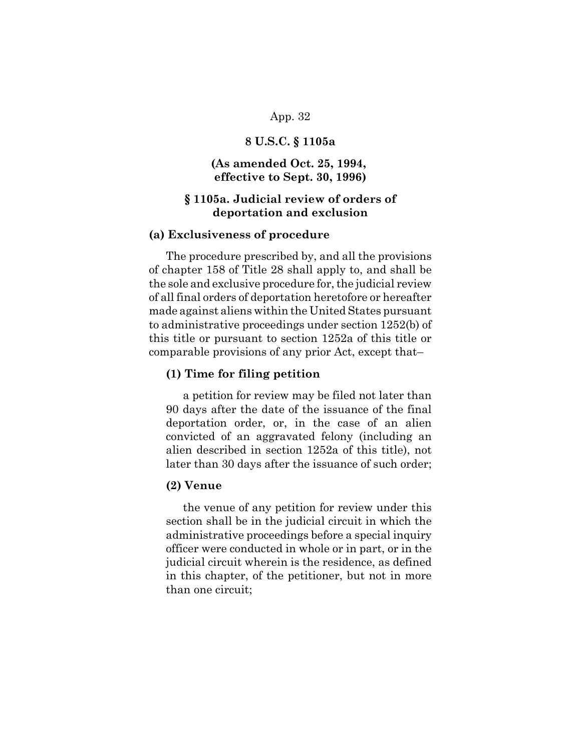### **8 U.S.C. § 1105a**

## **(As amended Oct. 25, 1994, effective to Sept. 30, 1996)**

# **§ 1105a. Judicial review of orders of deportation and exclusion**

#### **(a) Exclusiveness of procedure**

The procedure prescribed by, and all the provisions of chapter 158 of Title 28 shall apply to, and shall be the sole and exclusive procedure for, the judicial review of all final orders of deportation heretofore or hereafter made against aliens within the United States pursuant to administrative proceedings under section 1252(b) of this title or pursuant to section 1252a of this title or comparable provisions of any prior Act, except that–

### **(1) Time for filing petition**

a petition for review may be filed not later than 90 days after the date of the issuance of the final deportation order, or, in the case of an alien convicted of an aggravated felony (including an alien described in section 1252a of this title), not later than 30 days after the issuance of such order;

#### **(2) Venue**

the venue of any petition for review under this section shall be in the judicial circuit in which the administrative proceedings before a special inquiry officer were conducted in whole or in part, or in the judicial circuit wherein is the residence, as defined in this chapter, of the petitioner, but not in more than one circuit;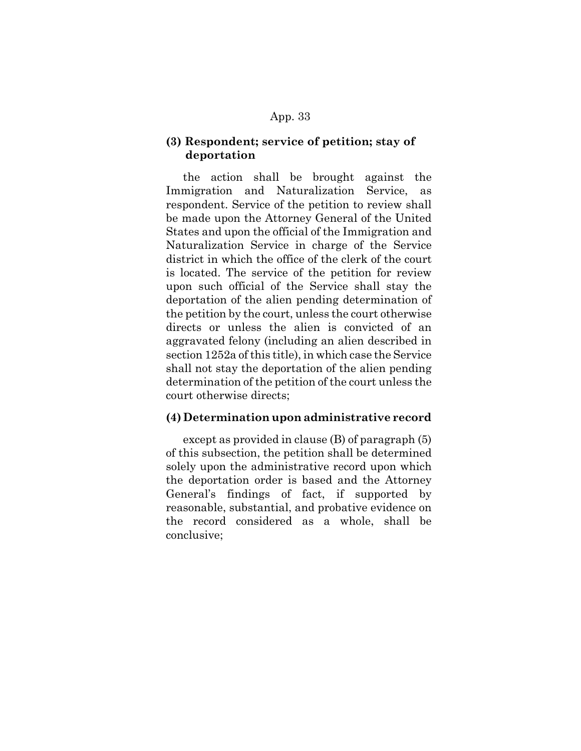## **(3) Respondent; service of petition; stay of deportation**

the action shall be brought against the Immigration and Naturalization Service, as respondent. Service of the petition to review shall be made upon the Attorney General of the United States and upon the official of the Immigration and Naturalization Service in charge of the Service district in which the office of the clerk of the court is located. The service of the petition for review upon such official of the Service shall stay the deportation of the alien pending determination of the petition by the court, unless the court otherwise directs or unless the alien is convicted of an aggravated felony (including an alien described in section 1252a of this title), in which case the Service shall not stay the deportation of the alien pending determination of the petition of the court unless the court otherwise directs;

## **(4) Determination upon administrative record**

except as provided in clause (B) of paragraph (5) of this subsection, the petition shall be determined solely upon the administrative record upon which the deportation order is based and the Attorney General's findings of fact, if supported by reasonable, substantial, and probative evidence on the record considered as a whole, shall be conclusive;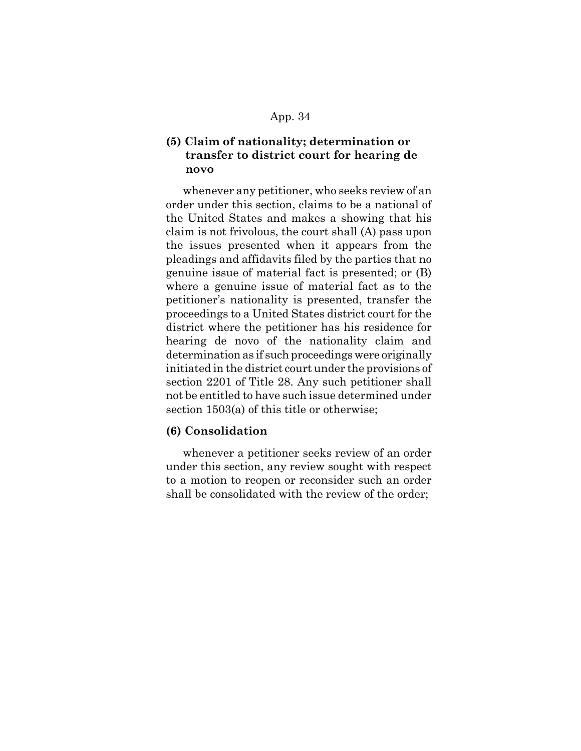# **(5) Claim of nationality; determination or transfer to district court for hearing de novo**

whenever any petitioner, who seeks review of an order under this section, claims to be a national of the United States and makes a showing that his claim is not frivolous, the court shall (A) pass upon the issues presented when it appears from the pleadings and affidavits filed by the parties that no genuine issue of material fact is presented; or (B) where a genuine issue of material fact as to the petitioner's nationality is presented, transfer the proceedings to a United States district court for the district where the petitioner has his residence for hearing de novo of the nationality claim and determination as if such proceedings were originally initiated in the district court under the provisions of section 2201 of Title 28. Any such petitioner shall not be entitled to have such issue determined under section 1503(a) of this title or otherwise;

### **(6) Consolidation**

whenever a petitioner seeks review of an order under this section, any review sought with respect to a motion to reopen or reconsider such an order shall be consolidated with the review of the order;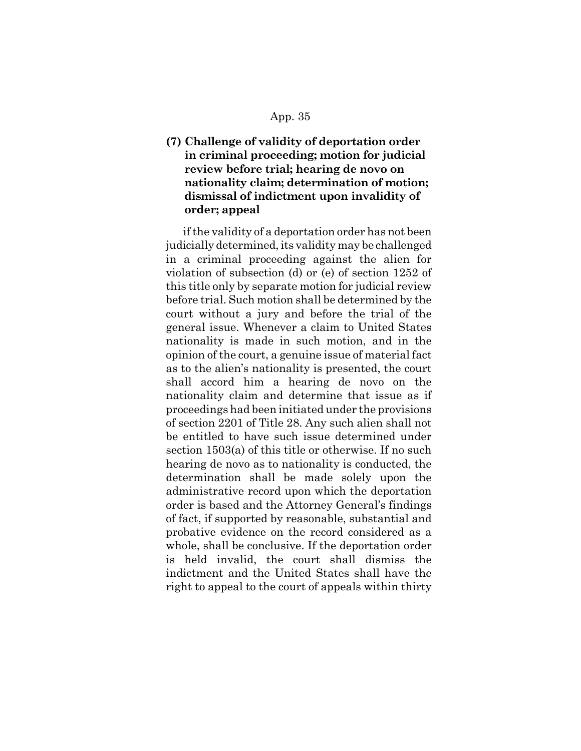# **(7) Challenge of validity of deportation order in criminal proceeding; motion for judicial review before trial; hearing de novo on nationality claim; determination of motion; dismissal of indictment upon invalidity of order; appeal**

if the validity of a deportation order has not been judicially determined, its validity may be challenged in a criminal proceeding against the alien for violation of subsection (d) or (e) of section 1252 of this title only by separate motion for judicial review before trial. Such motion shall be determined by the court without a jury and before the trial of the general issue. Whenever a claim to United States nationality is made in such motion, and in the opinion of the court, a genuine issue of material fact as to the alien's nationality is presented, the court shall accord him a hearing de novo on the nationality claim and determine that issue as if proceedings had been initiated under the provisions of section 2201 of Title 28. Any such alien shall not be entitled to have such issue determined under section 1503(a) of this title or otherwise. If no such hearing de novo as to nationality is conducted, the determination shall be made solely upon the administrative record upon which the deportation order is based and the Attorney General's findings of fact, if supported by reasonable, substantial and probative evidence on the record considered as a whole, shall be conclusive. If the deportation order is held invalid, the court shall dismiss the indictment and the United States shall have the right to appeal to the court of appeals within thirty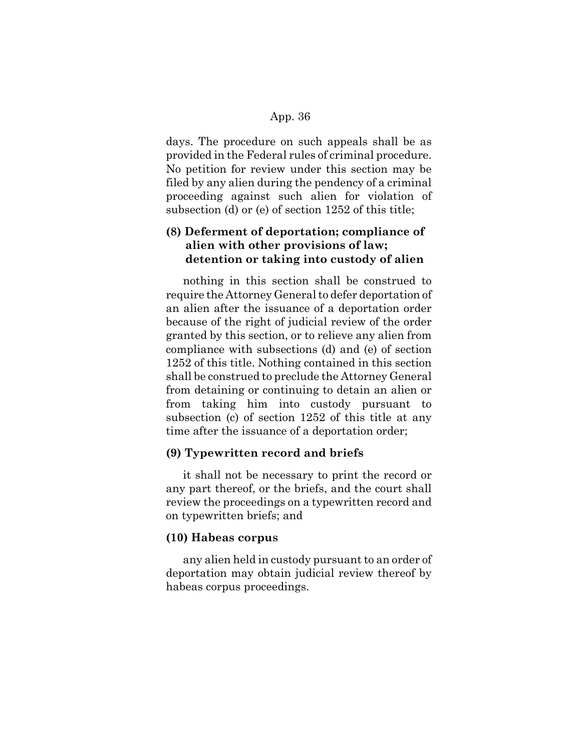days. The procedure on such appeals shall be as provided in the Federal rules of criminal procedure. No petition for review under this section may be filed by any alien during the pendency of a criminal proceeding against such alien for violation of subsection (d) or (e) of section 1252 of this title;

# **(8) Deferment of deportation; compliance of alien with other provisions of law; detention or taking into custody of alien**

nothing in this section shall be construed to require the Attorney General to defer deportation of an alien after the issuance of a deportation order because of the right of judicial review of the order granted by this section, or to relieve any alien from compliance with subsections (d) and (e) of section 1252 of this title. Nothing contained in this section shall be construed to preclude the Attorney General from detaining or continuing to detain an alien or from taking him into custody pursuant to subsection (c) of section 1252 of this title at any time after the issuance of a deportation order;

### **(9) Typewritten record and briefs**

it shall not be necessary to print the record or any part thereof, or the briefs, and the court shall review the proceedings on a typewritten record and on typewritten briefs; and

### **(10) Habeas corpus**

any alien held in custody pursuant to an order of deportation may obtain judicial review thereof by habeas corpus proceedings.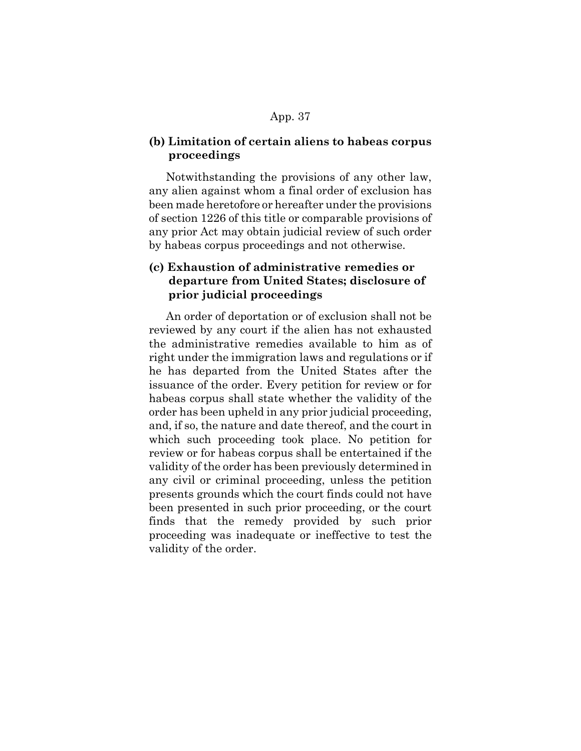# **(b) Limitation of certain aliens to habeas corpus proceedings**

Notwithstanding the provisions of any other law, any alien against whom a final order of exclusion has been made heretofore or hereafter under the provisions of section 1226 of this title or comparable provisions of any prior Act may obtain judicial review of such order by habeas corpus proceedings and not otherwise.

# **(c) Exhaustion of administrative remedies or departure from United States; disclosure of prior judicial proceedings**

An order of deportation or of exclusion shall not be reviewed by any court if the alien has not exhausted the administrative remedies available to him as of right under the immigration laws and regulations or if he has departed from the United States after the issuance of the order. Every petition for review or for habeas corpus shall state whether the validity of the order has been upheld in any prior judicial proceeding, and, if so, the nature and date thereof, and the court in which such proceeding took place. No petition for review or for habeas corpus shall be entertained if the validity of the order has been previously determined in any civil or criminal proceeding, unless the petition presents grounds which the court finds could not have been presented in such prior proceeding, or the court finds that the remedy provided by such prior proceeding was inadequate or ineffective to test the validity of the order.